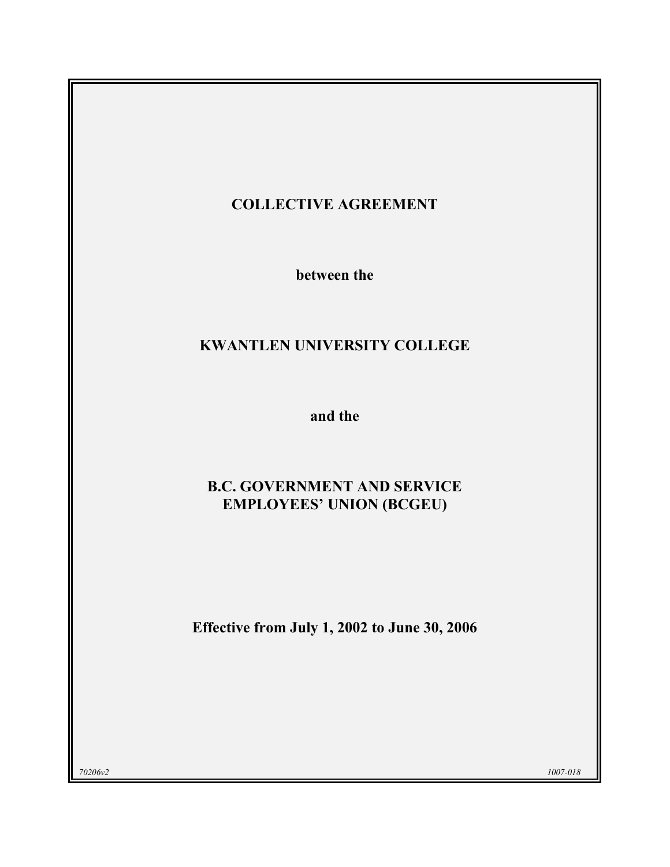## COLLECTIVE AGREEMENT

between the

# KWANTLEN UNIVERSITY COLLEGE

and the

## B.C. GOVERNMENT AND SERVICE EMPLOYEES' UNION (BCGEU)

Effective from July 1, 2002 to June 30, 2006

 $70206v2$  and  $1007-018$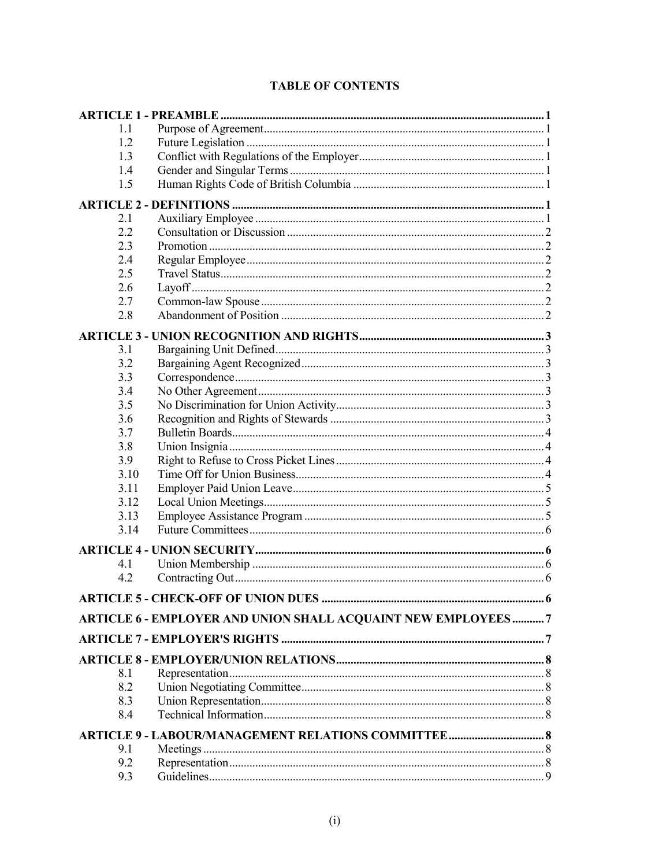## **TABLE OF CONTENTS**

| 11                                                           |   |  |  |  |  |
|--------------------------------------------------------------|---|--|--|--|--|
| 1.2                                                          |   |  |  |  |  |
|                                                              |   |  |  |  |  |
| 1.4                                                          |   |  |  |  |  |
| 1.5                                                          |   |  |  |  |  |
|                                                              |   |  |  |  |  |
| 2.1                                                          |   |  |  |  |  |
| 2.2                                                          |   |  |  |  |  |
| 2.3                                                          |   |  |  |  |  |
| 2.4                                                          |   |  |  |  |  |
| 2.5                                                          |   |  |  |  |  |
| 2.6                                                          |   |  |  |  |  |
| 2.7                                                          |   |  |  |  |  |
| 2.8                                                          |   |  |  |  |  |
|                                                              |   |  |  |  |  |
| 3.1                                                          |   |  |  |  |  |
| 3.2                                                          |   |  |  |  |  |
| 3.3                                                          |   |  |  |  |  |
| 3.4                                                          |   |  |  |  |  |
| 3.5                                                          |   |  |  |  |  |
| 3.6                                                          |   |  |  |  |  |
| 3.7                                                          |   |  |  |  |  |
| 3.8                                                          |   |  |  |  |  |
| 3.9                                                          |   |  |  |  |  |
| 3.10                                                         |   |  |  |  |  |
| 3.11                                                         |   |  |  |  |  |
| 3.12                                                         |   |  |  |  |  |
| 3.13                                                         |   |  |  |  |  |
| 3.14                                                         |   |  |  |  |  |
|                                                              |   |  |  |  |  |
| 41                                                           |   |  |  |  |  |
| 4.2                                                          |   |  |  |  |  |
| <b>ARTICLE 5 - CHECK-OFF OF UNION DUES</b>                   | 6 |  |  |  |  |
| ARTICLE 6 - EMPLOYER AND UNION SHALL ACQUAINT NEW EMPLOYEES7 |   |  |  |  |  |
|                                                              |   |  |  |  |  |
|                                                              |   |  |  |  |  |
|                                                              |   |  |  |  |  |
| 8.1                                                          |   |  |  |  |  |
| 8.2                                                          |   |  |  |  |  |
| 8.3                                                          |   |  |  |  |  |
| 8.4                                                          |   |  |  |  |  |
| ARTICLE 9 - LABOUR/MANAGEMENT RELATIONS COMMITTEE  8         |   |  |  |  |  |
| 9.1                                                          |   |  |  |  |  |
| 9.2                                                          |   |  |  |  |  |
| 9.3                                                          |   |  |  |  |  |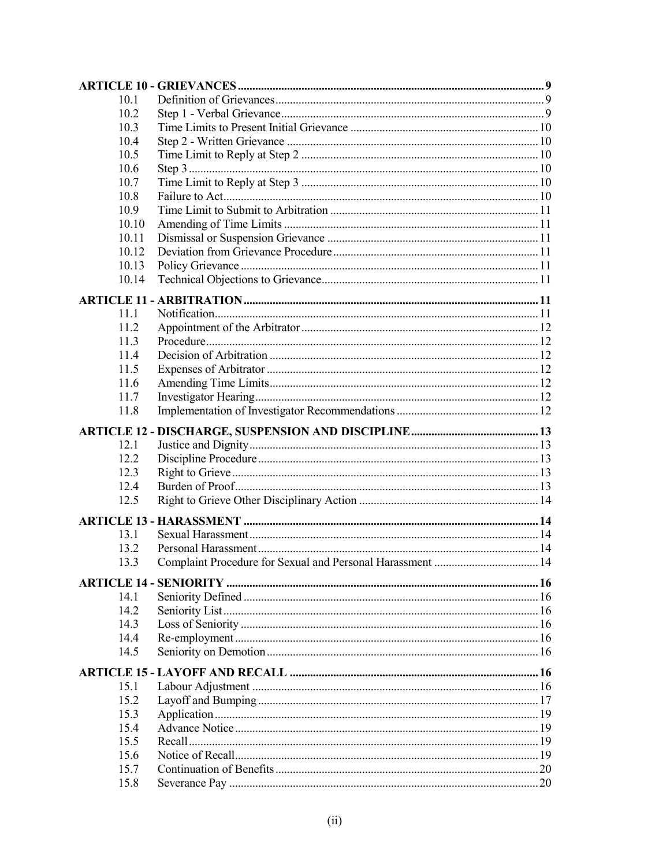| 10.1         |  |
|--------------|--|
| 10.2         |  |
| 10.3         |  |
| 10.4         |  |
| 10.5         |  |
| 10.6         |  |
| 10.7         |  |
| 10.8         |  |
| 10.9         |  |
| 10.10        |  |
| 10.11        |  |
| 10.12        |  |
| 10.13        |  |
| 10.14        |  |
|              |  |
| 11.1         |  |
| 112          |  |
| 11.3         |  |
| 114          |  |
| 11.5         |  |
| 11.6         |  |
|              |  |
| 11.7<br>11.8 |  |
|              |  |
|              |  |
| 12.1         |  |
| 12.2         |  |
| 12.3         |  |
| 12.4         |  |
| 12.5         |  |
|              |  |
| 13.1         |  |
| 13.2         |  |
| 13.3         |  |
|              |  |
|              |  |
| 14.1         |  |
| 14.2         |  |
| 14.3         |  |
| 14.4         |  |
| 14.5         |  |
|              |  |
| 15.1         |  |
| 15.2         |  |
| 15.3         |  |
| 15.4         |  |
| 15.5         |  |
| 15.6         |  |
| 15.7         |  |
| 15.8         |  |
|              |  |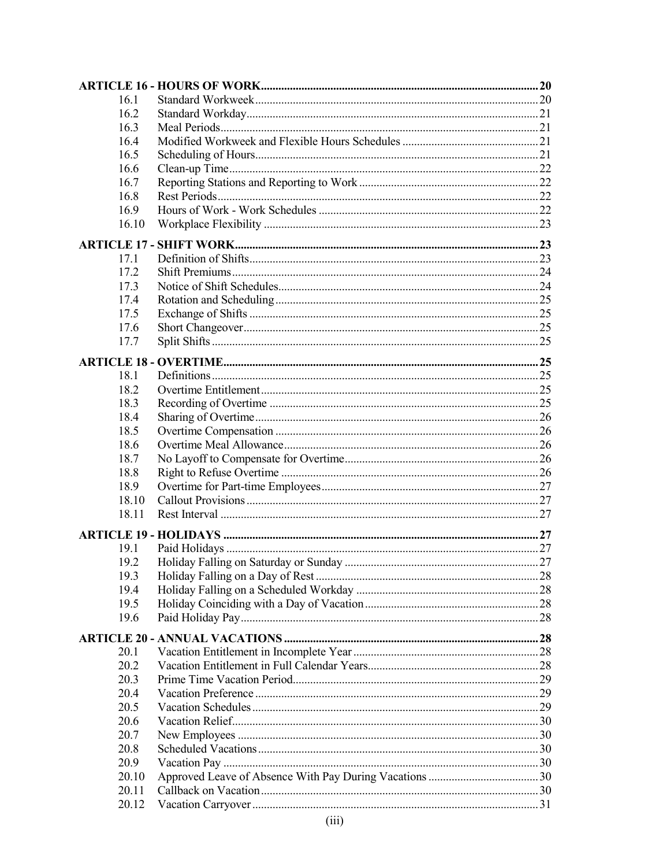| 16.1  |  |  |  |  |
|-------|--|--|--|--|
| 16.2  |  |  |  |  |
| 16.3  |  |  |  |  |
| 16.4  |  |  |  |  |
| 16.5  |  |  |  |  |
| 16.6  |  |  |  |  |
| 16.7  |  |  |  |  |
| 16.8  |  |  |  |  |
| 16.9  |  |  |  |  |
| 16.10 |  |  |  |  |
|       |  |  |  |  |
| 17.1  |  |  |  |  |
| 17.2  |  |  |  |  |
| 17.3  |  |  |  |  |
| 17.4  |  |  |  |  |
| 17.5  |  |  |  |  |
| 17.6  |  |  |  |  |
|       |  |  |  |  |
| 17.7  |  |  |  |  |
|       |  |  |  |  |
| 18.1  |  |  |  |  |
| 18.2  |  |  |  |  |
| 18.3  |  |  |  |  |
| 18.4  |  |  |  |  |
| 18.5  |  |  |  |  |
| 18.6  |  |  |  |  |
| 18.7  |  |  |  |  |
| 18.8  |  |  |  |  |
| 18.9  |  |  |  |  |
| 18.10 |  |  |  |  |
| 18.11 |  |  |  |  |
|       |  |  |  |  |
|       |  |  |  |  |
| 19.1  |  |  |  |  |
| 19.2  |  |  |  |  |
| 19.3  |  |  |  |  |
| 19.4  |  |  |  |  |
| 19.5  |  |  |  |  |
| 19.6  |  |  |  |  |
|       |  |  |  |  |
| 20.1  |  |  |  |  |
| 20.2  |  |  |  |  |
| 20.3  |  |  |  |  |
| 20.4  |  |  |  |  |
| 20.5  |  |  |  |  |
| 20.6  |  |  |  |  |
| 20.7  |  |  |  |  |
| 20.8  |  |  |  |  |
| 20.9  |  |  |  |  |
| 20.10 |  |  |  |  |
| 20.11 |  |  |  |  |
| 20.12 |  |  |  |  |
|       |  |  |  |  |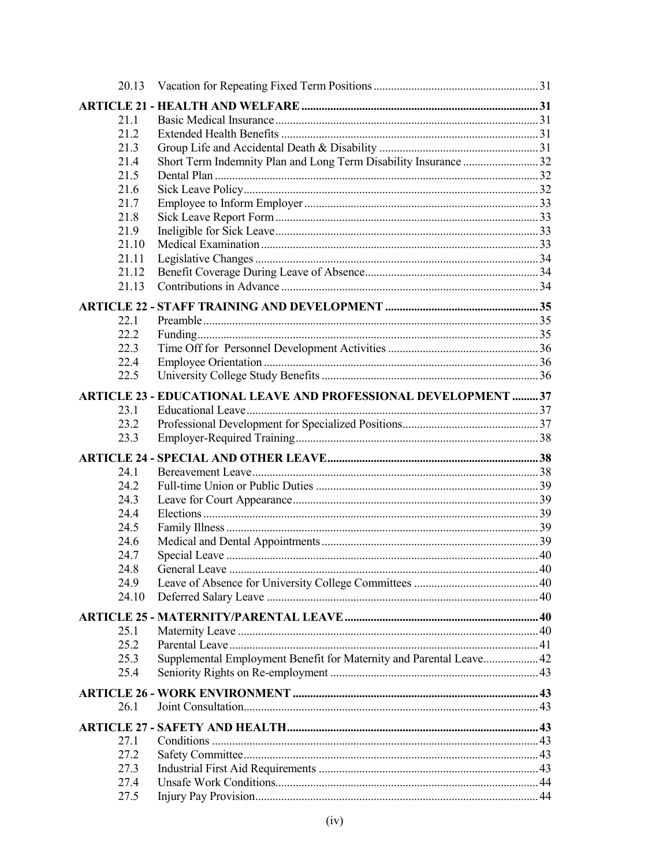| 20.13        |                                                                       |  |
|--------------|-----------------------------------------------------------------------|--|
|              |                                                                       |  |
| 21.1         |                                                                       |  |
| 21.2         |                                                                       |  |
| 21.3         |                                                                       |  |
| 21.4         |                                                                       |  |
| 21.5         |                                                                       |  |
| 21.6         |                                                                       |  |
| 21.7         |                                                                       |  |
| 21.8         |                                                                       |  |
| 21.9         |                                                                       |  |
| 21.10        |                                                                       |  |
| 21.11        |                                                                       |  |
| 21.12        |                                                                       |  |
| 21.13        |                                                                       |  |
|              |                                                                       |  |
| 22.1         |                                                                       |  |
| 22.2         |                                                                       |  |
| 22.3         |                                                                       |  |
| 22.4         |                                                                       |  |
| 22.5         |                                                                       |  |
|              | <b>ARTICLE 23 - EDUCATIONAL LEAVE AND PROFESSIONAL DEVELOPMENT 37</b> |  |
| 23.1         |                                                                       |  |
| 23.2         |                                                                       |  |
| 23.3         |                                                                       |  |
|              |                                                                       |  |
|              |                                                                       |  |
| 24.1         |                                                                       |  |
| 24.2         |                                                                       |  |
| 24.3         |                                                                       |  |
| 24.4         |                                                                       |  |
| 24.5         |                                                                       |  |
| 24.6         |                                                                       |  |
| 24.7         |                                                                       |  |
| 24.8         | $\sim$ 40<br>General Leave                                            |  |
| 24.9         |                                                                       |  |
| 24.10        |                                                                       |  |
|              |                                                                       |  |
| 25.1         |                                                                       |  |
| 25.2         |                                                                       |  |
| 25.3         | Supplemental Employment Benefit for Maternity and Parental Leave 42   |  |
| 25.4         |                                                                       |  |
|              |                                                                       |  |
| 26.1         |                                                                       |  |
|              |                                                                       |  |
|              |                                                                       |  |
| 27.1         |                                                                       |  |
| 27.2         |                                                                       |  |
| 27.3         |                                                                       |  |
| 27.4<br>27.5 |                                                                       |  |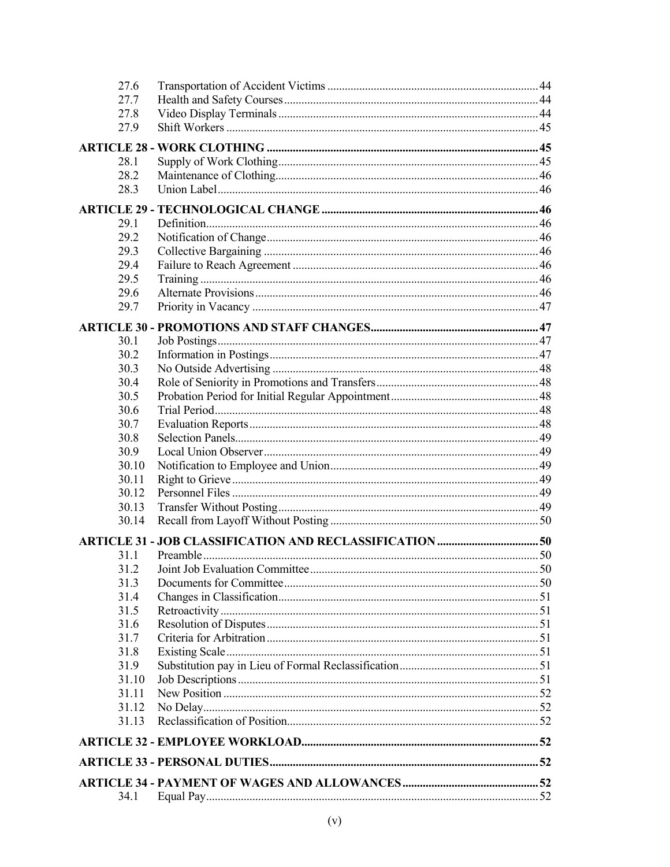| 27.6           |                                     |  |
|----------------|-------------------------------------|--|
| 27.7           |                                     |  |
| 27.8           |                                     |  |
| 27.9           |                                     |  |
|                |                                     |  |
| 28.1           |                                     |  |
| 28.2           |                                     |  |
| 28.3           |                                     |  |
|                |                                     |  |
| 29.1           |                                     |  |
| 29.2           |                                     |  |
| 29.3           |                                     |  |
| 29.4           |                                     |  |
| 29.5           |                                     |  |
| 29.6           |                                     |  |
| 29.7           |                                     |  |
|                |                                     |  |
| 30.1           |                                     |  |
| 30.2           |                                     |  |
| 30.3           |                                     |  |
| 30.4           |                                     |  |
| 30.5           |                                     |  |
| 30.6           |                                     |  |
| 30.7           |                                     |  |
| 30.8           |                                     |  |
| 30.9           |                                     |  |
| 30.10          |                                     |  |
| 30.11          |                                     |  |
| 30.12          |                                     |  |
| 30.13          |                                     |  |
| 30.14          |                                     |  |
|                |                                     |  |
| 31.1           |                                     |  |
|                | 31.2 Ioint Job Evaluation Committee |  |
| 31.3           |                                     |  |
| 31.4           |                                     |  |
| 31.5           |                                     |  |
| 31.6           |                                     |  |
| 31.7           |                                     |  |
| 31.8           |                                     |  |
| 31.9           |                                     |  |
| 31.10          |                                     |  |
| 31.11          |                                     |  |
| 31.12<br>31.13 |                                     |  |
|                |                                     |  |
|                |                                     |  |
|                |                                     |  |
|                |                                     |  |
| 34.1           |                                     |  |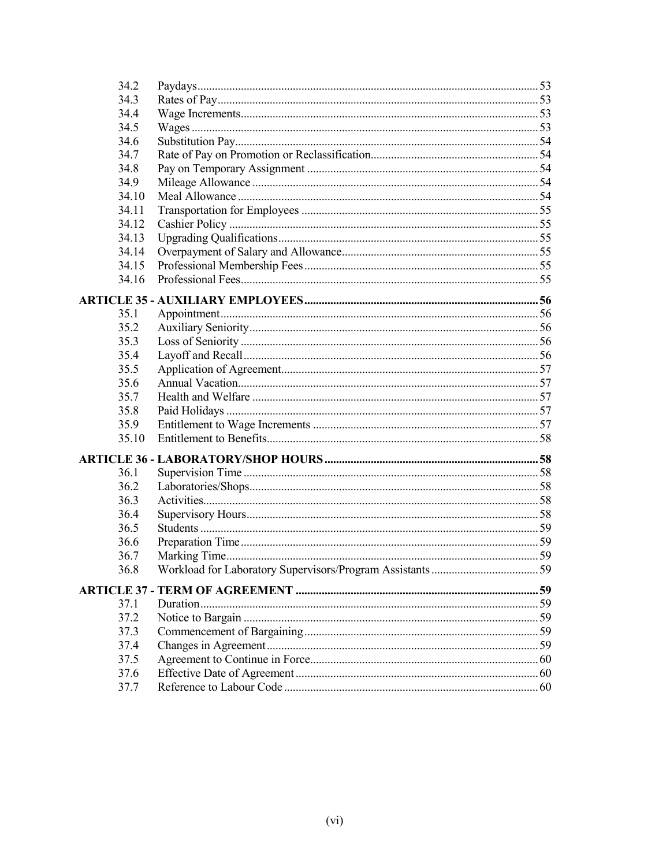| 34.2  |          |    |
|-------|----------|----|
| 34.3  |          |    |
| 34.4  |          |    |
| 34.5  |          |    |
| 34.6  |          |    |
| 34.7  |          |    |
| 34.8  |          |    |
| 34.9  |          |    |
| 34.10 |          |    |
| 34.11 |          |    |
| 34.12 |          |    |
| 34.13 |          |    |
| 34.14 |          |    |
| 34.15 |          |    |
| 34.16 |          |    |
|       |          |    |
| 35.1  |          |    |
| 35.2  |          |    |
| 35.3  |          |    |
| 35.4  |          |    |
| 35.5  |          |    |
| 35.6  |          |    |
| 35.7  |          |    |
| 35.8  |          |    |
| 35.9  |          |    |
| 35.10 |          |    |
|       |          |    |
|       |          |    |
| 36.1  |          |    |
| 36.2  |          |    |
| 36.3  |          |    |
| 36.4  |          |    |
| 36.5  |          |    |
| 36.6  |          |    |
| 36.7  |          |    |
| 36.8  |          |    |
|       |          |    |
| 37.1  | Duration |    |
| 37.2  |          |    |
| 37.3  |          |    |
| 37.4  |          | 59 |
| 37.5  |          |    |
| 37.6  |          |    |
| 37.7  |          |    |
|       |          |    |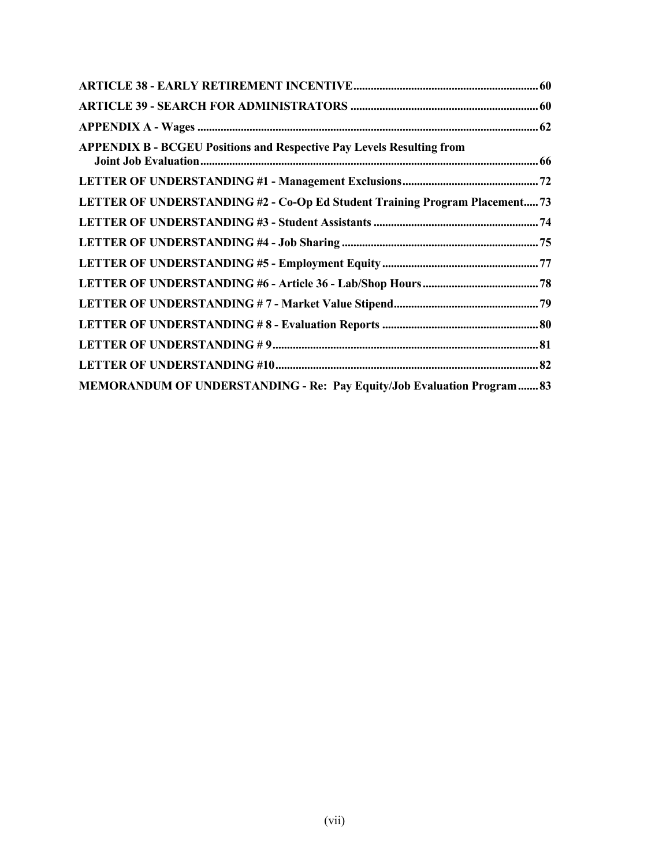| <b>APPENDIX B - BCGEU Positions and Respective Pay Levels Resulting from</b> |  |
|------------------------------------------------------------------------------|--|
|                                                                              |  |
| LETTER OF UNDERSTANDING #2 - Co-Op Ed Student Training Program Placement 73  |  |
|                                                                              |  |
|                                                                              |  |
|                                                                              |  |
|                                                                              |  |
|                                                                              |  |
|                                                                              |  |
|                                                                              |  |
|                                                                              |  |
| MEMORANDUM OF UNDERSTANDING - Re: Pay Equity/Job Evaluation Program 83       |  |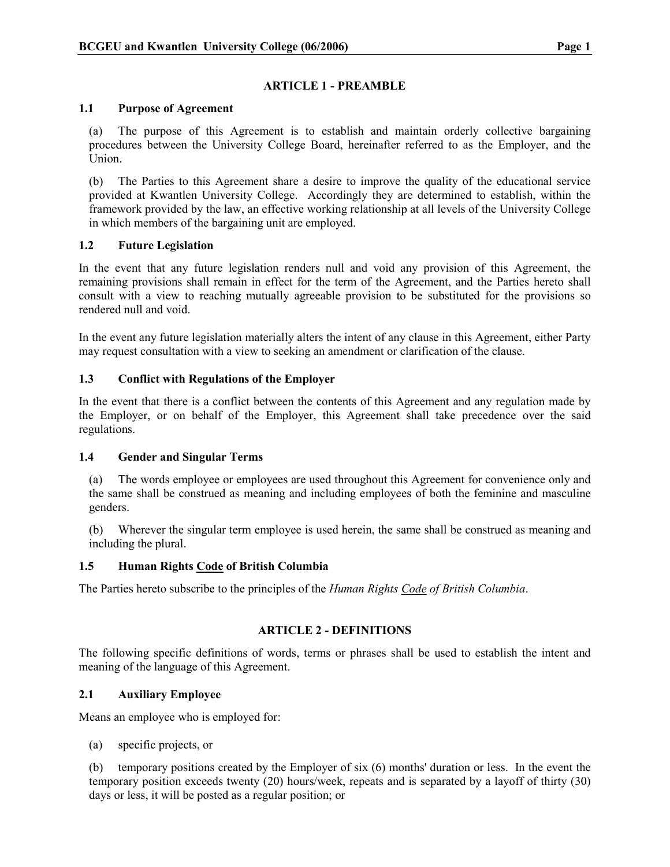## ARTICLE 1 - PREAMBLE

## 1.1 Purpose of Agreement

(a) The purpose of this Agreement is to establish and maintain orderly collective bargaining procedures between the University College Board, hereinafter referred to as the Employer, and the Union.

(b) The Parties to this Agreement share a desire to improve the quality of the educational service provided at Kwantlen University College. Accordingly they are determined to establish, within the framework provided by the law, an effective working relationship at all levels of the University College in which members of the bargaining unit are employed.

## 1.2 Future Legislation

In the event that any future legislation renders null and void any provision of this Agreement, the remaining provisions shall remain in effect for the term of the Agreement, and the Parties hereto shall consult with a view to reaching mutually agreeable provision to be substituted for the provisions so rendered null and void.

In the event any future legislation materially alters the intent of any clause in this Agreement, either Party may request consultation with a view to seeking an amendment or clarification of the clause.

## 1.3 Conflict with Regulations of the Employer

In the event that there is a conflict between the contents of this Agreement and any regulation made by the Employer, or on behalf of the Employer, this Agreement shall take precedence over the said regulations.

## 1.4 Gender and Singular Terms

(a) The words employee or employees are used throughout this Agreement for convenience only and the same shall be construed as meaning and including employees of both the feminine and masculine genders.

(b) Wherever the singular term employee is used herein, the same shall be construed as meaning and including the plural.

## 1.5 Human Rights Code of British Columbia

The Parties hereto subscribe to the principles of the Human Rights Code of British Columbia.

## ARTICLE 2 - DEFINITIONS

The following specific definitions of words, terms or phrases shall be used to establish the intent and meaning of the language of this Agreement.

## 2.1 Auxiliary Employee

Means an employee who is employed for:

(a) specific projects, or

(b) temporary positions created by the Employer of six (6) months' duration or less. In the event the temporary position exceeds twenty (20) hours/week, repeats and is separated by a layoff of thirty (30) days or less, it will be posted as a regular position; or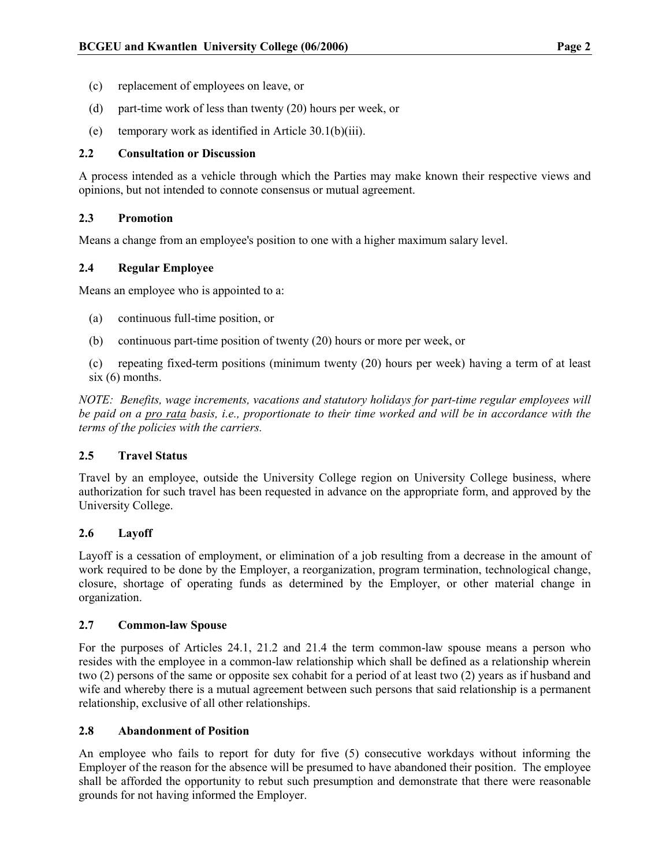- (c) replacement of employees on leave, or
- (d) part-time work of less than twenty (20) hours per week, or
- (e) temporary work as identified in Article 30.1(b)(iii).

## 2.2 Consultation or Discussion

A process intended as a vehicle through which the Parties may make known their respective views and opinions, but not intended to connote consensus or mutual agreement.

## 2.3 Promotion

Means a change from an employee's position to one with a higher maximum salary level.

## 2.4 Regular Employee

Means an employee who is appointed to a:

- (a) continuous full-time position, or
- (b) continuous part-time position of twenty (20) hours or more per week, or
- (c) repeating fixed-term positions (minimum twenty (20) hours per week) having a term of at least six (6) months.

NOTE: Benefits, wage increments, vacations and statutory holidays for part-time regular employees will be paid on a pro rata basis, i.e., proportionate to their time worked and will be in accordance with the terms of the policies with the carriers.

## 2.5 Travel Status

Travel by an employee, outside the University College region on University College business, where authorization for such travel has been requested in advance on the appropriate form, and approved by the University College.

## 2.6 Layoff

Layoff is a cessation of employment, or elimination of a job resulting from a decrease in the amount of work required to be done by the Employer, a reorganization, program termination, technological change, closure, shortage of operating funds as determined by the Employer, or other material change in organization.

## 2.7 Common-law Spouse

For the purposes of Articles 24.1, 21.2 and 21.4 the term common-law spouse means a person who resides with the employee in a common-law relationship which shall be defined as a relationship wherein two (2) persons of the same or opposite sex cohabit for a period of at least two (2) years as if husband and wife and whereby there is a mutual agreement between such persons that said relationship is a permanent relationship, exclusive of all other relationships.

## 2.8 Abandonment of Position

An employee who fails to report for duty for five (5) consecutive workdays without informing the Employer of the reason for the absence will be presumed to have abandoned their position. The employee shall be afforded the opportunity to rebut such presumption and demonstrate that there were reasonable grounds for not having informed the Employer.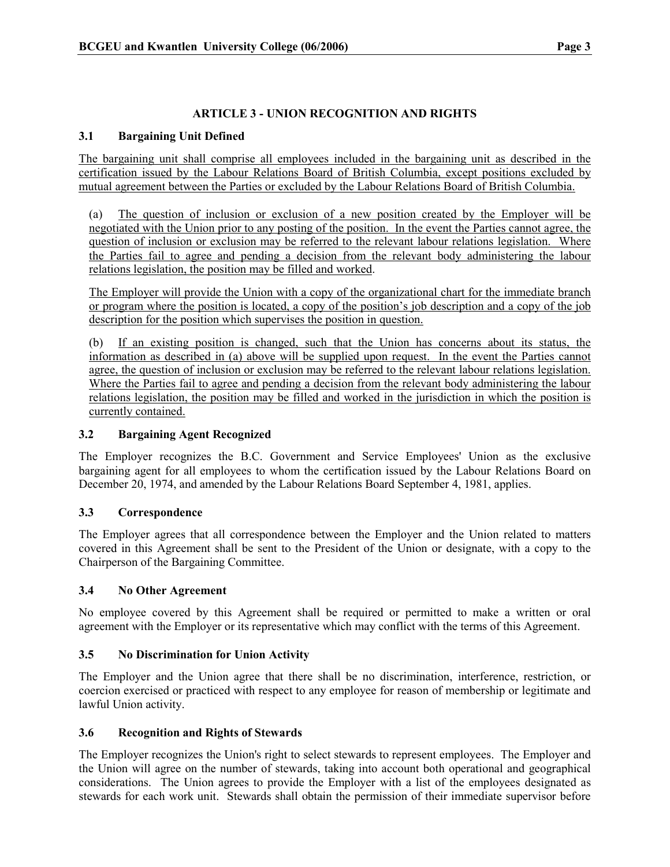## ARTICLE 3 - UNION RECOGNITION AND RIGHTS

## 3.1 Bargaining Unit Defined

The bargaining unit shall comprise all employees included in the bargaining unit as described in the certification issued by the Labour Relations Board of British Columbia, except positions excluded by mutual agreement between the Parties or excluded by the Labour Relations Board of British Columbia.

(a) The question of inclusion or exclusion of a new position created by the Employer will be negotiated with the Union prior to any posting of the position. In the event the Parties cannot agree, the question of inclusion or exclusion may be referred to the relevant labour relations legislation. Where the Parties fail to agree and pending a decision from the relevant body administering the labour relations legislation, the position may be filled and worked.

The Employer will provide the Union with a copy of the organizational chart for the immediate branch or program where the position is located, a copy of the position's job description and a copy of the job description for the position which supervises the position in question.

(b) If an existing position is changed, such that the Union has concerns about its status, the information as described in (a) above will be supplied upon request. In the event the Parties cannot agree, the question of inclusion or exclusion may be referred to the relevant labour relations legislation. Where the Parties fail to agree and pending a decision from the relevant body administering the labour relations legislation, the position may be filled and worked in the jurisdiction in which the position is currently contained.

## 3.2 Bargaining Agent Recognized

The Employer recognizes the B.C. Government and Service Employees' Union as the exclusive bargaining agent for all employees to whom the certification issued by the Labour Relations Board on December 20, 1974, and amended by the Labour Relations Board September 4, 1981, applies.

## 3.3 Correspondence

The Employer agrees that all correspondence between the Employer and the Union related to matters covered in this Agreement shall be sent to the President of the Union or designate, with a copy to the Chairperson of the Bargaining Committee.

## 3.4 No Other Agreement

No employee covered by this Agreement shall be required or permitted to make a written or oral agreement with the Employer or its representative which may conflict with the terms of this Agreement.

## 3.5 No Discrimination for Union Activity

The Employer and the Union agree that there shall be no discrimination, interference, restriction, or coercion exercised or practiced with respect to any employee for reason of membership or legitimate and lawful Union activity.

## 3.6 Recognition and Rights of Stewards

The Employer recognizes the Union's right to select stewards to represent employees. The Employer and the Union will agree on the number of stewards, taking into account both operational and geographical considerations. The Union agrees to provide the Employer with a list of the employees designated as stewards for each work unit. Stewards shall obtain the permission of their immediate supervisor before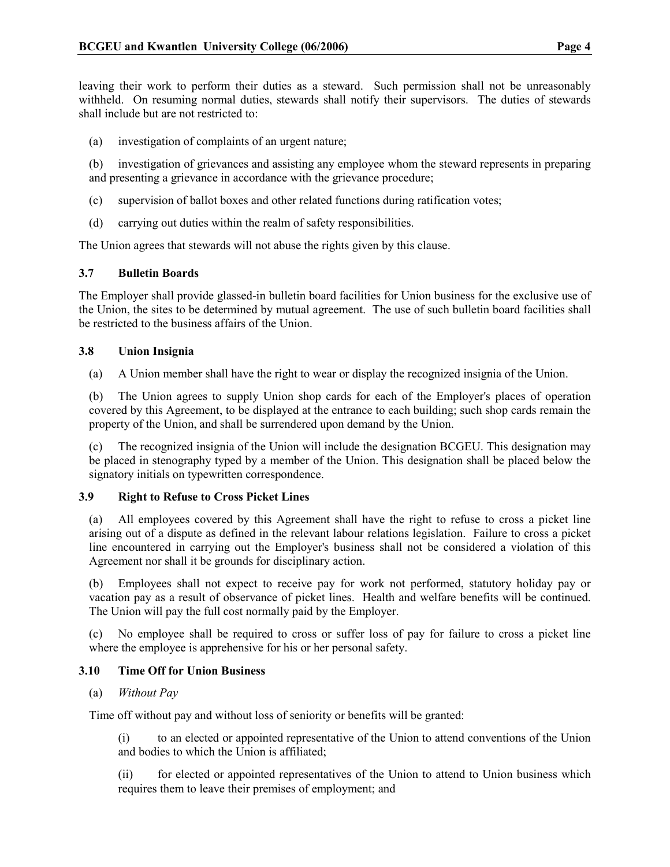leaving their work to perform their duties as a steward. Such permission shall not be unreasonably withheld. On resuming normal duties, stewards shall notify their supervisors. The duties of stewards shall include but are not restricted to:

- (a) investigation of complaints of an urgent nature;
- (b) investigation of grievances and assisting any employee whom the steward represents in preparing and presenting a grievance in accordance with the grievance procedure;
- (c) supervision of ballot boxes and other related functions during ratification votes;
- (d) carrying out duties within the realm of safety responsibilities.

The Union agrees that stewards will not abuse the rights given by this clause.

## 3.7 Bulletin Boards

The Employer shall provide glassed-in bulletin board facilities for Union business for the exclusive use of the Union, the sites to be determined by mutual agreement. The use of such bulletin board facilities shall be restricted to the business affairs of the Union.

## 3.8 Union Insignia

(a) A Union member shall have the right to wear or display the recognized insignia of the Union.

(b) The Union agrees to supply Union shop cards for each of the Employer's places of operation covered by this Agreement, to be displayed at the entrance to each building; such shop cards remain the property of the Union, and shall be surrendered upon demand by the Union.

(c) The recognized insignia of the Union will include the designation BCGEU. This designation may be placed in stenography typed by a member of the Union. This designation shall be placed below the signatory initials on typewritten correspondence.

## 3.9 Right to Refuse to Cross Picket Lines

(a) All employees covered by this Agreement shall have the right to refuse to cross a picket line arising out of a dispute as defined in the relevant labour relations legislation. Failure to cross a picket line encountered in carrying out the Employer's business shall not be considered a violation of this Agreement nor shall it be grounds for disciplinary action.

(b) Employees shall not expect to receive pay for work not performed, statutory holiday pay or vacation pay as a result of observance of picket lines. Health and welfare benefits will be continued. The Union will pay the full cost normally paid by the Employer.

(c) No employee shall be required to cross or suffer loss of pay for failure to cross a picket line where the employee is apprehensive for his or her personal safety.

## 3.10 Time Off for Union Business

## (a) Without Pay

Time off without pay and without loss of seniority or benefits will be granted:

(i) to an elected or appointed representative of the Union to attend conventions of the Union and bodies to which the Union is affiliated;

(ii) for elected or appointed representatives of the Union to attend to Union business which requires them to leave their premises of employment; and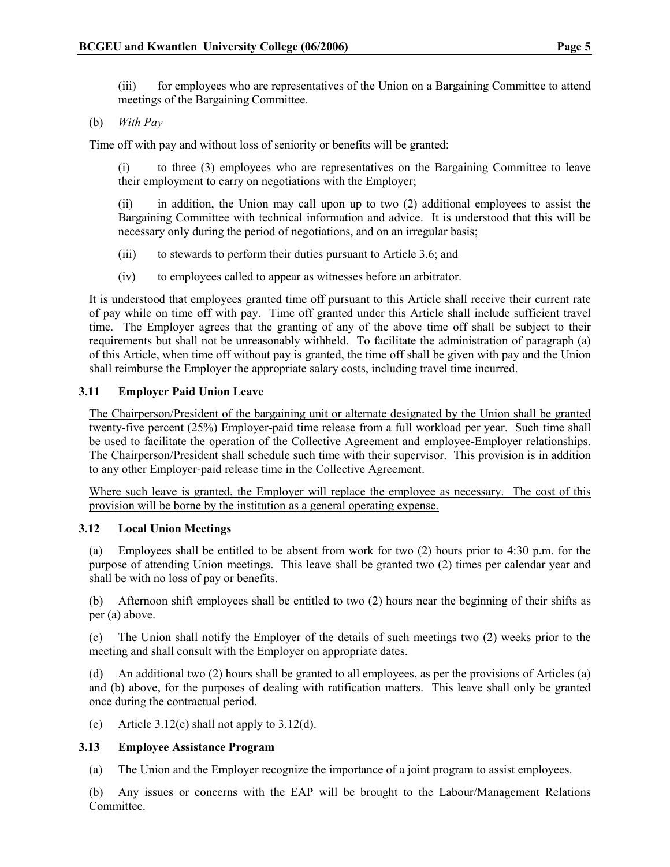(iii) for employees who are representatives of the Union on a Bargaining Committee to attend meetings of the Bargaining Committee.

## (b) With Pay

Time off with pay and without loss of seniority or benefits will be granted:

(i) to three (3) employees who are representatives on the Bargaining Committee to leave their employment to carry on negotiations with the Employer;

(ii) in addition, the Union may call upon up to two (2) additional employees to assist the Bargaining Committee with technical information and advice. It is understood that this will be necessary only during the period of negotiations, and on an irregular basis;

- (iii) to stewards to perform their duties pursuant to Article 3.6; and
- (iv) to employees called to appear as witnesses before an arbitrator.

It is understood that employees granted time off pursuant to this Article shall receive their current rate of pay while on time off with pay. Time off granted under this Article shall include sufficient travel time. The Employer agrees that the granting of any of the above time off shall be subject to their requirements but shall not be unreasonably withheld. To facilitate the administration of paragraph (a) of this Article, when time off without pay is granted, the time off shall be given with pay and the Union shall reimburse the Employer the appropriate salary costs, including travel time incurred.

## 3.11 Employer Paid Union Leave

The Chairperson/President of the bargaining unit or alternate designated by the Union shall be granted twenty-five percent (25%) Employer-paid time release from a full workload per year. Such time shall be used to facilitate the operation of the Collective Agreement and employee-Employer relationships. The Chairperson/President shall schedule such time with their supervisor. This provision is in addition to any other Employer-paid release time in the Collective Agreement.

Where such leave is granted, the Employer will replace the employee as necessary. The cost of this provision will be borne by the institution as a general operating expense.

## 3.12 Local Union Meetings

(a) Employees shall be entitled to be absent from work for two (2) hours prior to 4:30 p.m. for the purpose of attending Union meetings. This leave shall be granted two (2) times per calendar year and shall be with no loss of pay or benefits.

(b) Afternoon shift employees shall be entitled to two (2) hours near the beginning of their shifts as per (a) above.

(c) The Union shall notify the Employer of the details of such meetings two (2) weeks prior to the meeting and shall consult with the Employer on appropriate dates.

(d) An additional two (2) hours shall be granted to all employees, as per the provisions of Articles (a) and (b) above, for the purposes of dealing with ratification matters. This leave shall only be granted once during the contractual period.

(e) Article  $3.12(c)$  shall not apply to  $3.12(d)$ .

## 3.13 Employee Assistance Program

(a) The Union and the Employer recognize the importance of a joint program to assist employees.

(b) Any issues or concerns with the EAP will be brought to the Labour/Management Relations Committee.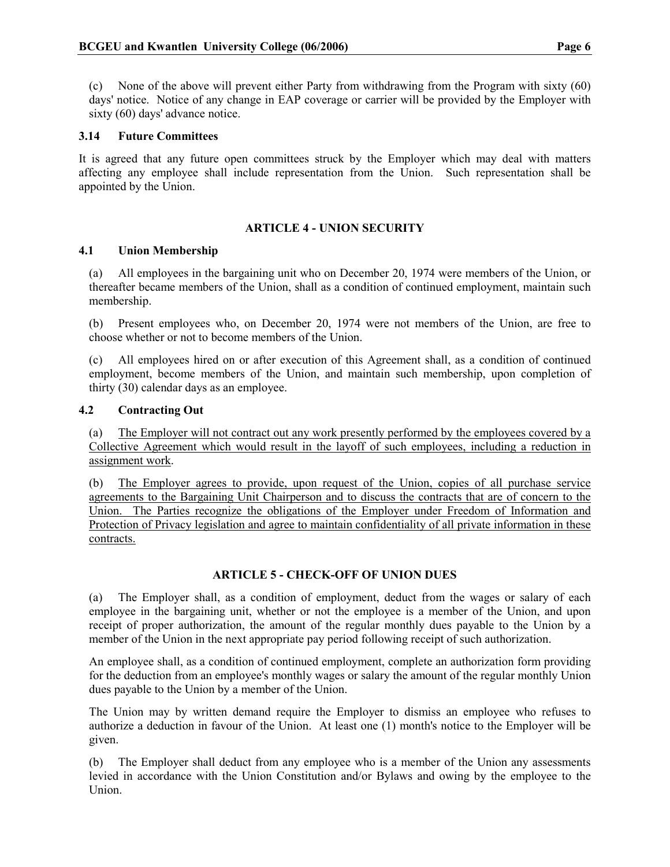(c) None of the above will prevent either Party from withdrawing from the Program with sixty (60) days' notice. Notice of any change in EAP coverage or carrier will be provided by the Employer with sixty (60) days' advance notice.

## 3.14 Future Committees

It is agreed that any future open committees struck by the Employer which may deal with matters affecting any employee shall include representation from the Union. Such representation shall be appointed by the Union.

## ARTICLE 4 - UNION SECURITY

## 4.1 Union Membership

(a) All employees in the bargaining unit who on December 20, 1974 were members of the Union, or thereafter became members of the Union, shall as a condition of continued employment, maintain such membership.

(b) Present employees who, on December 20, 1974 were not members of the Union, are free to choose whether or not to become members of the Union.

(c) All employees hired on or after execution of this Agreement shall, as a condition of continued employment, become members of the Union, and maintain such membership, upon completion of thirty (30) calendar days as an employee.

#### 4.2 Contracting Out

(a) The Employer will not contract out any work presently performed by the employees covered by a Collective Agreement which would result in the layoff of such employees, including a reduction in assignment work.

(b) The Employer agrees to provide, upon request of the Union, copies of all purchase service agreements to the Bargaining Unit Chairperson and to discuss the contracts that are of concern to the Union. The Parties recognize the obligations of the Employer under Freedom of Information and Protection of Privacy legislation and agree to maintain confidentiality of all private information in these contracts.

## ARTICLE 5 - CHECK-OFF OF UNION DUES

(a) The Employer shall, as a condition of employment, deduct from the wages or salary of each employee in the bargaining unit, whether or not the employee is a member of the Union, and upon receipt of proper authorization, the amount of the regular monthly dues payable to the Union by a member of the Union in the next appropriate pay period following receipt of such authorization.

An employee shall, as a condition of continued employment, complete an authorization form providing for the deduction from an employee's monthly wages or salary the amount of the regular monthly Union dues payable to the Union by a member of the Union.

The Union may by written demand require the Employer to dismiss an employee who refuses to authorize a deduction in favour of the Union. At least one (1) month's notice to the Employer will be given.

The Employer shall deduct from any employee who is a member of the Union any assessments levied in accordance with the Union Constitution and/or Bylaws and owing by the employee to the Union.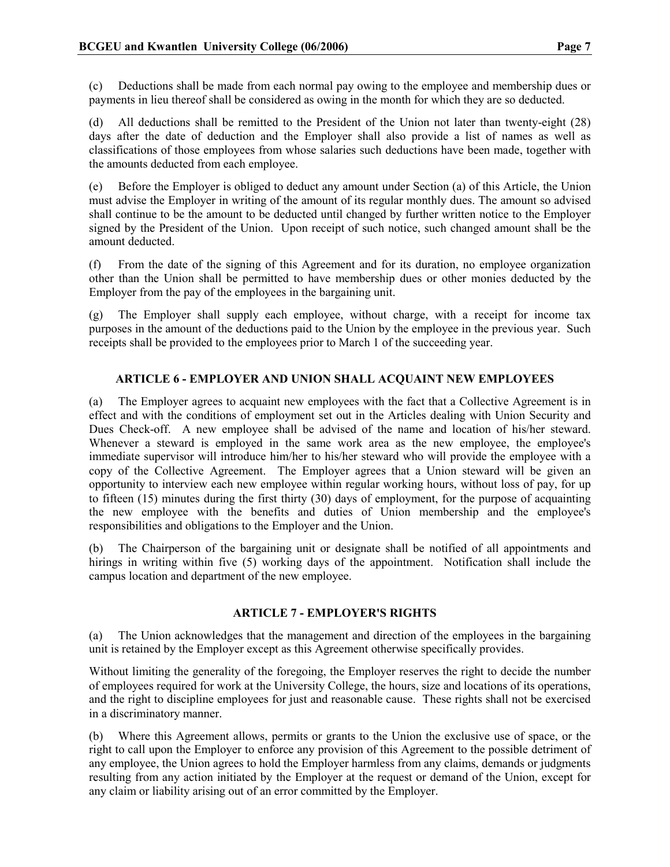(c) Deductions shall be made from each normal pay owing to the employee and membership dues or payments in lieu thereof shall be considered as owing in the month for which they are so deducted.

(d) All deductions shall be remitted to the President of the Union not later than twenty-eight (28) days after the date of deduction and the Employer shall also provide a list of names as well as classifications of those employees from whose salaries such deductions have been made, together with the amounts deducted from each employee.

(e) Before the Employer is obliged to deduct any amount under Section (a) of this Article, the Union must advise the Employer in writing of the amount of its regular monthly dues. The amount so advised shall continue to be the amount to be deducted until changed by further written notice to the Employer signed by the President of the Union. Upon receipt of such notice, such changed amount shall be the amount deducted.

(f) From the date of the signing of this Agreement and for its duration, no employee organization other than the Union shall be permitted to have membership dues or other monies deducted by the Employer from the pay of the employees in the bargaining unit.

(g) The Employer shall supply each employee, without charge, with a receipt for income tax purposes in the amount of the deductions paid to the Union by the employee in the previous year. Such receipts shall be provided to the employees prior to March 1 of the succeeding year.

## ARTICLE 6 - EMPLOYER AND UNION SHALL ACQUAINT NEW EMPLOYEES

(a) The Employer agrees to acquaint new employees with the fact that a Collective Agreement is in effect and with the conditions of employment set out in the Articles dealing with Union Security and Dues Check-off. A new employee shall be advised of the name and location of his/her steward. Whenever a steward is employed in the same work area as the new employee, the employee's immediate supervisor will introduce him/her to his/her steward who will provide the employee with a copy of the Collective Agreement. The Employer agrees that a Union steward will be given an opportunity to interview each new employee within regular working hours, without loss of pay, for up to fifteen (15) minutes during the first thirty (30) days of employment, for the purpose of acquainting the new employee with the benefits and duties of Union membership and the employee's responsibilities and obligations to the Employer and the Union.

(b) The Chairperson of the bargaining unit or designate shall be notified of all appointments and hirings in writing within five (5) working days of the appointment. Notification shall include the campus location and department of the new employee.

## ARTICLE 7 - EMPLOYER'S RIGHTS

(a) The Union acknowledges that the management and direction of the employees in the bargaining unit is retained by the Employer except as this Agreement otherwise specifically provides.

Without limiting the generality of the foregoing, the Employer reserves the right to decide the number of employees required for work at the University College, the hours, size and locations of its operations, and the right to discipline employees for just and reasonable cause. These rights shall not be exercised in a discriminatory manner.

(b) Where this Agreement allows, permits or grants to the Union the exclusive use of space, or the right to call upon the Employer to enforce any provision of this Agreement to the possible detriment of any employee, the Union agrees to hold the Employer harmless from any claims, demands or judgments resulting from any action initiated by the Employer at the request or demand of the Union, except for any claim or liability arising out of an error committed by the Employer.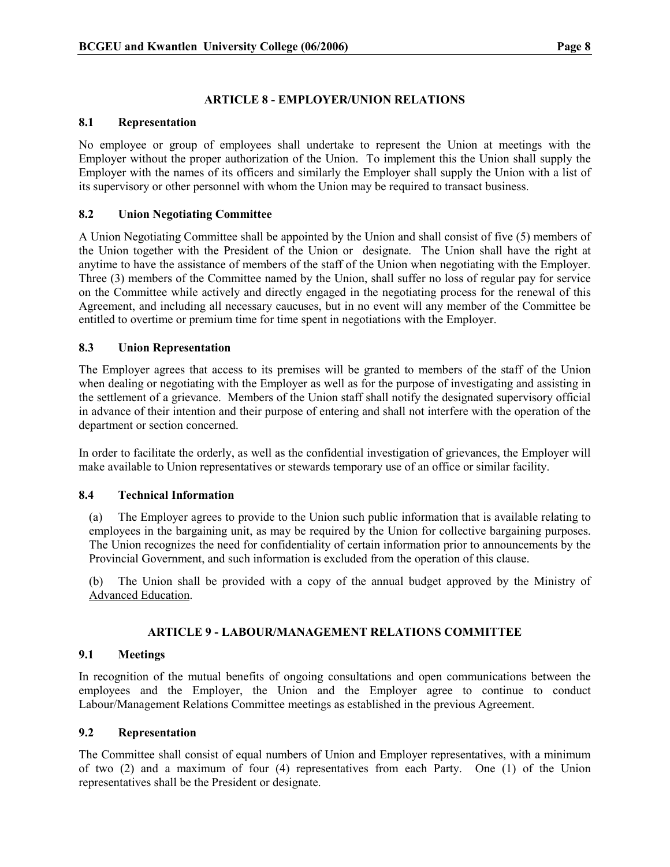## ARTICLE 8 - EMPLOYER/UNION RELATIONS

## 8.1 Representation

No employee or group of employees shall undertake to represent the Union at meetings with the Employer without the proper authorization of the Union. To implement this the Union shall supply the Employer with the names of its officers and similarly the Employer shall supply the Union with a list of its supervisory or other personnel with whom the Union may be required to transact business.

## 8.2 Union Negotiating Committee

A Union Negotiating Committee shall be appointed by the Union and shall consist of five (5) members of the Union together with the President of the Union or designate. The Union shall have the right at anytime to have the assistance of members of the staff of the Union when negotiating with the Employer. Three (3) members of the Committee named by the Union, shall suffer no loss of regular pay for service on the Committee while actively and directly engaged in the negotiating process for the renewal of this Agreement, and including all necessary caucuses, but in no event will any member of the Committee be entitled to overtime or premium time for time spent in negotiations with the Employer.

## 8.3 Union Representation

The Employer agrees that access to its premises will be granted to members of the staff of the Union when dealing or negotiating with the Employer as well as for the purpose of investigating and assisting in the settlement of a grievance. Members of the Union staff shall notify the designated supervisory official in advance of their intention and their purpose of entering and shall not interfere with the operation of the department or section concerned.

In order to facilitate the orderly, as well as the confidential investigation of grievances, the Employer will make available to Union representatives or stewards temporary use of an office or similar facility.

## 8.4 Technical Information

(a) The Employer agrees to provide to the Union such public information that is available relating to employees in the bargaining unit, as may be required by the Union for collective bargaining purposes. The Union recognizes the need for confidentiality of certain information prior to announcements by the Provincial Government, and such information is excluded from the operation of this clause.

(b) The Union shall be provided with a copy of the annual budget approved by the Ministry of Advanced Education.

## ARTICLE 9 - LABOUR/MANAGEMENT RELATIONS COMMITTEE

## 9.1 Meetings

In recognition of the mutual benefits of ongoing consultations and open communications between the employees and the Employer, the Union and the Employer agree to continue to conduct Labour/Management Relations Committee meetings as established in the previous Agreement.

## 9.2 Representation

The Committee shall consist of equal numbers of Union and Employer representatives, with a minimum of two (2) and a maximum of four (4) representatives from each Party. One (1) of the Union representatives shall be the President or designate.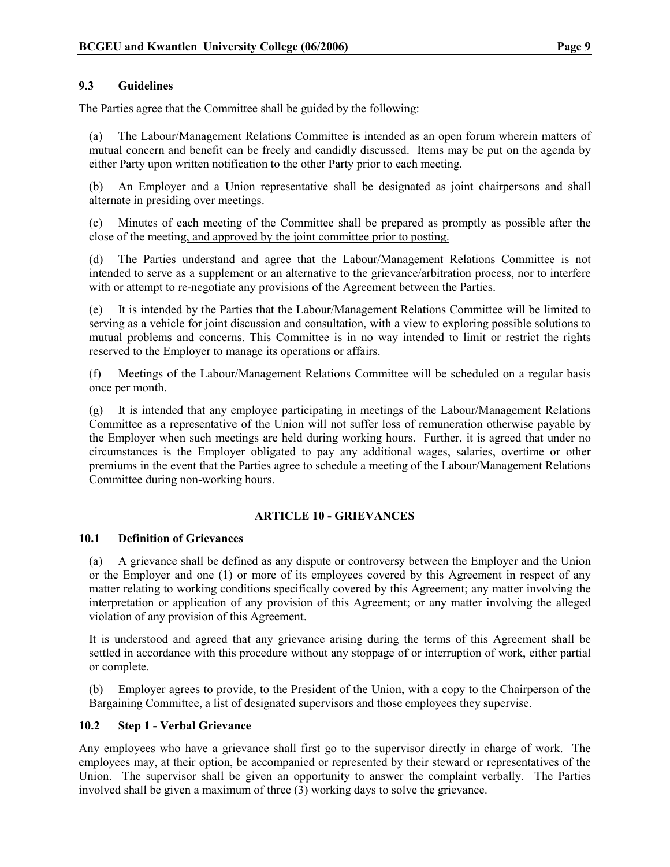## 9.3 Guidelines

The Parties agree that the Committee shall be guided by the following:

(a) The Labour/Management Relations Committee is intended as an open forum wherein matters of mutual concern and benefit can be freely and candidly discussed. Items may be put on the agenda by either Party upon written notification to the other Party prior to each meeting.

(b) An Employer and a Union representative shall be designated as joint chairpersons and shall alternate in presiding over meetings.

(c) Minutes of each meeting of the Committee shall be prepared as promptly as possible after the close of the meeting, and approved by the joint committee prior to posting.

(d) The Parties understand and agree that the Labour/Management Relations Committee is not intended to serve as a supplement or an alternative to the grievance/arbitration process, nor to interfere with or attempt to re-negotiate any provisions of the Agreement between the Parties.

(e) It is intended by the Parties that the Labour/Management Relations Committee will be limited to serving as a vehicle for joint discussion and consultation, with a view to exploring possible solutions to mutual problems and concerns. This Committee is in no way intended to limit or restrict the rights reserved to the Employer to manage its operations or affairs.

(f) Meetings of the Labour/Management Relations Committee will be scheduled on a regular basis once per month.

(g) It is intended that any employee participating in meetings of the Labour/Management Relations Committee as a representative of the Union will not suffer loss of remuneration otherwise payable by the Employer when such meetings are held during working hours. Further, it is agreed that under no circumstances is the Employer obligated to pay any additional wages, salaries, overtime or other premiums in the event that the Parties agree to schedule a meeting of the Labour/Management Relations Committee during non-working hours.

## ARTICLE 10 - GRIEVANCES

## 10.1 Definition of Grievances

(a) A grievance shall be defined as any dispute or controversy between the Employer and the Union or the Employer and one (1) or more of its employees covered by this Agreement in respect of any matter relating to working conditions specifically covered by this Agreement; any matter involving the interpretation or application of any provision of this Agreement; or any matter involving the alleged violation of any provision of this Agreement.

It is understood and agreed that any grievance arising during the terms of this Agreement shall be settled in accordance with this procedure without any stoppage of or interruption of work, either partial or complete.

(b) Employer agrees to provide, to the President of the Union, with a copy to the Chairperson of the Bargaining Committee, a list of designated supervisors and those employees they supervise.

## 10.2 Step 1 - Verbal Grievance

Any employees who have a grievance shall first go to the supervisor directly in charge of work. The employees may, at their option, be accompanied or represented by their steward or representatives of the Union. The supervisor shall be given an opportunity to answer the complaint verbally. The Parties involved shall be given a maximum of three (3) working days to solve the grievance.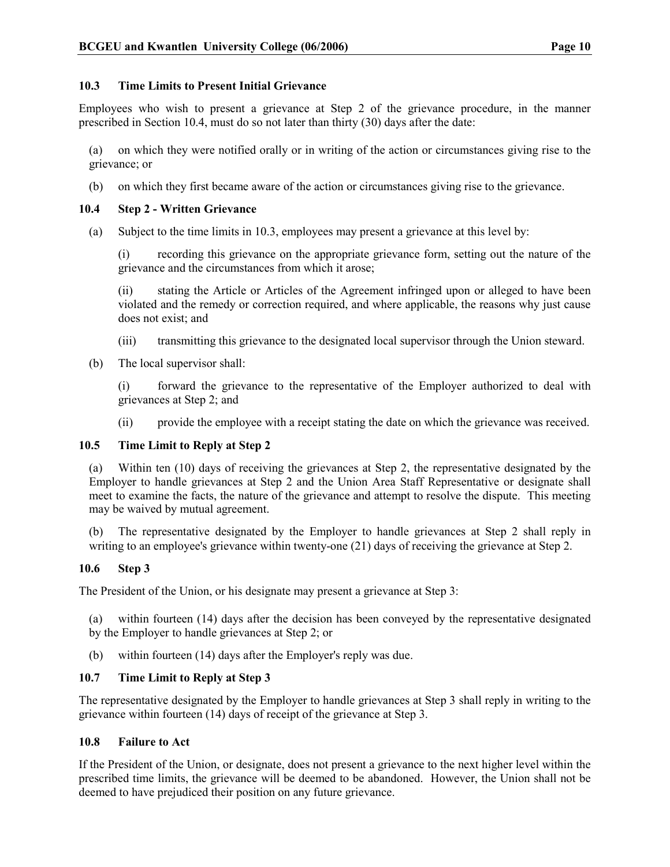## 10.3 Time Limits to Present Initial Grievance

Employees who wish to present a grievance at Step 2 of the grievance procedure, in the manner prescribed in Section 10.4, must do so not later than thirty (30) days after the date:

(a) on which they were notified orally or in writing of the action or circumstances giving rise to the grievance; or

(b) on which they first became aware of the action or circumstances giving rise to the grievance.

## 10.4 Step 2 - Written Grievance

(a) Subject to the time limits in 10.3, employees may present a grievance at this level by:

(i) recording this grievance on the appropriate grievance form, setting out the nature of the grievance and the circumstances from which it arose;

(ii) stating the Article or Articles of the Agreement infringed upon or alleged to have been violated and the remedy or correction required, and where applicable, the reasons why just cause does not exist; and

- (iii) transmitting this grievance to the designated local supervisor through the Union steward.
- (b) The local supervisor shall:

(i) forward the grievance to the representative of the Employer authorized to deal with grievances at Step 2; and

(ii) provide the employee with a receipt stating the date on which the grievance was received.

## 10.5 Time Limit to Reply at Step 2

(a) Within ten (10) days of receiving the grievances at Step 2, the representative designated by the Employer to handle grievances at Step 2 and the Union Area Staff Representative or designate shall meet to examine the facts, the nature of the grievance and attempt to resolve the dispute. This meeting may be waived by mutual agreement.

(b) The representative designated by the Employer to handle grievances at Step 2 shall reply in writing to an employee's grievance within twenty-one (21) days of receiving the grievance at Step 2.

## 10.6 Step 3

The President of the Union, or his designate may present a grievance at Step 3:

(a) within fourteen (14) days after the decision has been conveyed by the representative designated by the Employer to handle grievances at Step 2; or

(b) within fourteen (14) days after the Employer's reply was due.

## 10.7 Time Limit to Reply at Step 3

The representative designated by the Employer to handle grievances at Step 3 shall reply in writing to the grievance within fourteen (14) days of receipt of the grievance at Step 3.

## 10.8 Failure to Act

If the President of the Union, or designate, does not present a grievance to the next higher level within the prescribed time limits, the grievance will be deemed to be abandoned. However, the Union shall not be deemed to have prejudiced their position on any future grievance.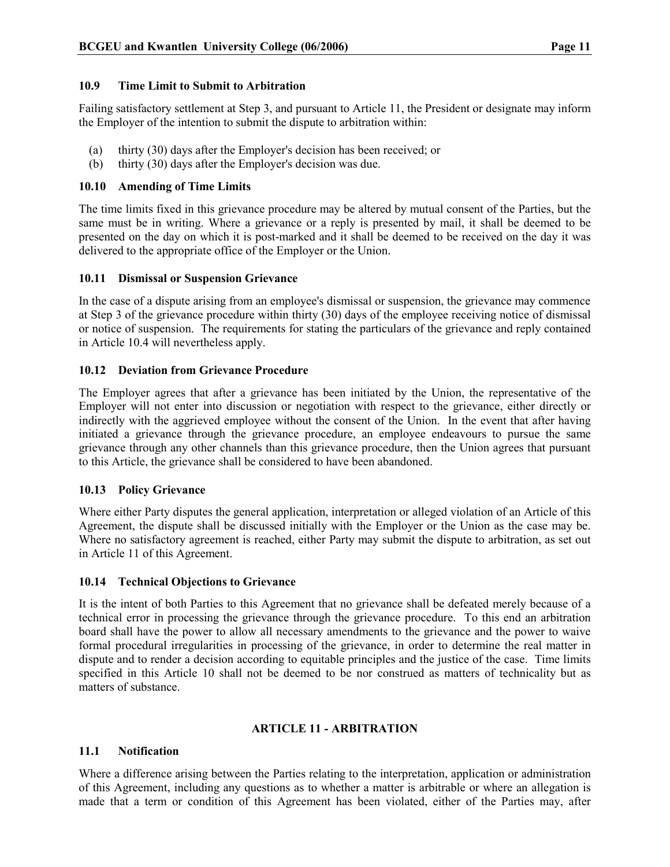## 10.9 Time Limit to Submit to Arbitration

Failing satisfactory settlement at Step 3, and pursuant to Article 11, the President or designate may inform the Employer of the intention to submit the dispute to arbitration within:

- (a) thirty (30) days after the Employer's decision has been received; or
- (b) thirty (30) days after the Employer's decision was due.

## 10.10 Amending of Time Limits

The time limits fixed in this grievance procedure may be altered by mutual consent of the Parties, but the same must be in writing. Where a grievance or a reply is presented by mail, it shall be deemed to be presented on the day on which it is post-marked and it shall be deemed to be received on the day it was delivered to the appropriate office of the Employer or the Union.

## 10.11 Dismissal or Suspension Grievance

In the case of a dispute arising from an employee's dismissal or suspension, the grievance may commence at Step 3 of the grievance procedure within thirty (30) days of the employee receiving notice of dismissal or notice of suspension. The requirements for stating the particulars of the grievance and reply contained in Article 10.4 will nevertheless apply.

## 10.12 Deviation from Grievance Procedure

The Employer agrees that after a grievance has been initiated by the Union, the representative of the Employer will not enter into discussion or negotiation with respect to the grievance, either directly or indirectly with the aggrieved employee without the consent of the Union. In the event that after having initiated a grievance through the grievance procedure, an employee endeavours to pursue the same grievance through any other channels than this grievance procedure, then the Union agrees that pursuant to this Article, the grievance shall be considered to have been abandoned.

## 10.13 Policy Grievance

Where either Party disputes the general application, interpretation or alleged violation of an Article of this Agreement, the dispute shall be discussed initially with the Employer or the Union as the case may be. Where no satisfactory agreement is reached, either Party may submit the dispute to arbitration, as set out in Article 11 of this Agreement.

## 10.14 Technical Objections to Grievance

It is the intent of both Parties to this Agreement that no grievance shall be defeated merely because of a technical error in processing the grievance through the grievance procedure. To this end an arbitration board shall have the power to allow all necessary amendments to the grievance and the power to waive formal procedural irregularities in processing of the grievance, in order to determine the real matter in dispute and to render a decision according to equitable principles and the justice of the case. Time limits specified in this Article 10 shall not be deemed to be nor construed as matters of technicality but as matters of substance.

## ARTICLE 11 - ARBITRATION

## 11.1 Notification

Where a difference arising between the Parties relating to the interpretation, application or administration of this Agreement, including any questions as to whether a matter is arbitrable or where an allegation is made that a term or condition of this Agreement has been violated, either of the Parties may, after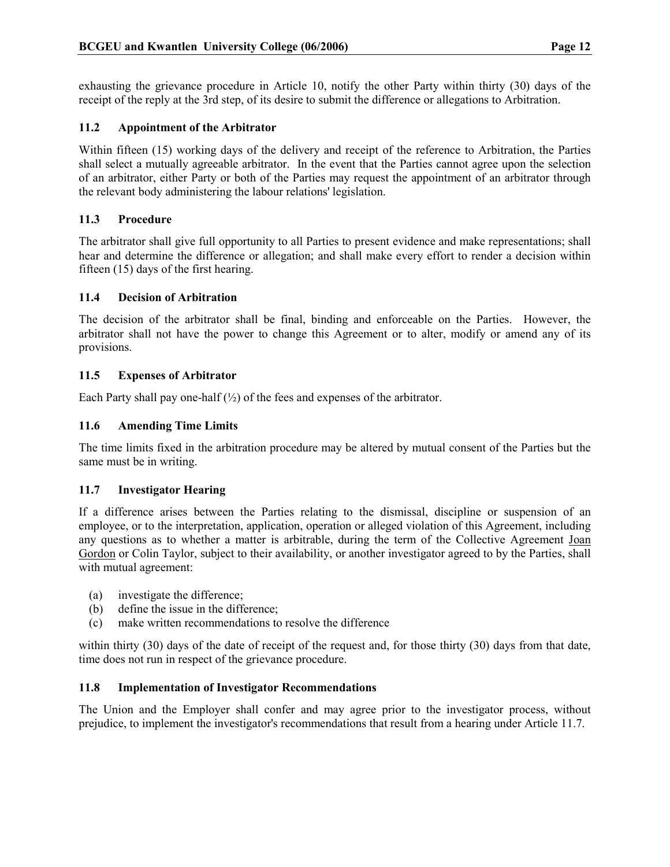exhausting the grievance procedure in Article 10, notify the other Party within thirty (30) days of the receipt of the reply at the 3rd step, of its desire to submit the difference or allegations to Arbitration.

## 11.2 Appointment of the Arbitrator

Within fifteen (15) working days of the delivery and receipt of the reference to Arbitration, the Parties shall select a mutually agreeable arbitrator. In the event that the Parties cannot agree upon the selection of an arbitrator, either Party or both of the Parties may request the appointment of an arbitrator through the relevant body administering the labour relations' legislation.

## 11.3 Procedure

The arbitrator shall give full opportunity to all Parties to present evidence and make representations; shall hear and determine the difference or allegation; and shall make every effort to render a decision within fifteen (15) days of the first hearing.

## 11.4 Decision of Arbitration

The decision of the arbitrator shall be final, binding and enforceable on the Parties. However, the arbitrator shall not have the power to change this Agreement or to alter, modify or amend any of its provisions.

## 11.5 Expenses of Arbitrator

Each Party shall pay one-half  $(\frac{1}{2})$  of the fees and expenses of the arbitrator.

## 11.6 Amending Time Limits

The time limits fixed in the arbitration procedure may be altered by mutual consent of the Parties but the same must be in writing.

#### 11.7 Investigator Hearing

If a difference arises between the Parties relating to the dismissal, discipline or suspension of an employee, or to the interpretation, application, operation or alleged violation of this Agreement, including any questions as to whether a matter is arbitrable, during the term of the Collective Agreement Joan Gordon or Colin Taylor, subject to their availability, or another investigator agreed to by the Parties, shall with mutual agreement:

- (a) investigate the difference;
- (b) define the issue in the difference;
- (c) make written recommendations to resolve the difference

within thirty (30) days of the date of receipt of the request and, for those thirty (30) days from that date, time does not run in respect of the grievance procedure.

## 11.8 Implementation of Investigator Recommendations

The Union and the Employer shall confer and may agree prior to the investigator process, without prejudice, to implement the investigator's recommendations that result from a hearing under Article 11.7.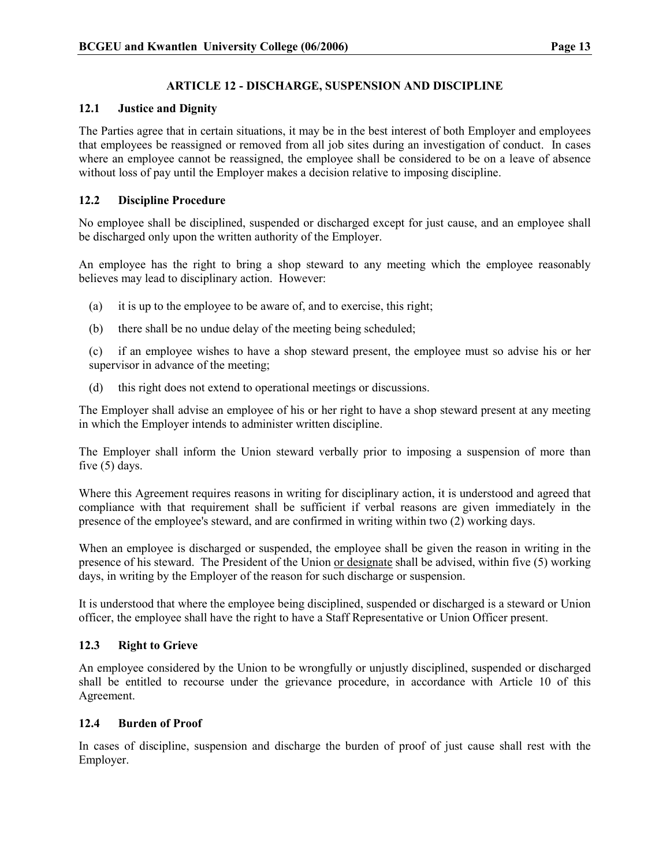## ARTICLE 12 - DISCHARGE, SUSPENSION AND DISCIPLINE

## 12.1 Justice and Dignity

The Parties agree that in certain situations, it may be in the best interest of both Employer and employees that employees be reassigned or removed from all job sites during an investigation of conduct. In cases where an employee cannot be reassigned, the employee shall be considered to be on a leave of absence without loss of pay until the Employer makes a decision relative to imposing discipline.

## 12.2 Discipline Procedure

No employee shall be disciplined, suspended or discharged except for just cause, and an employee shall be discharged only upon the written authority of the Employer.

An employee has the right to bring a shop steward to any meeting which the employee reasonably believes may lead to disciplinary action. However:

- (a) it is up to the employee to be aware of, and to exercise, this right;
- (b) there shall be no undue delay of the meeting being scheduled;

(c) if an employee wishes to have a shop steward present, the employee must so advise his or her supervisor in advance of the meeting;

(d) this right does not extend to operational meetings or discussions.

The Employer shall advise an employee of his or her right to have a shop steward present at any meeting in which the Employer intends to administer written discipline.

The Employer shall inform the Union steward verbally prior to imposing a suspension of more than five (5) days.

Where this Agreement requires reasons in writing for disciplinary action, it is understood and agreed that compliance with that requirement shall be sufficient if verbal reasons are given immediately in the presence of the employee's steward, and are confirmed in writing within two (2) working days.

When an employee is discharged or suspended, the employee shall be given the reason in writing in the presence of his steward. The President of the Union or designate shall be advised, within five (5) working days, in writing by the Employer of the reason for such discharge or suspension.

It is understood that where the employee being disciplined, suspended or discharged is a steward or Union officer, the employee shall have the right to have a Staff Representative or Union Officer present.

## 12.3 Right to Grieve

An employee considered by the Union to be wrongfully or unjustly disciplined, suspended or discharged shall be entitled to recourse under the grievance procedure, in accordance with Article 10 of this Agreement.

## 12.4 Burden of Proof

In cases of discipline, suspension and discharge the burden of proof of just cause shall rest with the Employer.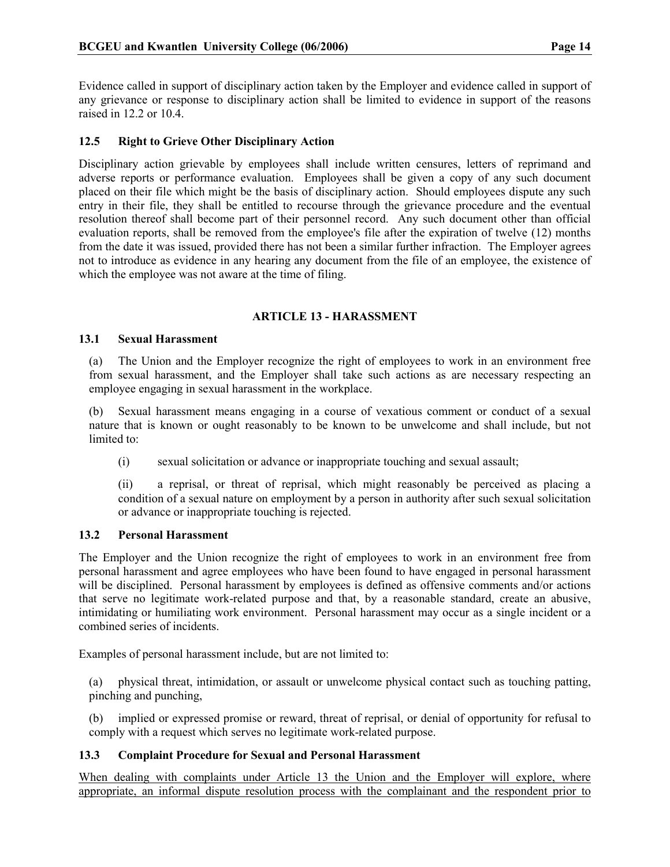Evidence called in support of disciplinary action taken by the Employer and evidence called in support of any grievance or response to disciplinary action shall be limited to evidence in support of the reasons raised in 12.2 or 10.4.

## 12.5 Right to Grieve Other Disciplinary Action

Disciplinary action grievable by employees shall include written censures, letters of reprimand and adverse reports or performance evaluation. Employees shall be given a copy of any such document placed on their file which might be the basis of disciplinary action. Should employees dispute any such entry in their file, they shall be entitled to recourse through the grievance procedure and the eventual resolution thereof shall become part of their personnel record. Any such document other than official evaluation reports, shall be removed from the employee's file after the expiration of twelve (12) months from the date it was issued, provided there has not been a similar further infraction. The Employer agrees not to introduce as evidence in any hearing any document from the file of an employee, the existence of which the employee was not aware at the time of filing.

## ARTICLE 13 - HARASSMENT

## 13.1 Sexual Harassment

(a) The Union and the Employer recognize the right of employees to work in an environment free from sexual harassment, and the Employer shall take such actions as are necessary respecting an employee engaging in sexual harassment in the workplace.

(b) Sexual harassment means engaging in a course of vexatious comment or conduct of a sexual nature that is known or ought reasonably to be known to be unwelcome and shall include, but not limited to:

(i) sexual solicitation or advance or inappropriate touching and sexual assault;

(ii) a reprisal, or threat of reprisal, which might reasonably be perceived as placing a condition of a sexual nature on employment by a person in authority after such sexual solicitation or advance or inappropriate touching is rejected.

## 13.2 Personal Harassment

The Employer and the Union recognize the right of employees to work in an environment free from personal harassment and agree employees who have been found to have engaged in personal harassment will be disciplined. Personal harassment by employees is defined as offensive comments and/or actions that serve no legitimate work-related purpose and that, by a reasonable standard, create an abusive, intimidating or humiliating work environment. Personal harassment may occur as a single incident or a combined series of incidents.

Examples of personal harassment include, but are not limited to:

(a) physical threat, intimidation, or assault or unwelcome physical contact such as touching patting, pinching and punching,

(b) implied or expressed promise or reward, threat of reprisal, or denial of opportunity for refusal to comply with a request which serves no legitimate work-related purpose.

## 13.3 Complaint Procedure for Sexual and Personal Harassment

When dealing with complaints under Article 13 the Union and the Employer will explore, where appropriate, an informal dispute resolution process with the complainant and the respondent prior to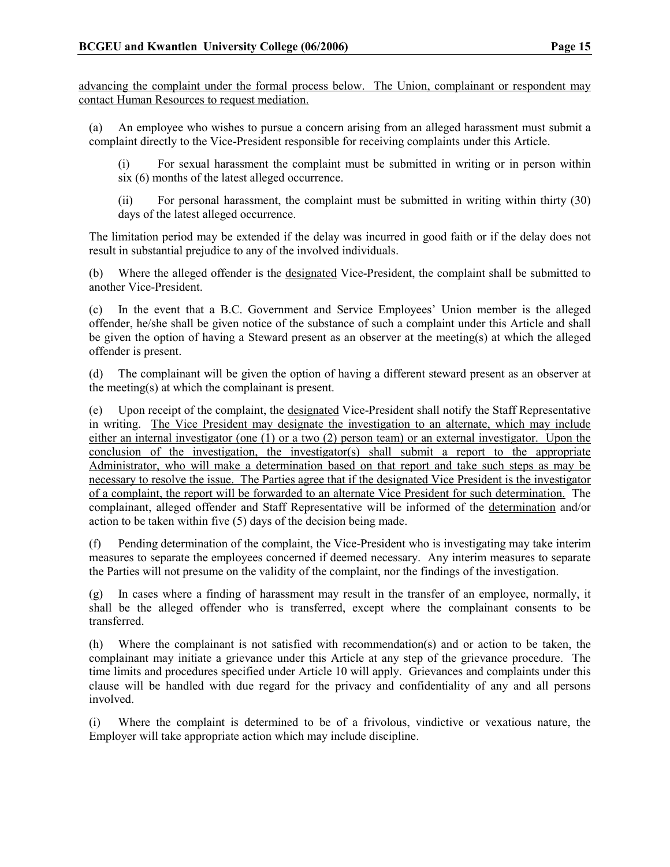advancing the complaint under the formal process below. The Union, complainant or respondent may contact Human Resources to request mediation.

(a) An employee who wishes to pursue a concern arising from an alleged harassment must submit a complaint directly to the Vice-President responsible for receiving complaints under this Article.

(i) For sexual harassment the complaint must be submitted in writing or in person within six (6) months of the latest alleged occurrence.

(ii) For personal harassment, the complaint must be submitted in writing within thirty (30) days of the latest alleged occurrence.

The limitation period may be extended if the delay was incurred in good faith or if the delay does not result in substantial prejudice to any of the involved individuals.

(b) Where the alleged offender is the designated Vice-President, the complaint shall be submitted to another Vice-President.

(c) In the event that a B.C. Government and Service Employees' Union member is the alleged offender, he/she shall be given notice of the substance of such a complaint under this Article and shall be given the option of having a Steward present as an observer at the meeting(s) at which the alleged offender is present.

(d) The complainant will be given the option of having a different steward present as an observer at the meeting(s) at which the complainant is present.

(e) Upon receipt of the complaint, the designated Vice-President shall notify the Staff Representative in writing. The Vice President may designate the investigation to an alternate, which may include either an internal investigator (one (1) or a two (2) person team) or an external investigator. Upon the conclusion of the investigation, the investigator(s) shall submit a report to the appropriate Administrator, who will make a determination based on that report and take such steps as may be necessary to resolve the issue. The Parties agree that if the designated Vice President is the investigator of a complaint, the report will be forwarded to an alternate Vice President for such determination. The complainant, alleged offender and Staff Representative will be informed of the determination and/or action to be taken within five (5) days of the decision being made.

(f) Pending determination of the complaint, the Vice-President who is investigating may take interim measures to separate the employees concerned if deemed necessary. Any interim measures to separate the Parties will not presume on the validity of the complaint, nor the findings of the investigation.

(g) In cases where a finding of harassment may result in the transfer of an employee, normally, it shall be the alleged offender who is transferred, except where the complainant consents to be transferred.

(h) Where the complainant is not satisfied with recommendation(s) and or action to be taken, the complainant may initiate a grievance under this Article at any step of the grievance procedure. The time limits and procedures specified under Article 10 will apply. Grievances and complaints under this clause will be handled with due regard for the privacy and confidentiality of any and all persons involved.

(i) Where the complaint is determined to be of a frivolous, vindictive or vexatious nature, the Employer will take appropriate action which may include discipline.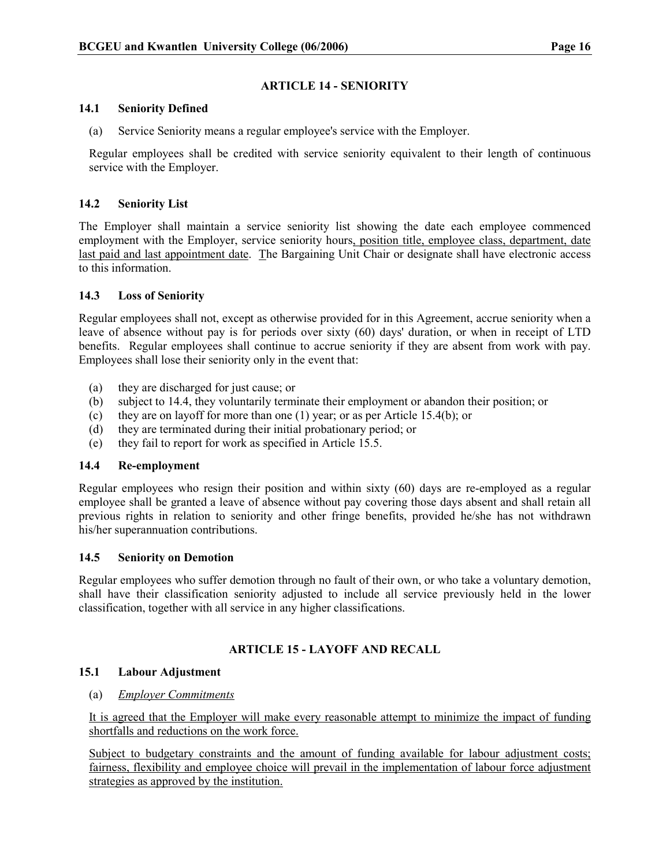#### ARTICLE 14 - SENIORITY

#### 14.1 Seniority Defined

(a) Service Seniority means a regular employee's service with the Employer.

Regular employees shall be credited with service seniority equivalent to their length of continuous service with the Employer.

#### 14.2 Seniority List

The Employer shall maintain a service seniority list showing the date each employee commenced employment with the Employer, service seniority hours, position title, employee class, department, date last paid and last appointment date. The Bargaining Unit Chair or designate shall have electronic access to this information.

## 14.3 Loss of Seniority

Regular employees shall not, except as otherwise provided for in this Agreement, accrue seniority when a leave of absence without pay is for periods over sixty (60) days' duration, or when in receipt of LTD benefits. Regular employees shall continue to accrue seniority if they are absent from work with pay. Employees shall lose their seniority only in the event that:

- (a) they are discharged for just cause; or
- (b) subject to 14.4, they voluntarily terminate their employment or abandon their position; or
- (c) they are on layoff for more than one (1) year; or as per Article 15.4(b); or
- (d) they are terminated during their initial probationary period; or
- (e) they fail to report for work as specified in Article 15.5.

## 14.4 Re-employment

Regular employees who resign their position and within sixty (60) days are re-employed as a regular employee shall be granted a leave of absence without pay covering those days absent and shall retain all previous rights in relation to seniority and other fringe benefits, provided he/she has not withdrawn his/her superannuation contributions.

## 14.5 Seniority on Demotion

Regular employees who suffer demotion through no fault of their own, or who take a voluntary demotion, shall have their classification seniority adjusted to include all service previously held in the lower classification, together with all service in any higher classifications.

## ARTICLE 15 - LAYOFF AND RECALL

## 15.1 Labour Adjustment

(a) Employer Commitments

It is agreed that the Employer will make every reasonable attempt to minimize the impact of funding shortfalls and reductions on the work force.

Subject to budgetary constraints and the amount of funding available for labour adjustment costs; fairness, flexibility and employee choice will prevail in the implementation of labour force adjustment strategies as approved by the institution.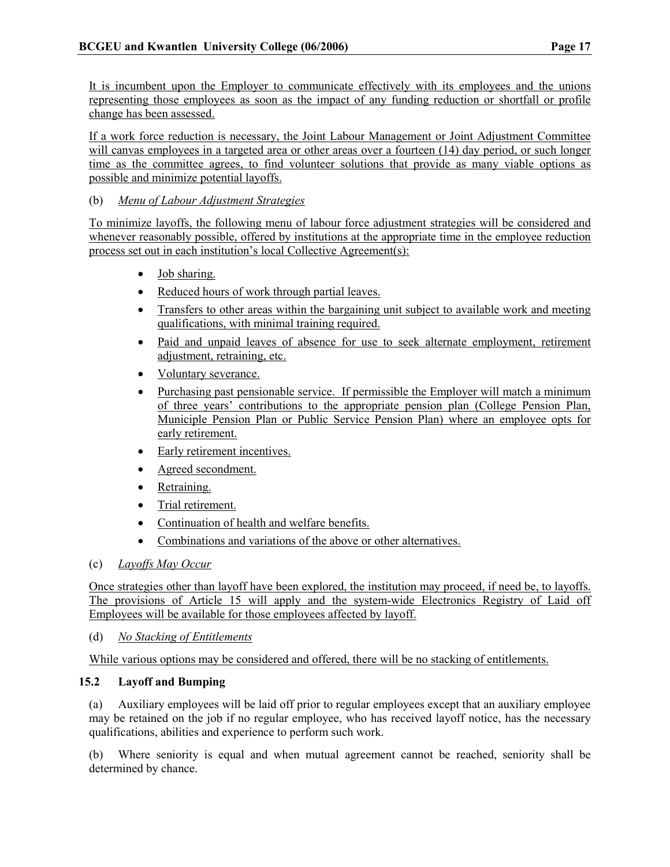It is incumbent upon the Employer to communicate effectively with its employees and the unions representing those employees as soon as the impact of any funding reduction or shortfall or profile change has been assessed.

If a work force reduction is necessary, the Joint Labour Management or Joint Adjustment Committee will canvas employees in a targeted area or other areas over a fourteen (14) day period, or such longer time as the committee agrees, to find volunteer solutions that provide as many viable options as possible and minimize potential layoffs.

## (b) Menu of Labour Adjustment Strategies

To minimize layoffs, the following menu of labour force adjustment strategies will be considered and whenever reasonably possible, offered by institutions at the appropriate time in the employee reduction process set out in each institution's local Collective Agreement(s):

- Job sharing.
- Reduced hours of work through partial leaves.
- Transfers to other areas within the bargaining unit subject to available work and meeting qualifications, with minimal training required.
- Paid and unpaid leaves of absence for use to seek alternate employment, retirement adjustment, retraining, etc.
- Voluntary severance.
- Purchasing past pensionable service. If permissible the Employer will match a minimum of three years' contributions to the appropriate pension plan (College Pension Plan, Municiple Pension Plan or Public Service Pension Plan) where an employee opts for early retirement.
- Early retirement incentives.
- Agreed secondment.
- Retraining.
- Trial retirement.
- Continuation of health and welfare benefits.
- Combinations and variations of the above or other alternatives.
- (c) Layoffs May Occur

Once strategies other than layoff have been explored, the institution may proceed, if need be, to layoffs. The provisions of Article 15 will apply and the system-wide Electronics Registry of Laid off Employees will be available for those employees affected by layoff.

(d) No Stacking of Entitlements

While various options may be considered and offered, there will be no stacking of entitlements.

## 15.2 Layoff and Bumping

(a) Auxiliary employees will be laid off prior to regular employees except that an auxiliary employee may be retained on the job if no regular employee, who has received layoff notice, has the necessary qualifications, abilities and experience to perform such work.

(b) Where seniority is equal and when mutual agreement cannot be reached, seniority shall be determined by chance.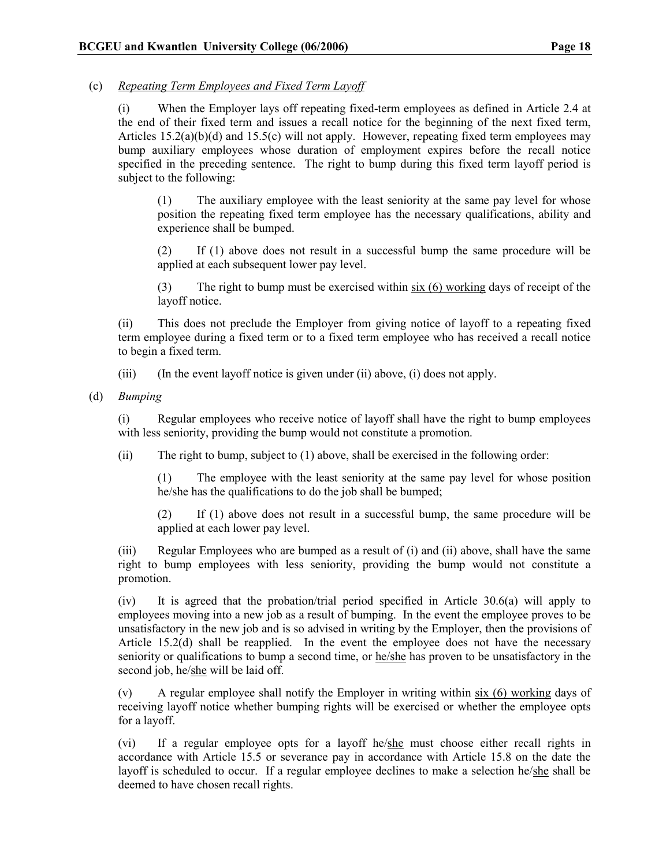## (c) Repeating Term Employees and Fixed Term Layoff

(i) When the Employer lays off repeating fixed-term employees as defined in Article 2.4 at the end of their fixed term and issues a recall notice for the beginning of the next fixed term, Articles  $15.2(a)(b)(d)$  and  $15.5(c)$  will not apply. However, repeating fixed term employees may bump auxiliary employees whose duration of employment expires before the recall notice specified in the preceding sentence. The right to bump during this fixed term layoff period is subject to the following:

(1) The auxiliary employee with the least seniority at the same pay level for whose position the repeating fixed term employee has the necessary qualifications, ability and experience shall be bumped.

(2) If (1) above does not result in a successful bump the same procedure will be applied at each subsequent lower pay level.

(3) The right to bump must be exercised within six (6) working days of receipt of the layoff notice.

(ii) This does not preclude the Employer from giving notice of layoff to a repeating fixed term employee during a fixed term or to a fixed term employee who has received a recall notice to begin a fixed term.

(iii) (In the event layoff notice is given under (ii) above, (i) does not apply.

(d) Bumping

(i) Regular employees who receive notice of layoff shall have the right to bump employees with less seniority, providing the bump would not constitute a promotion.

(ii) The right to bump, subject to (1) above, shall be exercised in the following order:

(1) The employee with the least seniority at the same pay level for whose position he/she has the qualifications to do the job shall be bumped;

(2) If (1) above does not result in a successful bump, the same procedure will be applied at each lower pay level.

(iii) Regular Employees who are bumped as a result of (i) and (ii) above, shall have the same right to bump employees with less seniority, providing the bump would not constitute a promotion.

(iv) It is agreed that the probation/trial period specified in Article 30.6(a) will apply to employees moving into a new job as a result of bumping. In the event the employee proves to be unsatisfactory in the new job and is so advised in writing by the Employer, then the provisions of Article 15.2(d) shall be reapplied. In the event the employee does not have the necessary seniority or qualifications to bump a second time, or he/she has proven to be unsatisfactory in the second job, he/she will be laid off.

(v) A regular employee shall notify the Employer in writing within six (6) working days of receiving layoff notice whether bumping rights will be exercised or whether the employee opts for a layoff.

(vi) If a regular employee opts for a layoff he/she must choose either recall rights in accordance with Article 15.5 or severance pay in accordance with Article 15.8 on the date the layoff is scheduled to occur. If a regular employee declines to make a selection he/she shall be deemed to have chosen recall rights.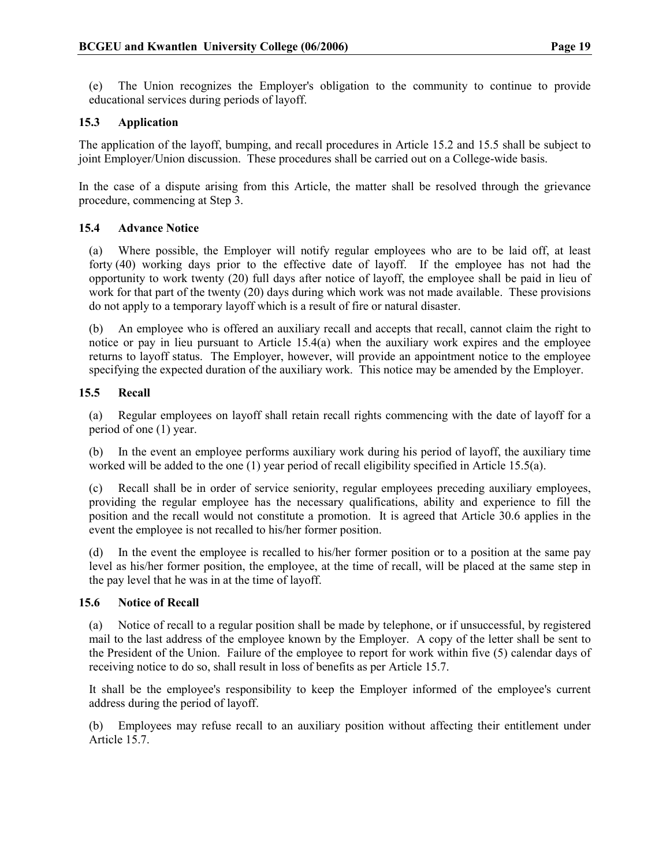(e) The Union recognizes the Employer's obligation to the community to continue to provide educational services during periods of layoff.

## 15.3 Application

The application of the layoff, bumping, and recall procedures in Article 15.2 and 15.5 shall be subject to joint Employer/Union discussion. These procedures shall be carried out on a College-wide basis.

In the case of a dispute arising from this Article, the matter shall be resolved through the grievance procedure, commencing at Step 3.

## 15.4 Advance Notice

(a) Where possible, the Employer will notify regular employees who are to be laid off, at least forty (40) working days prior to the effective date of layoff. If the employee has not had the opportunity to work twenty (20) full days after notice of layoff, the employee shall be paid in lieu of work for that part of the twenty (20) days during which work was not made available. These provisions do not apply to a temporary layoff which is a result of fire or natural disaster.

(b) An employee who is offered an auxiliary recall and accepts that recall, cannot claim the right to notice or pay in lieu pursuant to Article 15.4(a) when the auxiliary work expires and the employee returns to layoff status. The Employer, however, will provide an appointment notice to the employee specifying the expected duration of the auxiliary work. This notice may be amended by the Employer.

## 15.5 Recall

(a) Regular employees on layoff shall retain recall rights commencing with the date of layoff for a period of one (1) year.

(b) In the event an employee performs auxiliary work during his period of layoff, the auxiliary time worked will be added to the one (1) year period of recall eligibility specified in Article 15.5(a).

(c) Recall shall be in order of service seniority, regular employees preceding auxiliary employees, providing the regular employee has the necessary qualifications, ability and experience to fill the position and the recall would not constitute a promotion. It is agreed that Article 30.6 applies in the event the employee is not recalled to his/her former position.

(d) In the event the employee is recalled to his/her former position or to a position at the same pay level as his/her former position, the employee, at the time of recall, will be placed at the same step in the pay level that he was in at the time of layoff.

## 15.6 Notice of Recall

(a) Notice of recall to a regular position shall be made by telephone, or if unsuccessful, by registered mail to the last address of the employee known by the Employer. A copy of the letter shall be sent to the President of the Union. Failure of the employee to report for work within five (5) calendar days of receiving notice to do so, shall result in loss of benefits as per Article 15.7.

It shall be the employee's responsibility to keep the Employer informed of the employee's current address during the period of layoff.

(b) Employees may refuse recall to an auxiliary position without affecting their entitlement under Article 15.7.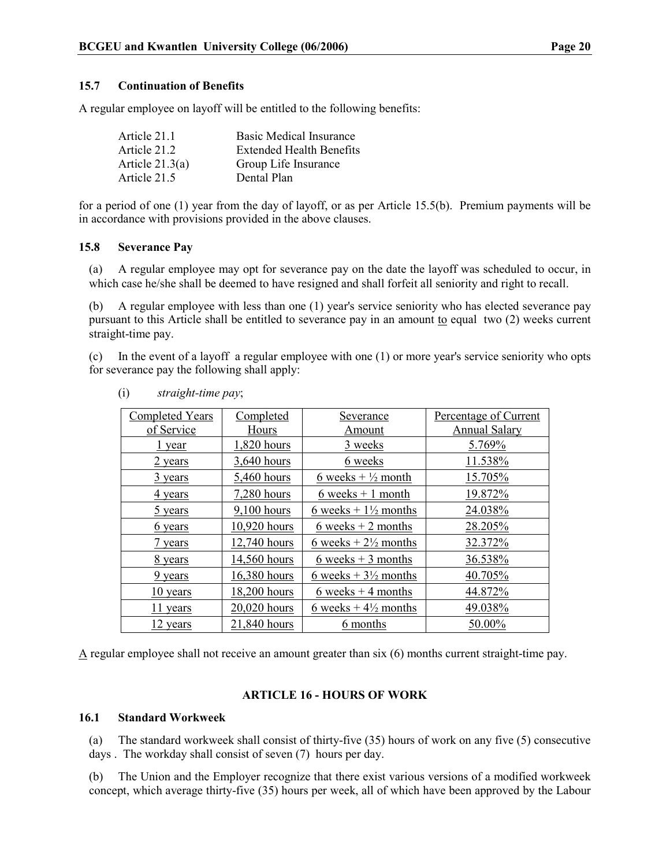A regular employee on layoff will be entitled to the following benefits:

| Article 21.1      | <b>Basic Medical Insurance</b>  |
|-------------------|---------------------------------|
| Article 21.2      | <b>Extended Health Benefits</b> |
| Article $21.3(a)$ | Group Life Insurance            |
| Article 21.5      | Dental Plan                     |

for a period of one (1) year from the day of layoff, or as per Article 15.5(b). Premium payments will be in accordance with provisions provided in the above clauses.

## 15.8 Severance Pay

(a) A regular employee may opt for severance pay on the date the layoff was scheduled to occur, in which case he/she shall be deemed to have resigned and shall forfeit all seniority and right to recall.

(b) A regular employee with less than one (1) year's service seniority who has elected severance pay pursuant to this Article shall be entitled to severance pay in an amount to equal two (2) weeks current straight-time pay.

(c) In the event of a layoff a regular employee with one (1) or more year's service seniority who opts for severance pay the following shall apply:

| <b>Completed Years</b> | Completed     | Severance                       | Percentage of Current |
|------------------------|---------------|---------------------------------|-----------------------|
| of Service             | Hours         | Amount                          | <b>Annual Salary</b>  |
| l year                 | 1,820 hours   | 3 weeks                         | 5.769%                |
| 2 years                | 3,640 hours   | 6 weeks                         | 11.538%               |
| <u>3 years</u>         | 5,460 hours   | 6 weeks + $\frac{1}{2}$ month   | 15.705%               |
| 4 years                | 7,280 hours   | $6$ weeks $+1$ month            | 19.872%               |
| 5 years                | $9,100$ hours | 6 weeks + $1\frac{1}{2}$ months | 24.038%               |
| 6 years                | 10,920 hours  | $6$ weeks $+2$ months           | 28.205%               |
| 7 years                | 12,740 hours  | 6 weeks $+2\frac{1}{2}$ months  | 32.372%               |
| <u>8 years</u>         | 14,560 hours  | 6 weeks $+$ 3 months            | 36.538%               |
| 9 years                | 16,380 hours  | 6 weeks $+3\frac{1}{2}$ months  | 40.705%               |
| 10 years               | 18,200 hours  | 6 weeks $+4$ months             | 44.872%               |
| $11$ years             | 20,020 hours  | 6 weeks $+4\frac{1}{2}$ months  | 49.038%               |
| 12 years               | 21,840 hours  | 6 months                        | 50.00%                |

(i) straight-time pay;

A regular employee shall not receive an amount greater than six (6) months current straight-time pay.

## ARTICLE 16 - HOURS OF WORK

## 16.1 Standard Workweek

(a) The standard workweek shall consist of thirty-five (35) hours of work on any five (5) consecutive days . The workday shall consist of seven (7) hours per day.

(b) The Union and the Employer recognize that there exist various versions of a modified workweek concept, which average thirty-five (35) hours per week, all of which have been approved by the Labour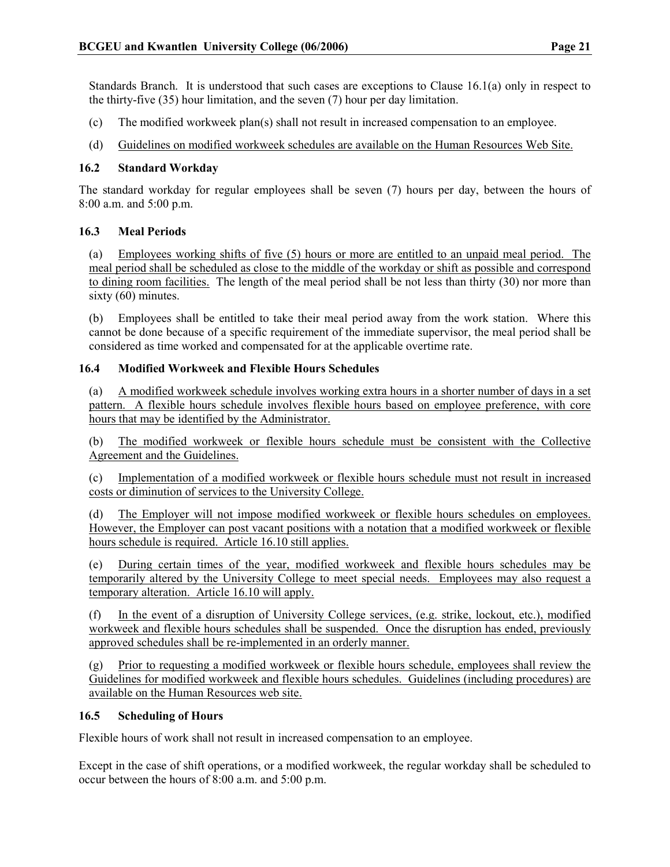Standards Branch. It is understood that such cases are exceptions to Clause 16.1(a) only in respect to the thirty-five (35) hour limitation, and the seven (7) hour per day limitation.

- (c) The modified workweek plan(s) shall not result in increased compensation to an employee.
- (d) Guidelines on modified workweek schedules are available on the Human Resources Web Site.

## 16.2 Standard Workday

The standard workday for regular employees shall be seven (7) hours per day, between the hours of 8:00 a.m. and 5:00 p.m.

## 16.3 Meal Periods

(a) Employees working shifts of five (5) hours or more are entitled to an unpaid meal period. The meal period shall be scheduled as close to the middle of the workday or shift as possible and correspond to dining room facilities. The length of the meal period shall be not less than thirty (30) nor more than sixty (60) minutes.

(b) Employees shall be entitled to take their meal period away from the work station. Where this cannot be done because of a specific requirement of the immediate supervisor, the meal period shall be considered as time worked and compensated for at the applicable overtime rate.

## 16.4 Modified Workweek and Flexible Hours Schedules

(a) A modified workweek schedule involves working extra hours in a shorter number of days in a set pattern. A flexible hours schedule involves flexible hours based on employee preference, with core hours that may be identified by the Administrator.

(b) The modified workweek or flexible hours schedule must be consistent with the Collective Agreement and the Guidelines.

(c) Implementation of a modified workweek or flexible hours schedule must not result in increased costs or diminution of services to the University College.

(d) The Employer will not impose modified workweek or flexible hours schedules on employees. However, the Employer can post vacant positions with a notation that a modified workweek or flexible hours schedule is required. Article 16.10 still applies.

(e) During certain times of the year, modified workweek and flexible hours schedules may be temporarily altered by the University College to meet special needs. Employees may also request a temporary alteration. Article 16.10 will apply.

(f) In the event of a disruption of University College services, (e.g. strike, lockout, etc.), modified workweek and flexible hours schedules shall be suspended. Once the disruption has ended, previously approved schedules shall be re-implemented in an orderly manner.

(g) Prior to requesting a modified workweek or flexible hours schedule, employees shall review the Guidelines for modified workweek and flexible hours schedules. Guidelines (including procedures) are available on the Human Resources web site.

## 16.5 Scheduling of Hours

Flexible hours of work shall not result in increased compensation to an employee.

Except in the case of shift operations, or a modified workweek, the regular workday shall be scheduled to occur between the hours of 8:00 a.m. and 5:00 p.m.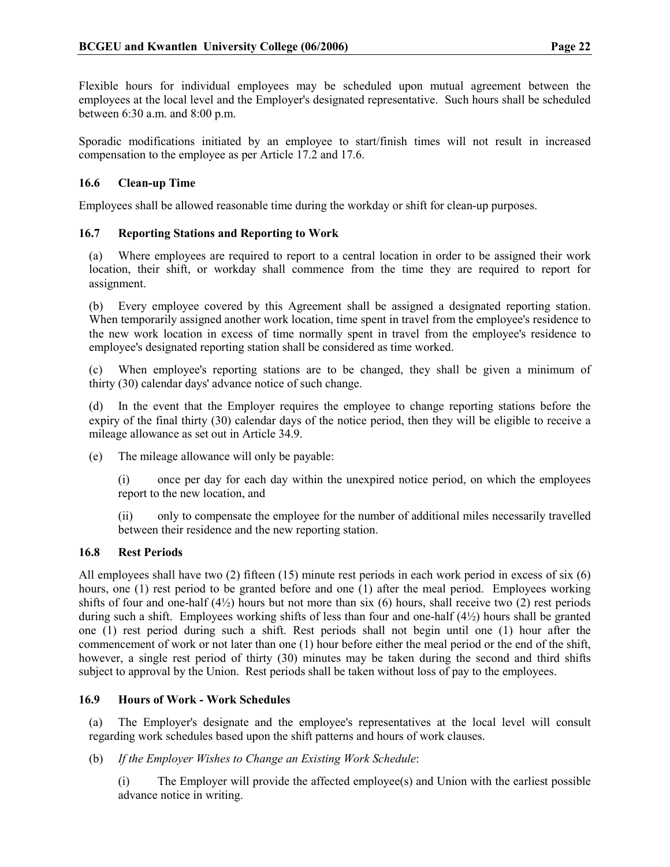Flexible hours for individual employees may be scheduled upon mutual agreement between the employees at the local level and the Employer's designated representative. Such hours shall be scheduled between 6:30 a.m. and 8:00 p.m.

Sporadic modifications initiated by an employee to start/finish times will not result in increased compensation to the employee as per Article 17.2 and 17.6.

## 16.6 Clean-up Time

Employees shall be allowed reasonable time during the workday or shift for clean-up purposes.

## 16.7 Reporting Stations and Reporting to Work

(a) Where employees are required to report to a central location in order to be assigned their work location, their shift, or workday shall commence from the time they are required to report for assignment.

(b) Every employee covered by this Agreement shall be assigned a designated reporting station. When temporarily assigned another work location, time spent in travel from the employee's residence to the new work location in excess of time normally spent in travel from the employee's residence to employee's designated reporting station shall be considered as time worked.

(c) When employee's reporting stations are to be changed, they shall be given a minimum of thirty (30) calendar days' advance notice of such change.

(d) In the event that the Employer requires the employee to change reporting stations before the expiry of the final thirty (30) calendar days of the notice period, then they will be eligible to receive a mileage allowance as set out in Article 34.9.

(e) The mileage allowance will only be payable:

(i) once per day for each day within the unexpired notice period, on which the employees report to the new location, and

(ii) only to compensate the employee for the number of additional miles necessarily travelled between their residence and the new reporting station.

## 16.8 Rest Periods

All employees shall have two (2) fifteen (15) minute rest periods in each work period in excess of six (6) hours, one (1) rest period to be granted before and one (1) after the meal period. Employees working shifts of four and one-half  $(4/2)$  hours but not more than six (6) hours, shall receive two (2) rest periods during such a shift. Employees working shifts of less than four and one-half (4½) hours shall be granted one (1) rest period during such a shift. Rest periods shall not begin until one (1) hour after the commencement of work or not later than one (1) hour before either the meal period or the end of the shift, however, a single rest period of thirty (30) minutes may be taken during the second and third shifts subject to approval by the Union. Rest periods shall be taken without loss of pay to the employees.

## 16.9 Hours of Work - Work Schedules

(a) The Employer's designate and the employee's representatives at the local level will consult regarding work schedules based upon the shift patterns and hours of work clauses.

(b) If the Employer Wishes to Change an Existing Work Schedule:

(i) The Employer will provide the affected employee(s) and Union with the earliest possible advance notice in writing.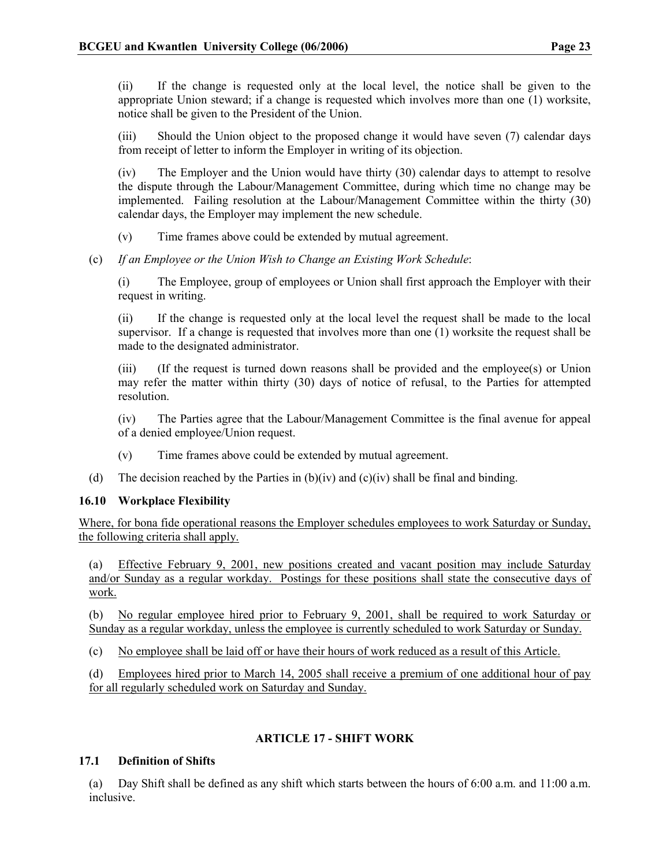(ii) If the change is requested only at the local level, the notice shall be given to the appropriate Union steward; if a change is requested which involves more than one (1) worksite, notice shall be given to the President of the Union.

(iii) Should the Union object to the proposed change it would have seven (7) calendar days from receipt of letter to inform the Employer in writing of its objection.

(iv) The Employer and the Union would have thirty (30) calendar days to attempt to resolve the dispute through the Labour/Management Committee, during which time no change may be implemented. Failing resolution at the Labour/Management Committee within the thirty (30) calendar days, the Employer may implement the new schedule.

(v) Time frames above could be extended by mutual agreement.

(c) If an Employee or the Union Wish to Change an Existing Work Schedule:

(i) The Employee, group of employees or Union shall first approach the Employer with their request in writing.

(ii) If the change is requested only at the local level the request shall be made to the local supervisor. If a change is requested that involves more than one (1) worksite the request shall be made to the designated administrator.

(iii) (If the request is turned down reasons shall be provided and the employee(s) or Union may refer the matter within thirty (30) days of notice of refusal, to the Parties for attempted resolution.

(iv) The Parties agree that the Labour/Management Committee is the final avenue for appeal of a denied employee/Union request.

- (v) Time frames above could be extended by mutual agreement.
- (d) The decision reached by the Parties in  $(b)(iv)$  and  $(c)(iv)$  shall be final and binding.

## 16.10 Workplace Flexibility

Where, for bona fide operational reasons the Employer schedules employees to work Saturday or Sunday, the following criteria shall apply.

(a) Effective February 9, 2001, new positions created and vacant position may include Saturday and/or Sunday as a regular workday. Postings for these positions shall state the consecutive days of work.

(b) No regular employee hired prior to February 9, 2001, shall be required to work Saturday or Sunday as a regular workday, unless the employee is currently scheduled to work Saturday or Sunday.

(c) No employee shall be laid off or have their hours of work reduced as a result of this Article.

(d) Employees hired prior to March 14, 2005 shall receive a premium of one additional hour of pay for all regularly scheduled work on Saturday and Sunday.

## ARTICLE 17 - SHIFT WORK

## 17.1 Definition of Shifts

(a) Day Shift shall be defined as any shift which starts between the hours of 6:00 a.m. and 11:00 a.m. inclusive.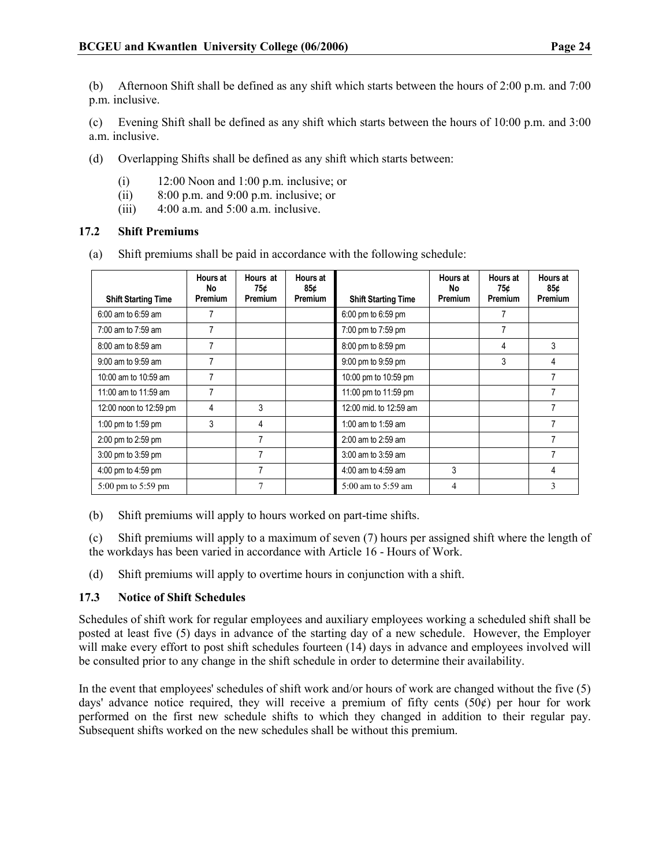(b) Afternoon Shift shall be defined as any shift which starts between the hours of 2:00 p.m. and 7:00 p.m. inclusive.

(c) Evening Shift shall be defined as any shift which starts between the hours of 10:00 p.m. and 3:00 a.m. inclusive.

- (d) Overlapping Shifts shall be defined as any shift which starts between:
	- (i) 12:00 Noon and 1:00 p.m. inclusive; or
	- (ii)  $8:00 \text{ p.m.}$  and  $9:00 \text{ p.m.}$  inclusive; or
	- (iii)  $4:00$  a.m. and  $5:00$  a.m. inclusive.

## 17.2 Shift Premiums

(a) Shift premiums shall be paid in accordance with the following schedule:

|                                        | <b>Hours at</b><br>No<br>Premium | Hours at<br>75¢<br>Premium | <b>Hours at</b><br>85¢ |                            | <b>Hours at</b><br>No<br>Premium | Hours at<br>75¢ | <b>Hours at</b><br>85¢ |
|----------------------------------------|----------------------------------|----------------------------|------------------------|----------------------------|----------------------------------|-----------------|------------------------|
| <b>Shift Starting Time</b>             |                                  |                            | <b>Premium</b>         | <b>Shift Starting Time</b> |                                  | Premium         | <b>Premium</b>         |
| 6:00 am to 6:59 am                     | 7                                |                            |                        | 6:00 pm to 6:59 pm         |                                  | 7               |                        |
| 7:00 am to 7:59 am                     | 7                                |                            |                        | 7:00 pm to 7:59 pm         |                                  | 7               |                        |
| 8:00 am to 8:59 am                     | 7                                |                            |                        | 8:00 pm to 8:59 pm         |                                  | 4               | 3                      |
| 9:00 am to 9:59 am                     | 7                                |                            |                        | 9:00 pm to 9:59 pm         |                                  | 3               | 4                      |
| 10:00 am to 10:59 am                   | 7                                |                            |                        | 10:00 pm to 10:59 pm       |                                  |                 |                        |
| 11:00 am to 11:59 am                   | 7                                |                            |                        | 11:00 pm to 11:59 pm       |                                  |                 |                        |
| 12:00 noon to 12:59 pm                 | 4                                | 3                          |                        | 12:00 mid. to 12:59 am     |                                  |                 |                        |
| 1:00 pm to 1:59 pm                     | 3                                | 4                          |                        | 1:00 am to 1:59 am         |                                  |                 |                        |
| 2:00 pm to 2:59 pm                     |                                  | 7                          |                        | 2:00 am to 2:59 am         |                                  |                 |                        |
| 3:00 pm to 3:59 pm                     |                                  |                            |                        | 3:00 am to 3:59 am         |                                  |                 |                        |
| 4:00 pm to 4:59 pm                     |                                  | 7                          |                        | 4:00 am to 4:59 am         | 3                                |                 | 4                      |
| $5:00 \text{ pm}$ to $5:59 \text{ pm}$ |                                  | 7                          |                        | 5:00 am to 5:59 am         | 4                                |                 | 3                      |

(b) Shift premiums will apply to hours worked on part-time shifts.

(c) Shift premiums will apply to a maximum of seven (7) hours per assigned shift where the length of the workdays has been varied in accordance with Article 16 - Hours of Work.

(d) Shift premiums will apply to overtime hours in conjunction with a shift.

## 17.3 Notice of Shift Schedules

Schedules of shift work for regular employees and auxiliary employees working a scheduled shift shall be posted at least five (5) days in advance of the starting day of a new schedule. However, the Employer will make every effort to post shift schedules fourteen (14) days in advance and employees involved will be consulted prior to any change in the shift schedule in order to determine their availability.

In the event that employees' schedules of shift work and/or hours of work are changed without the five (5) days' advance notice required, they will receive a premium of fifty cents  $(50¢)$  per hour for work performed on the first new schedule shifts to which they changed in addition to their regular pay. Subsequent shifts worked on the new schedules shall be without this premium.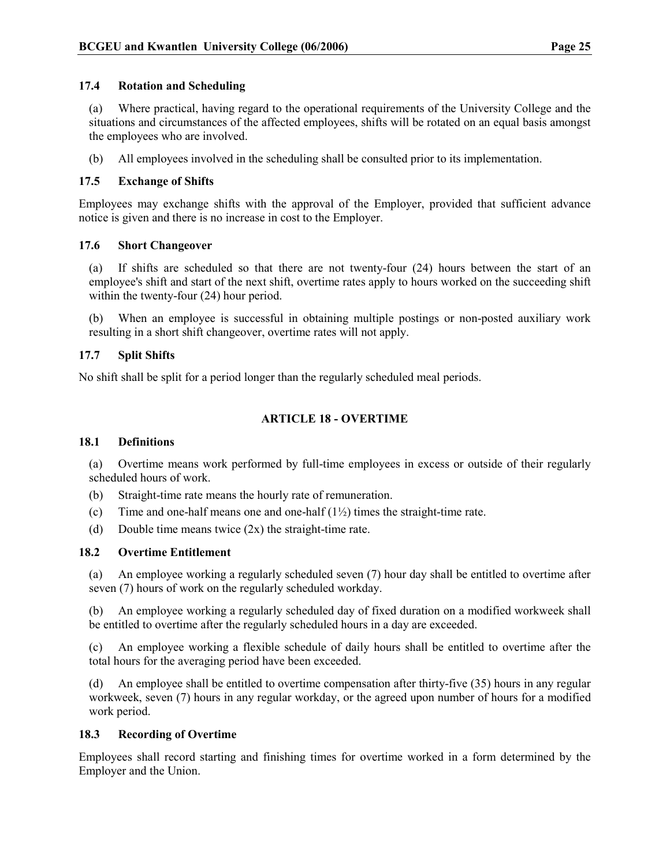## 17.4 Rotation and Scheduling

(a) Where practical, having regard to the operational requirements of the University College and the situations and circumstances of the affected employees, shifts will be rotated on an equal basis amongst the employees who are involved.

(b) All employees involved in the scheduling shall be consulted prior to its implementation.

## 17.5 Exchange of Shifts

Employees may exchange shifts with the approval of the Employer, provided that sufficient advance notice is given and there is no increase in cost to the Employer.

## 17.6 Short Changeover

- (a) If shifts are scheduled so that there are not twenty-four (24) hours between the start of an employee's shift and start of the next shift, overtime rates apply to hours worked on the succeeding shift within the twenty-four (24) hour period.
- (b) When an employee is successful in obtaining multiple postings or non-posted auxiliary work resulting in a short shift changeover, overtime rates will not apply.

## 17.7 Split Shifts

No shift shall be split for a period longer than the regularly scheduled meal periods.

## ARTICLE 18 - OVERTIME

#### 18.1 Definitions

(a) Overtime means work performed by full-time employees in excess or outside of their regularly scheduled hours of work.

- (b) Straight-time rate means the hourly rate of remuneration.
- (c) Time and one-half means one and one-half  $(1\frac{1}{2})$  times the straight-time rate.
- (d) Double time means twice (2x) the straight-time rate.

## 18.2 Overtime Entitlement

(a) An employee working a regularly scheduled seven (7) hour day shall be entitled to overtime after seven (7) hours of work on the regularly scheduled workday.

(b) An employee working a regularly scheduled day of fixed duration on a modified workweek shall be entitled to overtime after the regularly scheduled hours in a day are exceeded.

(c) An employee working a flexible schedule of daily hours shall be entitled to overtime after the total hours for the averaging period have been exceeded.

(d) An employee shall be entitled to overtime compensation after thirty-five (35) hours in any regular workweek, seven (7) hours in any regular workday, or the agreed upon number of hours for a modified work period.

## 18.3 Recording of Overtime

Employees shall record starting and finishing times for overtime worked in a form determined by the Employer and the Union.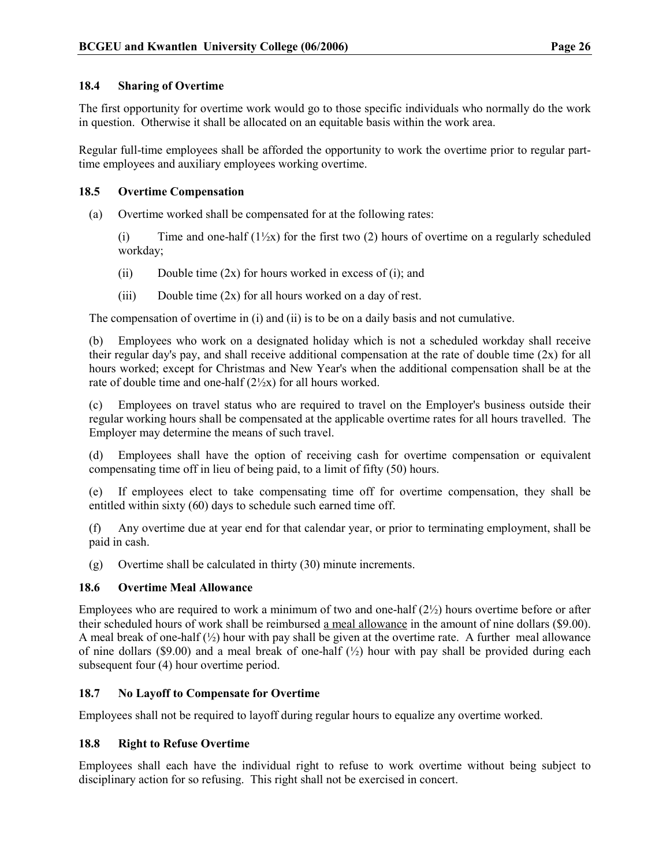## 18.4 Sharing of Overtime

The first opportunity for overtime work would go to those specific individuals who normally do the work in question. Otherwise it shall be allocated on an equitable basis within the work area.

Regular full-time employees shall be afforded the opportunity to work the overtime prior to regular parttime employees and auxiliary employees working overtime.

## 18.5 Overtime Compensation

(a) Overtime worked shall be compensated for at the following rates:

(i) Time and one-half  $(1/\chi x)$  for the first two (2) hours of overtime on a regularly scheduled workday;

- (ii) Double time  $(2x)$  for hours worked in excess of (i); and
- (iii) Double time  $(2x)$  for all hours worked on a day of rest.

The compensation of overtime in (i) and (ii) is to be on a daily basis and not cumulative.

(b) Employees who work on a designated holiday which is not a scheduled workday shall receive their regular day's pay, and shall receive additional compensation at the rate of double time (2x) for all hours worked; except for Christmas and New Year's when the additional compensation shall be at the rate of double time and one-half  $(2\frac{1}{2}x)$  for all hours worked.

(c) Employees on travel status who are required to travel on the Employer's business outside their regular working hours shall be compensated at the applicable overtime rates for all hours travelled. The Employer may determine the means of such travel.

(d) Employees shall have the option of receiving cash for overtime compensation or equivalent compensating time off in lieu of being paid, to a limit of fifty (50) hours.

(e) If employees elect to take compensating time off for overtime compensation, they shall be entitled within sixty (60) days to schedule such earned time off.

(f) Any overtime due at year end for that calendar year, or prior to terminating employment, shall be paid in cash.

(g) Overtime shall be calculated in thirty (30) minute increments.

## 18.6 Overtime Meal Allowance

Employees who are required to work a minimum of two and one-half  $(2\frac{1}{2})$  hours overtime before or after their scheduled hours of work shall be reimbursed a meal allowance in the amount of nine dollars (\$9.00). A meal break of one-half  $(\frac{1}{2})$  hour with pay shall be given at the overtime rate. A further meal allowance of nine dollars (\$9.00) and a meal break of one-half  $\binom{1}{2}$  hour with pay shall be provided during each subsequent four (4) hour overtime period.

## 18.7 No Layoff to Compensate for Overtime

Employees shall not be required to layoff during regular hours to equalize any overtime worked.

## 18.8 Right to Refuse Overtime

Employees shall each have the individual right to refuse to work overtime without being subject to disciplinary action for so refusing. This right shall not be exercised in concert.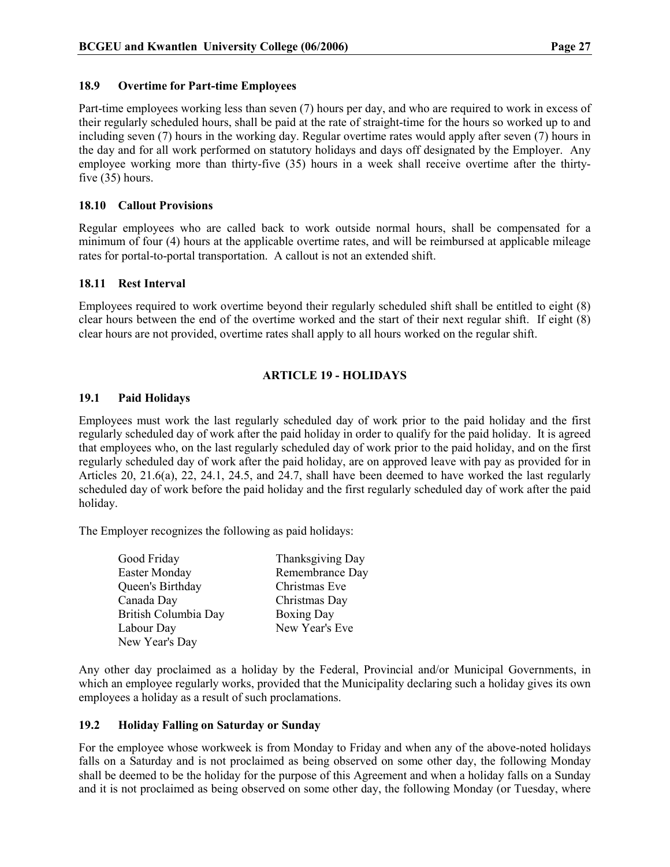## 18.9 Overtime for Part-time Employees

Part-time employees working less than seven (7) hours per day, and who are required to work in excess of their regularly scheduled hours, shall be paid at the rate of straight-time for the hours so worked up to and including seven (7) hours in the working day. Regular overtime rates would apply after seven (7) hours in the day and for all work performed on statutory holidays and days off designated by the Employer. Any employee working more than thirty-five (35) hours in a week shall receive overtime after the thirtyfive (35) hours.

## 18.10 Callout Provisions

Regular employees who are called back to work outside normal hours, shall be compensated for a minimum of four (4) hours at the applicable overtime rates, and will be reimbursed at applicable mileage rates for portal-to-portal transportation. A callout is not an extended shift.

## 18.11 Rest Interval

Employees required to work overtime beyond their regularly scheduled shift shall be entitled to eight (8) clear hours between the end of the overtime worked and the start of their next regular shift. If eight (8) clear hours are not provided, overtime rates shall apply to all hours worked on the regular shift.

## ARTICLE 19 - HOLIDAYS

## 19.1 Paid Holidays

Employees must work the last regularly scheduled day of work prior to the paid holiday and the first regularly scheduled day of work after the paid holiday in order to qualify for the paid holiday. It is agreed that employees who, on the last regularly scheduled day of work prior to the paid holiday, and on the first regularly scheduled day of work after the paid holiday, are on approved leave with pay as provided for in Articles 20, 21.6(a), 22, 24.1, 24.5, and 24.7, shall have been deemed to have worked the last regularly scheduled day of work before the paid holiday and the first regularly scheduled day of work after the paid holiday.

The Employer recognizes the following as paid holidays:

| Good Friday          | Thanksgiving Day  |
|----------------------|-------------------|
| <b>Easter Monday</b> | Remembrance Day   |
| Queen's Birthday     | Christmas Eve     |
| Canada Day           | Christmas Day     |
| British Columbia Day | <b>Boxing Day</b> |
| Labour Day           | New Year's Eve    |
| New Year's Day       |                   |

Any other day proclaimed as a holiday by the Federal, Provincial and/or Municipal Governments, in which an employee regularly works, provided that the Municipality declaring such a holiday gives its own employees a holiday as a result of such proclamations.

## 19.2 Holiday Falling on Saturday or Sunday

For the employee whose workweek is from Monday to Friday and when any of the above-noted holidays falls on a Saturday and is not proclaimed as being observed on some other day, the following Monday shall be deemed to be the holiday for the purpose of this Agreement and when a holiday falls on a Sunday and it is not proclaimed as being observed on some other day, the following Monday (or Tuesday, where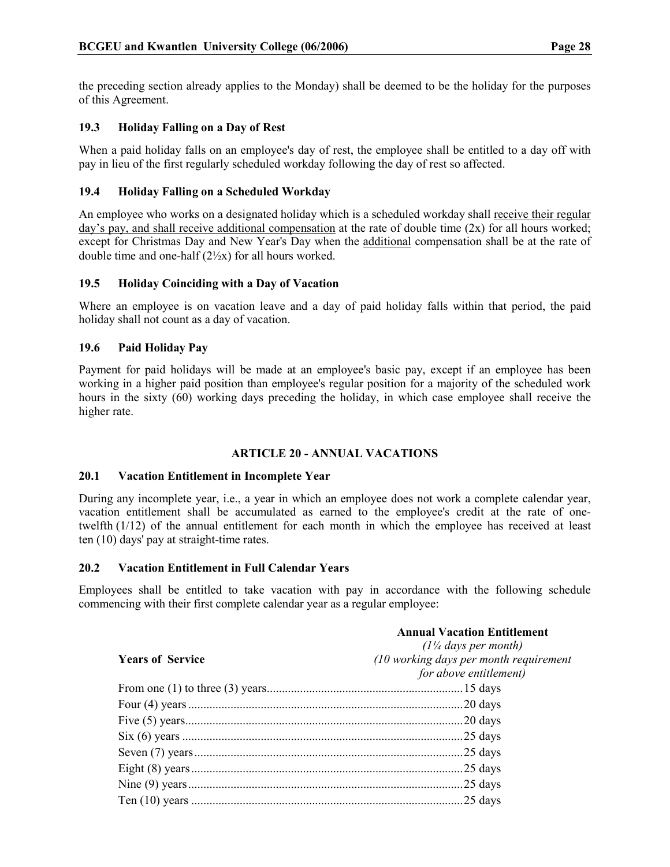the preceding section already applies to the Monday) shall be deemed to be the holiday for the purposes of this Agreement.

## 19.3 Holiday Falling on a Day of Rest

When a paid holiday falls on an employee's day of rest, the employee shall be entitled to a day off with pay in lieu of the first regularly scheduled workday following the day of rest so affected.

## 19.4 Holiday Falling on a Scheduled Workday

An employee who works on a designated holiday which is a scheduled workday shall receive their regular day's pay, and shall receive additional compensation at the rate of double time (2x) for all hours worked; except for Christmas Day and New Year's Day when the additional compensation shall be at the rate of double time and one-half (2½x) for all hours worked.

## 19.5 Holiday Coinciding with a Day of Vacation

Where an employee is on vacation leave and a day of paid holiday falls within that period, the paid holiday shall not count as a day of vacation.

## 19.6 Paid Holiday Pay

Payment for paid holidays will be made at an employee's basic pay, except if an employee has been working in a higher paid position than employee's regular position for a majority of the scheduled work hours in the sixty (60) working days preceding the holiday, in which case employee shall receive the higher rate.

## ARTICLE 20 - ANNUAL VACATIONS

## 20.1 Vacation Entitlement in Incomplete Year

During any incomplete year, i.e., a year in which an employee does not work a complete calendar year, vacation entitlement shall be accumulated as earned to the employee's credit at the rate of onetwelfth (1/12) of the annual entitlement for each month in which the employee has received at least ten (10) days' pay at straight-time rates.

## 20.2 Vacation Entitlement in Full Calendar Years

Employees shall be entitled to take vacation with pay in accordance with the following schedule commencing with their first complete calendar year as a regular employee:

|                         | <b>Annual Vacation Entitlement</b><br>$(1\frac{1}{4}$ days per month) |
|-------------------------|-----------------------------------------------------------------------|
| <b>Years of Service</b> | (10 working days per month requirement<br>for above entitlement)      |
|                         |                                                                       |
|                         |                                                                       |
|                         |                                                                       |
|                         |                                                                       |
|                         |                                                                       |
|                         |                                                                       |
|                         |                                                                       |
|                         |                                                                       |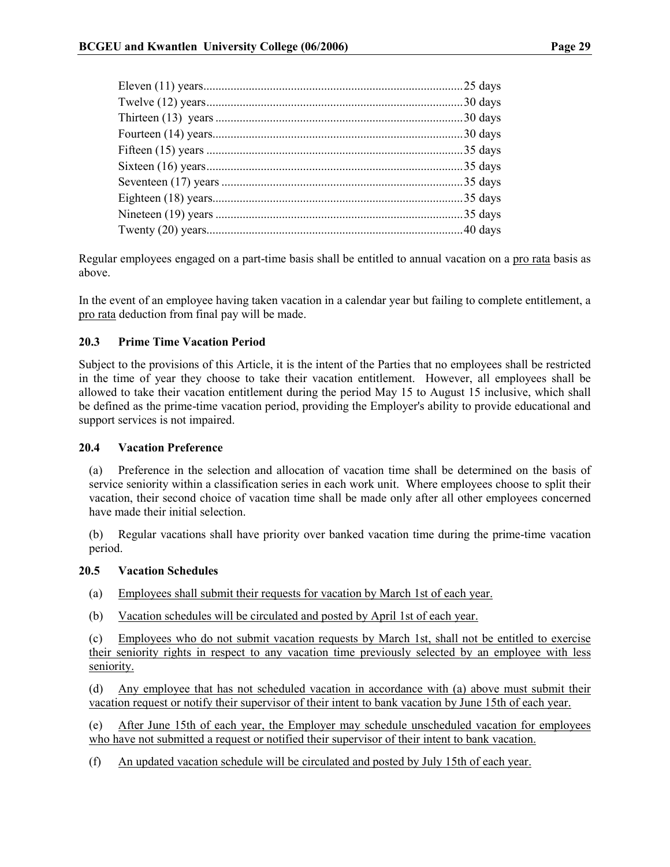|  | 25 days    |
|--|------------|
|  | .30 days   |
|  |            |
|  | .30 days   |
|  |            |
|  | $.35$ days |
|  | $.35$ days |
|  | .35 days   |
|  | .35 days   |
|  |            |
|  |            |

Regular employees engaged on a part-time basis shall be entitled to annual vacation on a pro rata basis as above.

In the event of an employee having taken vacation in a calendar year but failing to complete entitlement, a pro rata deduction from final pay will be made.

## 20.3 Prime Time Vacation Period

Subject to the provisions of this Article, it is the intent of the Parties that no employees shall be restricted in the time of year they choose to take their vacation entitlement. However, all employees shall be allowed to take their vacation entitlement during the period May 15 to August 15 inclusive, which shall be defined as the prime-time vacation period, providing the Employer's ability to provide educational and support services is not impaired.

## 20.4 Vacation Preference

(a) Preference in the selection and allocation of vacation time shall be determined on the basis of service seniority within a classification series in each work unit. Where employees choose to split their vacation, their second choice of vacation time shall be made only after all other employees concerned have made their initial selection.

(b) Regular vacations shall have priority over banked vacation time during the prime-time vacation period.

## 20.5 Vacation Schedules

- (a) Employees shall submit their requests for vacation by March 1st of each year.
- (b) Vacation schedules will be circulated and posted by April 1st of each year.

(c) Employees who do not submit vacation requests by March 1st, shall not be entitled to exercise their seniority rights in respect to any vacation time previously selected by an employee with less seniority.

(d) Any employee that has not scheduled vacation in accordance with (a) above must submit their vacation request or notify their supervisor of their intent to bank vacation by June 15th of each year.

(e) After June 15th of each year, the Employer may schedule unscheduled vacation for employees who have not submitted a request or notified their supervisor of their intent to bank vacation.

(f) An updated vacation schedule will be circulated and posted by July 15th of each year.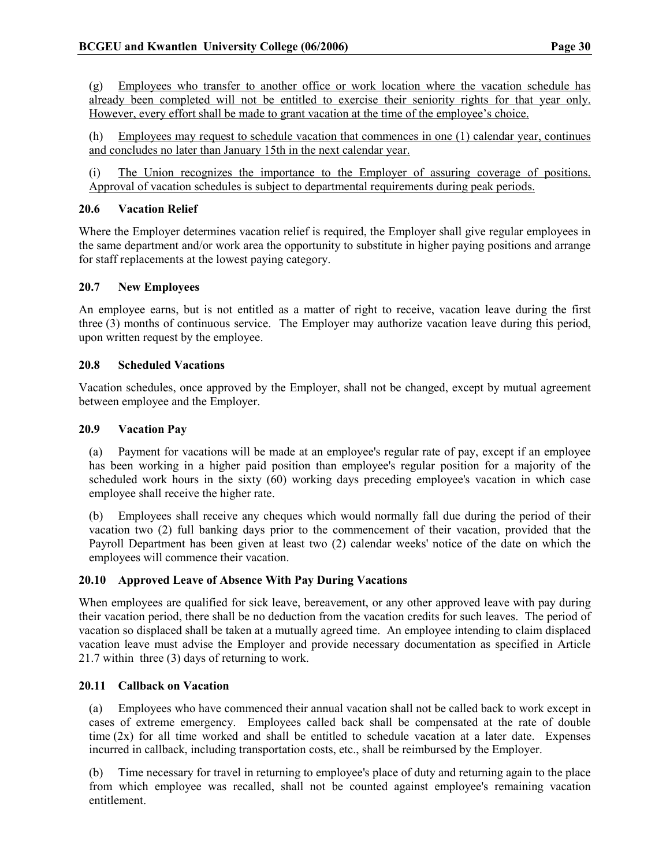(g) Employees who transfer to another office or work location where the vacation schedule has already been completed will not be entitled to exercise their seniority rights for that year only. However, every effort shall be made to grant vacation at the time of the employee's choice.

(h) Employees may request to schedule vacation that commences in one (1) calendar year, continues and concludes no later than January 15th in the next calendar year.

(i) The Union recognizes the importance to the Employer of assuring coverage of positions. Approval of vacation schedules is subject to departmental requirements during peak periods.

## 20.6 Vacation Relief

Where the Employer determines vacation relief is required, the Employer shall give regular employees in the same department and/or work area the opportunity to substitute in higher paying positions and arrange for staff replacements at the lowest paying category.

## 20.7 New Employees

An employee earns, but is not entitled as a matter of right to receive, vacation leave during the first three (3) months of continuous service. The Employer may authorize vacation leave during this period, upon written request by the employee.

## 20.8 Scheduled Vacations

Vacation schedules, once approved by the Employer, shall not be changed, except by mutual agreement between employee and the Employer.

## 20.9 Vacation Pay

(a) Payment for vacations will be made at an employee's regular rate of pay, except if an employee has been working in a higher paid position than employee's regular position for a majority of the scheduled work hours in the sixty (60) working days preceding employee's vacation in which case employee shall receive the higher rate.

(b) Employees shall receive any cheques which would normally fall due during the period of their vacation two (2) full banking days prior to the commencement of their vacation, provided that the Payroll Department has been given at least two (2) calendar weeks' notice of the date on which the employees will commence their vacation.

## 20.10 Approved Leave of Absence With Pay During Vacations

When employees are qualified for sick leave, bereavement, or any other approved leave with pay during their vacation period, there shall be no deduction from the vacation credits for such leaves. The period of vacation so displaced shall be taken at a mutually agreed time. An employee intending to claim displaced vacation leave must advise the Employer and provide necessary documentation as specified in Article 21.7 within three (3) days of returning to work.

## 20.11 Callback on Vacation

(a) Employees who have commenced their annual vacation shall not be called back to work except in cases of extreme emergency. Employees called back shall be compensated at the rate of double time (2x) for all time worked and shall be entitled to schedule vacation at a later date. Expenses incurred in callback, including transportation costs, etc., shall be reimbursed by the Employer.

(b) Time necessary for travel in returning to employee's place of duty and returning again to the place from which employee was recalled, shall not be counted against employee's remaining vacation entitlement.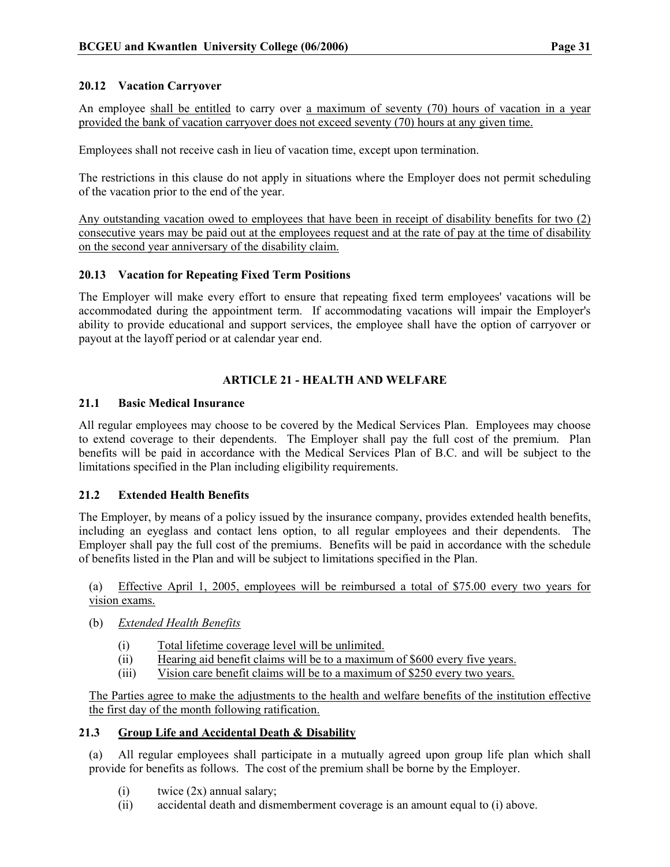## 20.12 Vacation Carryover

An employee shall be entitled to carry over a maximum of seventy (70) hours of vacation in a year provided the bank of vacation carryover does not exceed seventy (70) hours at any given time.

Employees shall not receive cash in lieu of vacation time, except upon termination.

The restrictions in this clause do not apply in situations where the Employer does not permit scheduling of the vacation prior to the end of the year.

Any outstanding vacation owed to employees that have been in receipt of disability benefits for two (2) consecutive years may be paid out at the employees request and at the rate of pay at the time of disability on the second year anniversary of the disability claim.

## 20.13 Vacation for Repeating Fixed Term Positions

The Employer will make every effort to ensure that repeating fixed term employees' vacations will be accommodated during the appointment term. If accommodating vacations will impair the Employer's ability to provide educational and support services, the employee shall have the option of carryover or payout at the layoff period or at calendar year end.

## ARTICLE 21 - HEALTH AND WELFARE

## 21.1 Basic Medical Insurance

All regular employees may choose to be covered by the Medical Services Plan. Employees may choose to extend coverage to their dependents. The Employer shall pay the full cost of the premium. Plan benefits will be paid in accordance with the Medical Services Plan of B.C. and will be subject to the limitations specified in the Plan including eligibility requirements.

## 21.2 Extended Health Benefits

The Employer, by means of a policy issued by the insurance company, provides extended health benefits, including an eyeglass and contact lens option, to all regular employees and their dependents. The Employer shall pay the full cost of the premiums. Benefits will be paid in accordance with the schedule of benefits listed in the Plan and will be subject to limitations specified in the Plan.

(a) Effective April 1, 2005, employees will be reimbursed a total of \$75.00 every two years for vision exams.

- (b) Extended Health Benefits
	- (i) Total lifetime coverage level will be unlimited.
	- (ii) Hearing aid benefit claims will be to a maximum of \$600 every five years.
	- (iii) Vision care benefit claims will be to a maximum of \$250 every two years.

The Parties agree to make the adjustments to the health and welfare benefits of the institution effective the first day of the month following ratification.

## 21.3 Group Life and Accidental Death & Disability

(a) All regular employees shall participate in a mutually agreed upon group life plan which shall provide for benefits as follows. The cost of the premium shall be borne by the Employer.

- $(i)$  twice  $(2x)$  annual salary;
- (ii) accidental death and dismemberment coverage is an amount equal to (i) above.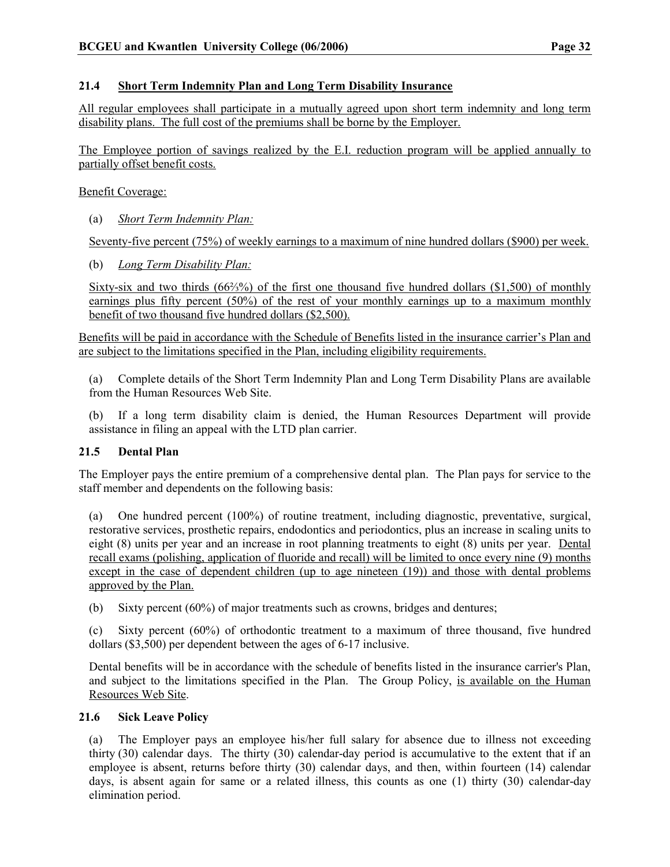## 21.4 Short Term Indemnity Plan and Long Term Disability Insurance

All regular employees shall participate in a mutually agreed upon short term indemnity and long term disability plans. The full cost of the premiums shall be borne by the Employer.

The Employee portion of savings realized by the E.I. reduction program will be applied annually to partially offset benefit costs.

Benefit Coverage:

(a) Short Term Indemnity Plan:

Seventy-five percent (75%) of weekly earnings to a maximum of nine hundred dollars (\$900) per week.

(b) Long Term Disability Plan:

Sixty-six and two thirds (66⅔%) of the first one thousand five hundred dollars (\$1,500) of monthly earnings plus fifty percent (50%) of the rest of your monthly earnings up to a maximum monthly benefit of two thousand five hundred dollars (\$2,500).

Benefits will be paid in accordance with the Schedule of Benefits listed in the insurance carrier's Plan and are subject to the limitations specified in the Plan, including eligibility requirements.

(a) Complete details of the Short Term Indemnity Plan and Long Term Disability Plans are available from the Human Resources Web Site.

If a long term disability claim is denied, the Human Resources Department will provide assistance in filing an appeal with the LTD plan carrier.

## 21.5 Dental Plan

The Employer pays the entire premium of a comprehensive dental plan. The Plan pays for service to the staff member and dependents on the following basis:

(a) One hundred percent (100%) of routine treatment, including diagnostic, preventative, surgical, restorative services, prosthetic repairs, endodontics and periodontics, plus an increase in scaling units to eight (8) units per year and an increase in root planning treatments to eight (8) units per year. Dental recall exams (polishing, application of fluoride and recall) will be limited to once every nine (9) months except in the case of dependent children (up to age nineteen (19)) and those with dental problems approved by the Plan.

(b) Sixty percent (60%) of major treatments such as crowns, bridges and dentures;

(c) Sixty percent (60%) of orthodontic treatment to a maximum of three thousand, five hundred dollars (\$3,500) per dependent between the ages of 6-17 inclusive.

Dental benefits will be in accordance with the schedule of benefits listed in the insurance carrier's Plan, and subject to the limitations specified in the Plan. The Group Policy, is available on the Human Resources Web Site.

## 21.6 Sick Leave Policy

(a) The Employer pays an employee his/her full salary for absence due to illness not exceeding thirty (30) calendar days. The thirty (30) calendar-day period is accumulative to the extent that if an employee is absent, returns before thirty (30) calendar days, and then, within fourteen (14) calendar days, is absent again for same or a related illness, this counts as one (1) thirty (30) calendar-day elimination period.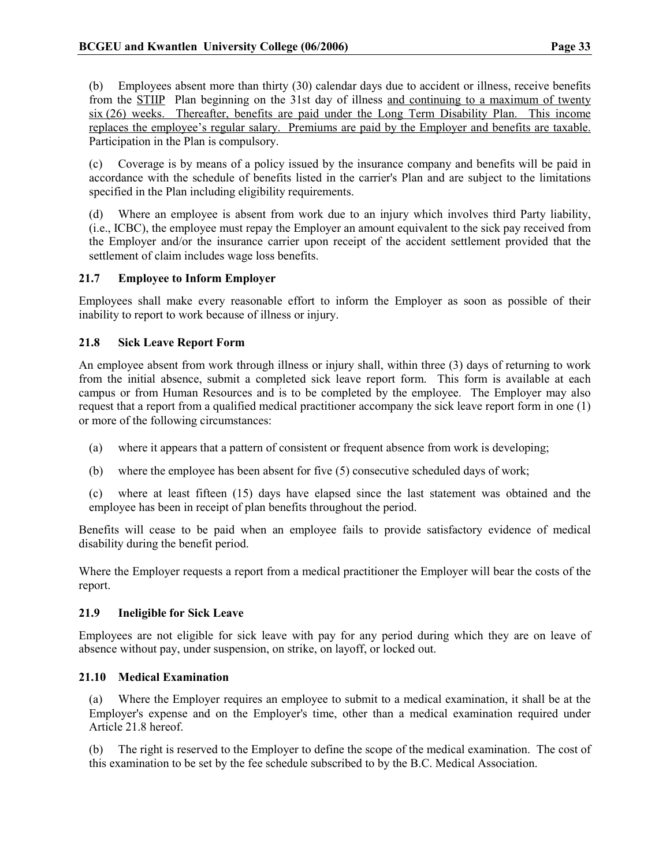(b) Employees absent more than thirty (30) calendar days due to accident or illness, receive benefits from the STIIP Plan beginning on the 31st day of illness and continuing to a maximum of twenty six (26) weeks. Thereafter, benefits are paid under the Long Term Disability Plan. This income replaces the employee's regular salary. Premiums are paid by the Employer and benefits are taxable. Participation in the Plan is compulsory.

(c) Coverage is by means of a policy issued by the insurance company and benefits will be paid in accordance with the schedule of benefits listed in the carrier's Plan and are subject to the limitations specified in the Plan including eligibility requirements.

(d) Where an employee is absent from work due to an injury which involves third Party liability, (i.e., ICBC), the employee must repay the Employer an amount equivalent to the sick pay received from the Employer and/or the insurance carrier upon receipt of the accident settlement provided that the settlement of claim includes wage loss benefits.

## 21.7 Employee to Inform Employer

Employees shall make every reasonable effort to inform the Employer as soon as possible of their inability to report to work because of illness or injury.

## 21.8 Sick Leave Report Form

An employee absent from work through illness or injury shall, within three (3) days of returning to work from the initial absence, submit a completed sick leave report form. This form is available at each campus or from Human Resources and is to be completed by the employee. The Employer may also request that a report from a qualified medical practitioner accompany the sick leave report form in one (1) or more of the following circumstances:

- (a) where it appears that a pattern of consistent or frequent absence from work is developing;
- (b) where the employee has been absent for five (5) consecutive scheduled days of work;
- (c) where at least fifteen (15) days have elapsed since the last statement was obtained and the employee has been in receipt of plan benefits throughout the period.

Benefits will cease to be paid when an employee fails to provide satisfactory evidence of medical disability during the benefit period.

Where the Employer requests a report from a medical practitioner the Employer will bear the costs of the report.

## 21.9 Ineligible for Sick Leave

Employees are not eligible for sick leave with pay for any period during which they are on leave of absence without pay, under suspension, on strike, on layoff, or locked out.

## 21.10 Medical Examination

(a) Where the Employer requires an employee to submit to a medical examination, it shall be at the Employer's expense and on the Employer's time, other than a medical examination required under Article 21.8 hereof.

(b) The right is reserved to the Employer to define the scope of the medical examination. The cost of this examination to be set by the fee schedule subscribed to by the B.C. Medical Association.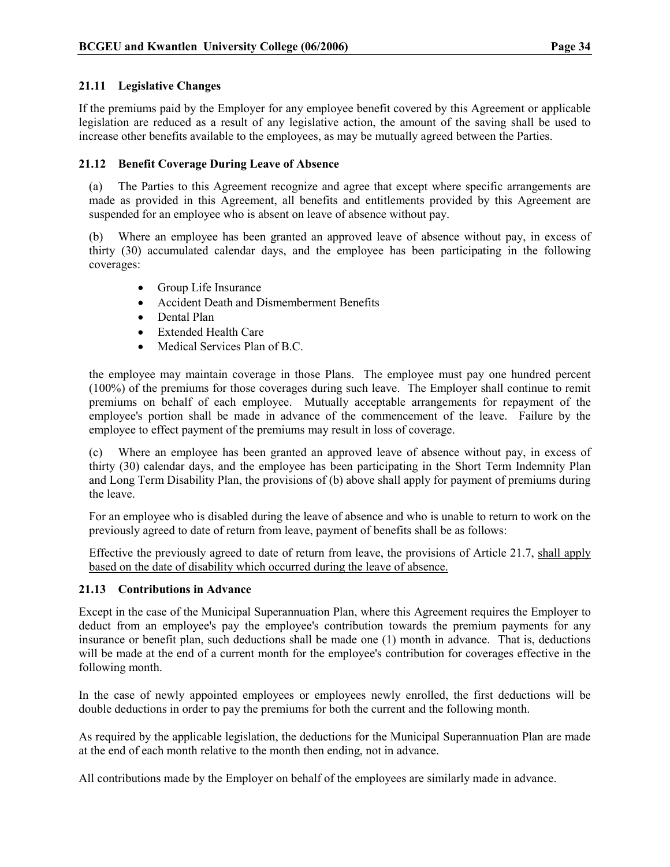## 21.11 Legislative Changes

If the premiums paid by the Employer for any employee benefit covered by this Agreement or applicable legislation are reduced as a result of any legislative action, the amount of the saving shall be used to increase other benefits available to the employees, as may be mutually agreed between the Parties.

## 21.12 Benefit Coverage During Leave of Absence

(a) The Parties to this Agreement recognize and agree that except where specific arrangements are made as provided in this Agreement, all benefits and entitlements provided by this Agreement are suspended for an employee who is absent on leave of absence without pay.

(b) Where an employee has been granted an approved leave of absence without pay, in excess of thirty (30) accumulated calendar days, and the employee has been participating in the following coverages:

- Group Life Insurance
- Accident Death and Dismemberment Benefits
- Dental Plan
- Extended Health Care
- Medical Services Plan of B.C.

the employee may maintain coverage in those Plans. The employee must pay one hundred percent (100%) of the premiums for those coverages during such leave. The Employer shall continue to remit premiums on behalf of each employee. Mutually acceptable arrangements for repayment of the employee's portion shall be made in advance of the commencement of the leave. Failure by the employee to effect payment of the premiums may result in loss of coverage.

(c) Where an employee has been granted an approved leave of absence without pay, in excess of thirty (30) calendar days, and the employee has been participating in the Short Term Indemnity Plan and Long Term Disability Plan, the provisions of (b) above shall apply for payment of premiums during the leave.

For an employee who is disabled during the leave of absence and who is unable to return to work on the previously agreed to date of return from leave, payment of benefits shall be as follows:

Effective the previously agreed to date of return from leave, the provisions of Article 21.7, shall apply based on the date of disability which occurred during the leave of absence.

## 21.13 Contributions in Advance

Except in the case of the Municipal Superannuation Plan, where this Agreement requires the Employer to deduct from an employee's pay the employee's contribution towards the premium payments for any insurance or benefit plan, such deductions shall be made one (1) month in advance. That is, deductions will be made at the end of a current month for the employee's contribution for coverages effective in the following month.

In the case of newly appointed employees or employees newly enrolled, the first deductions will be double deductions in order to pay the premiums for both the current and the following month.

As required by the applicable legislation, the deductions for the Municipal Superannuation Plan are made at the end of each month relative to the month then ending, not in advance.

All contributions made by the Employer on behalf of the employees are similarly made in advance.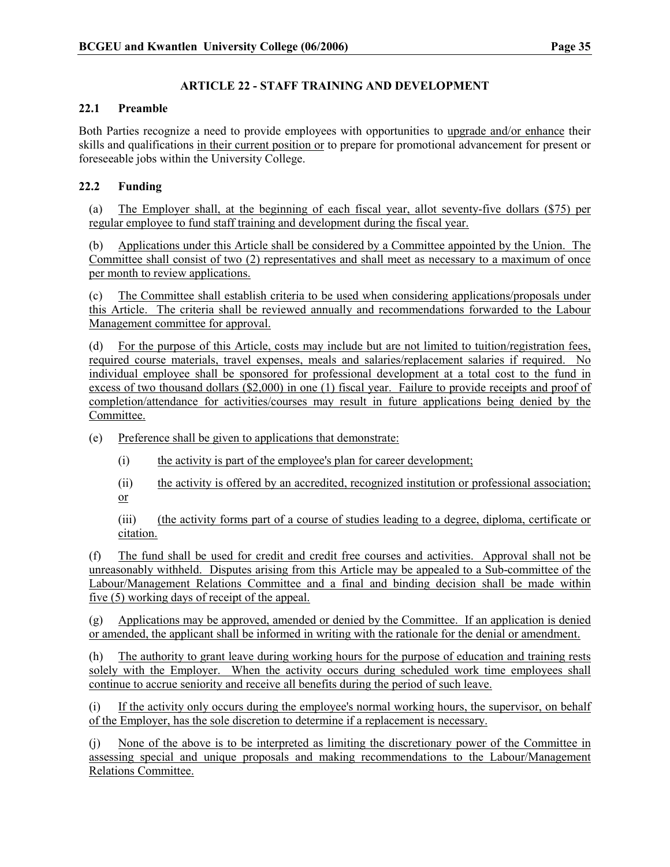## ARTICLE 22 - STAFF TRAINING AND DEVELOPMENT

## 22.1 Preamble

Both Parties recognize a need to provide employees with opportunities to upgrade and/or enhance their skills and qualifications in their current position or to prepare for promotional advancement for present or foreseeable jobs within the University College.

## 22.2 Funding

(a) The Employer shall, at the beginning of each fiscal year, allot seventy-five dollars (\$75) per regular employee to fund staff training and development during the fiscal year.

(b) Applications under this Article shall be considered by a Committee appointed by the Union. The Committee shall consist of two (2) representatives and shall meet as necessary to a maximum of once per month to review applications.

(c) The Committee shall establish criteria to be used when considering applications/proposals under this Article. The criteria shall be reviewed annually and recommendations forwarded to the Labour Management committee for approval.

(d) For the purpose of this Article, costs may include but are not limited to tuition/registration fees, required course materials, travel expenses, meals and salaries/replacement salaries if required. No individual employee shall be sponsored for professional development at a total cost to the fund in excess of two thousand dollars (\$2,000) in one (1) fiscal year. Failure to provide receipts and proof of completion/attendance for activities/courses may result in future applications being denied by the Committee.

(e) Preference shall be given to applications that demonstrate:

- (i) the activity is part of the employee's plan for career development;
- (ii) the activity is offered by an accredited, recognized institution or professional association; or

(iii) (the activity forms part of a course of studies leading to a degree, diploma, certificate or citation.

(f) The fund shall be used for credit and credit free courses and activities. Approval shall not be unreasonably withheld. Disputes arising from this Article may be appealed to a Sub-committee of the Labour/Management Relations Committee and a final and binding decision shall be made within five (5) working days of receipt of the appeal.

(g) Applications may be approved, amended or denied by the Committee. If an application is denied or amended, the applicant shall be informed in writing with the rationale for the denial or amendment.

(h) The authority to grant leave during working hours for the purpose of education and training rests solely with the Employer. When the activity occurs during scheduled work time employees shall continue to accrue seniority and receive all benefits during the period of such leave.

(i) If the activity only occurs during the employee's normal working hours, the supervisor, on behalf of the Employer, has the sole discretion to determine if a replacement is necessary.

(j) None of the above is to be interpreted as limiting the discretionary power of the Committee in assessing special and unique proposals and making recommendations to the Labour/Management Relations Committee.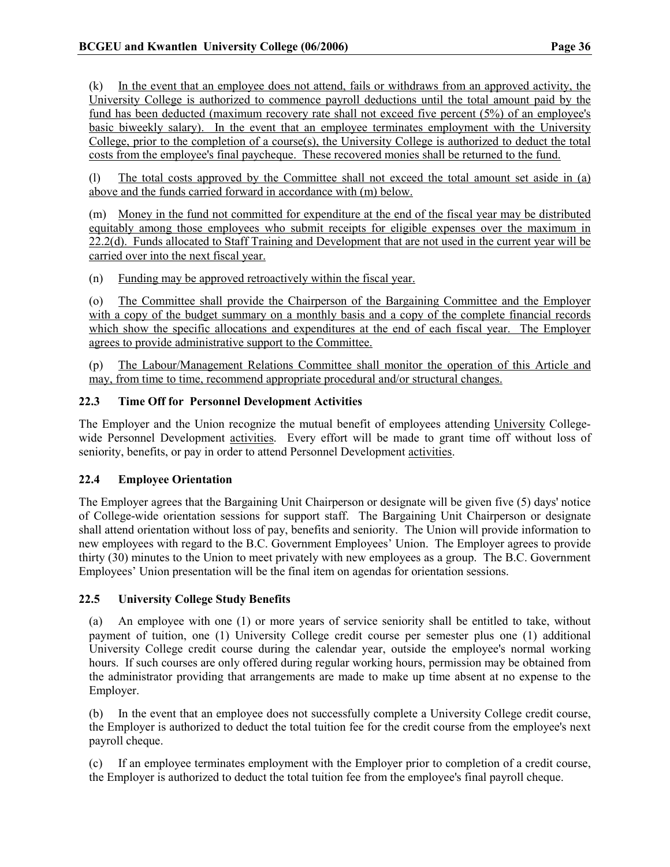(k) In the event that an employee does not attend, fails or withdraws from an approved activity, the University College is authorized to commence payroll deductions until the total amount paid by the fund has been deducted (maximum recovery rate shall not exceed five percent (5%) of an employee's basic biweekly salary). In the event that an employee terminates employment with the University College, prior to the completion of a course $(s)$ , the University College is authorized to deduct the total costs from the employee's final paycheque. These recovered monies shall be returned to the fund.

(l) The total costs approved by the Committee shall not exceed the total amount set aside in (a) above and the funds carried forward in accordance with (m) below.

(m) Money in the fund not committed for expenditure at the end of the fiscal year may be distributed equitably among those employees who submit receipts for eligible expenses over the maximum in 22.2(d). Funds allocated to Staff Training and Development that are not used in the current year will be carried over into the next fiscal year.

(n) Funding may be approved retroactively within the fiscal year.

(o) The Committee shall provide the Chairperson of the Bargaining Committee and the Employer with a copy of the budget summary on a monthly basis and a copy of the complete financial records which show the specific allocations and expenditures at the end of each fiscal year. The Employer agrees to provide administrative support to the Committee.

(p) The Labour/Management Relations Committee shall monitor the operation of this Article and may, from time to time, recommend appropriate procedural and/or structural changes.

## 22.3 Time Off for Personnel Development Activities

The Employer and the Union recognize the mutual benefit of employees attending University Collegewide Personnel Development activities. Every effort will be made to grant time off without loss of seniority, benefits, or pay in order to attend Personnel Development activities.

## 22.4 Employee Orientation

The Employer agrees that the Bargaining Unit Chairperson or designate will be given five (5) days' notice of College-wide orientation sessions for support staff. The Bargaining Unit Chairperson or designate shall attend orientation without loss of pay, benefits and seniority. The Union will provide information to new employees with regard to the B.C. Government Employees' Union. The Employer agrees to provide thirty (30) minutes to the Union to meet privately with new employees as a group. The B.C. Government Employees' Union presentation will be the final item on agendas for orientation sessions.

## 22.5 University College Study Benefits

(a) An employee with one (1) or more years of service seniority shall be entitled to take, without payment of tuition, one (1) University College credit course per semester plus one (1) additional University College credit course during the calendar year, outside the employee's normal working hours. If such courses are only offered during regular working hours, permission may be obtained from the administrator providing that arrangements are made to make up time absent at no expense to the Employer.

(b) In the event that an employee does not successfully complete a University College credit course, the Employer is authorized to deduct the total tuition fee for the credit course from the employee's next payroll cheque.

(c) If an employee terminates employment with the Employer prior to completion of a credit course, the Employer is authorized to deduct the total tuition fee from the employee's final payroll cheque.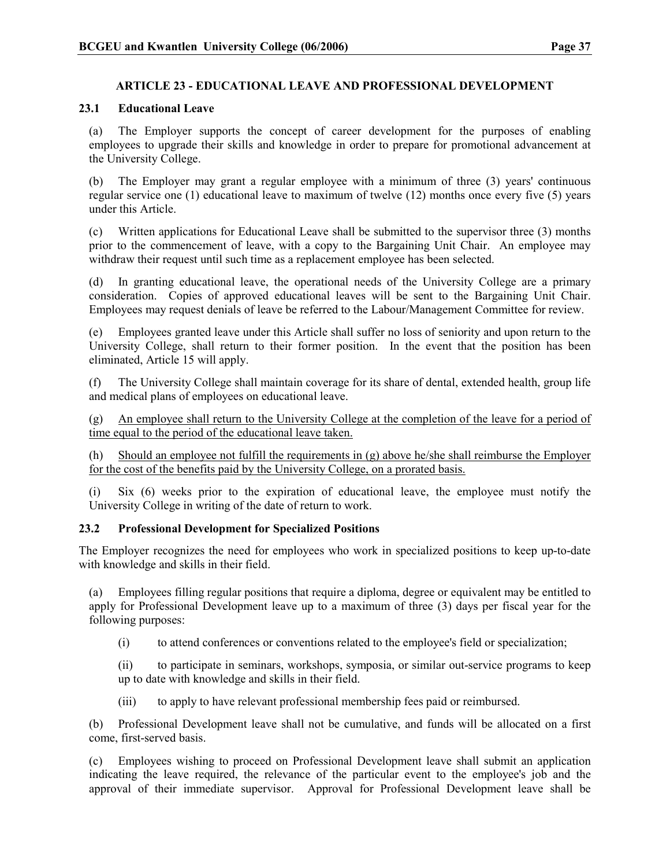## ARTICLE 23 - EDUCATIONAL LEAVE AND PROFESSIONAL DEVELOPMENT

## 23.1 Educational Leave

(a) The Employer supports the concept of career development for the purposes of enabling employees to upgrade their skills and knowledge in order to prepare for promotional advancement at the University College.

(b) The Employer may grant a regular employee with a minimum of three (3) years' continuous regular service one (1) educational leave to maximum of twelve (12) months once every five (5) years under this Article.

(c) Written applications for Educational Leave shall be submitted to the supervisor three (3) months prior to the commencement of leave, with a copy to the Bargaining Unit Chair. An employee may withdraw their request until such time as a replacement employee has been selected.

(d) In granting educational leave, the operational needs of the University College are a primary consideration. Copies of approved educational leaves will be sent to the Bargaining Unit Chair. Employees may request denials of leave be referred to the Labour/Management Committee for review.

(e) Employees granted leave under this Article shall suffer no loss of seniority and upon return to the University College, shall return to their former position. In the event that the position has been eliminated, Article 15 will apply.

(f) The University College shall maintain coverage for its share of dental, extended health, group life and medical plans of employees on educational leave.

(g) An employee shall return to the University College at the completion of the leave for a period of time equal to the period of the educational leave taken.

(h) Should an employee not fulfill the requirements in (g) above he/she shall reimburse the Employer for the cost of the benefits paid by the University College, on a prorated basis.

(i) Six (6) weeks prior to the expiration of educational leave, the employee must notify the University College in writing of the date of return to work.

## 23.2 Professional Development for Specialized Positions

The Employer recognizes the need for employees who work in specialized positions to keep up-to-date with knowledge and skills in their field.

(a) Employees filling regular positions that require a diploma, degree or equivalent may be entitled to apply for Professional Development leave up to a maximum of three (3) days per fiscal year for the following purposes:

(i) to attend conferences or conventions related to the employee's field or specialization;

(ii) to participate in seminars, workshops, symposia, or similar out-service programs to keep up to date with knowledge and skills in their field.

(iii) to apply to have relevant professional membership fees paid or reimbursed.

(b) Professional Development leave shall not be cumulative, and funds will be allocated on a first come, first-served basis.

(c) Employees wishing to proceed on Professional Development leave shall submit an application indicating the leave required, the relevance of the particular event to the employee's job and the approval of their immediate supervisor. Approval for Professional Development leave shall be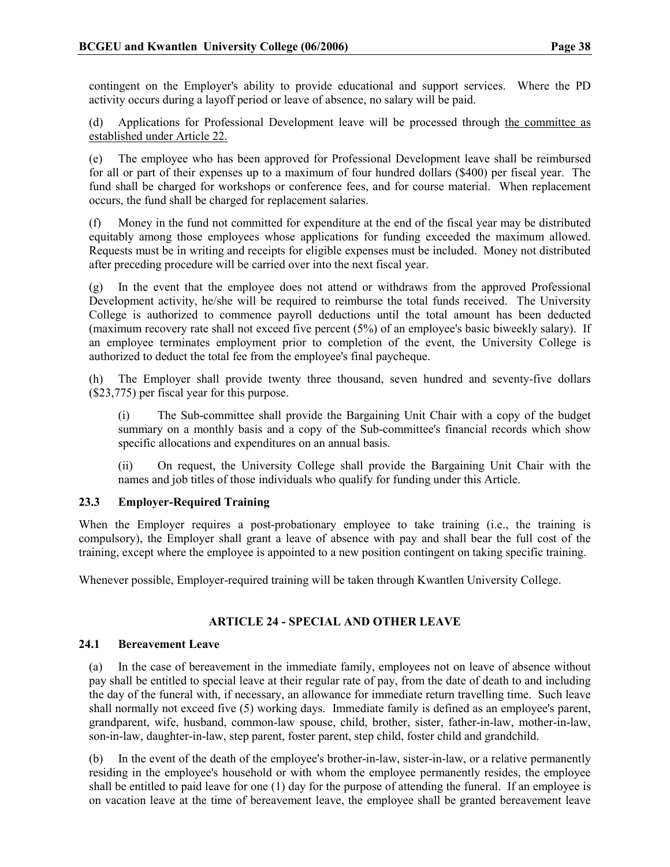contingent on the Employer's ability to provide educational and support services. Where the PD activity occurs during a layoff period or leave of absence, no salary will be paid.

(d) Applications for Professional Development leave will be processed through the committee as established under Article 22.

(e) The employee who has been approved for Professional Development leave shall be reimbursed for all or part of their expenses up to a maximum of four hundred dollars (\$400) per fiscal year. The fund shall be charged for workshops or conference fees, and for course material. When replacement occurs, the fund shall be charged for replacement salaries.

(f) Money in the fund not committed for expenditure at the end of the fiscal year may be distributed equitably among those employees whose applications for funding exceeded the maximum allowed. Requests must be in writing and receipts for eligible expenses must be included. Money not distributed after preceding procedure will be carried over into the next fiscal year.

(g) In the event that the employee does not attend or withdraws from the approved Professional Development activity, he/she will be required to reimburse the total funds received. The University College is authorized to commence payroll deductions until the total amount has been deducted (maximum recovery rate shall not exceed five percent (5%) of an employee's basic biweekly salary). If an employee terminates employment prior to completion of the event, the University College is authorized to deduct the total fee from the employee's final paycheque.

(h) The Employer shall provide twenty three thousand, seven hundred and seventy-five dollars (\$23,775) per fiscal year for this purpose.

(i) The Sub-committee shall provide the Bargaining Unit Chair with a copy of the budget summary on a monthly basis and a copy of the Sub-committee's financial records which show specific allocations and expenditures on an annual basis.

(ii) On request, the University College shall provide the Bargaining Unit Chair with the names and job titles of those individuals who qualify for funding under this Article.

## 23.3 Employer-Required Training

When the Employer requires a post-probationary employee to take training (i.e., the training is compulsory), the Employer shall grant a leave of absence with pay and shall bear the full cost of the training, except where the employee is appointed to a new position contingent on taking specific training.

Whenever possible, Employer-required training will be taken through Kwantlen University College.

## ARTICLE 24 - SPECIAL AND OTHER LEAVE

## 24.1 Bereavement Leave

(a) In the case of bereavement in the immediate family, employees not on leave of absence without pay shall be entitled to special leave at their regular rate of pay, from the date of death to and including the day of the funeral with, if necessary, an allowance for immediate return travelling time. Such leave shall normally not exceed five (5) working days. Immediate family is defined as an employee's parent, grandparent, wife, husband, common-law spouse, child, brother, sister, father-in-law, mother-in-law, son-in-law, daughter-in-law, step parent, foster parent, step child, foster child and grandchild.

(b) In the event of the death of the employee's brother-in-law, sister-in-law, or a relative permanently residing in the employee's household or with whom the employee permanently resides, the employee shall be entitled to paid leave for one (1) day for the purpose of attending the funeral. If an employee is on vacation leave at the time of bereavement leave, the employee shall be granted bereavement leave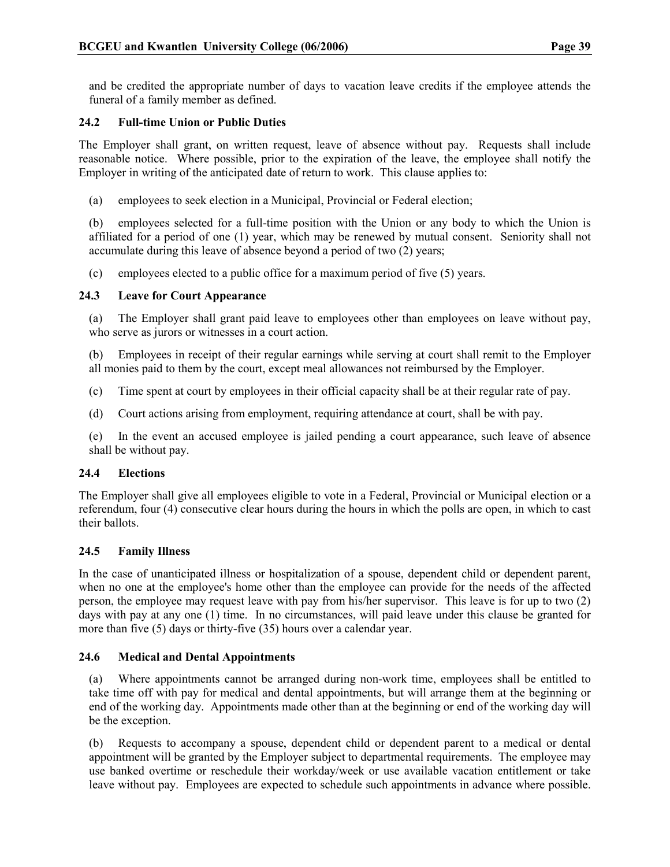and be credited the appropriate number of days to vacation leave credits if the employee attends the funeral of a family member as defined.

## 24.2 Full-time Union or Public Duties

The Employer shall grant, on written request, leave of absence without pay. Requests shall include reasonable notice. Where possible, prior to the expiration of the leave, the employee shall notify the Employer in writing of the anticipated date of return to work. This clause applies to:

(a) employees to seek election in a Municipal, Provincial or Federal election;

(b) employees selected for a full-time position with the Union or any body to which the Union is affiliated for a period of one (1) year, which may be renewed by mutual consent. Seniority shall not accumulate during this leave of absence beyond a period of two (2) years;

(c) employees elected to a public office for a maximum period of five (5) years.

## 24.3 Leave for Court Appearance

(a) The Employer shall grant paid leave to employees other than employees on leave without pay, who serve as jurors or witnesses in a court action.

(b) Employees in receipt of their regular earnings while serving at court shall remit to the Employer all monies paid to them by the court, except meal allowances not reimbursed by the Employer.

- (c) Time spent at court by employees in their official capacity shall be at their regular rate of pay.
- (d) Court actions arising from employment, requiring attendance at court, shall be with pay.

(e) In the event an accused employee is jailed pending a court appearance, such leave of absence shall be without pay.

## 24.4 Elections

The Employer shall give all employees eligible to vote in a Federal, Provincial or Municipal election or a referendum, four (4) consecutive clear hours during the hours in which the polls are open, in which to cast their ballots.

## 24.5 Family Illness

In the case of unanticipated illness or hospitalization of a spouse, dependent child or dependent parent, when no one at the employee's home other than the employee can provide for the needs of the affected person, the employee may request leave with pay from his/her supervisor. This leave is for up to two (2) days with pay at any one (1) time. In no circumstances, will paid leave under this clause be granted for more than five (5) days or thirty-five (35) hours over a calendar year.

## 24.6 Medical and Dental Appointments

(a) Where appointments cannot be arranged during non-work time, employees shall be entitled to take time off with pay for medical and dental appointments, but will arrange them at the beginning or end of the working day. Appointments made other than at the beginning or end of the working day will be the exception.

(b) Requests to accompany a spouse, dependent child or dependent parent to a medical or dental appointment will be granted by the Employer subject to departmental requirements. The employee may use banked overtime or reschedule their workday/week or use available vacation entitlement or take leave without pay. Employees are expected to schedule such appointments in advance where possible.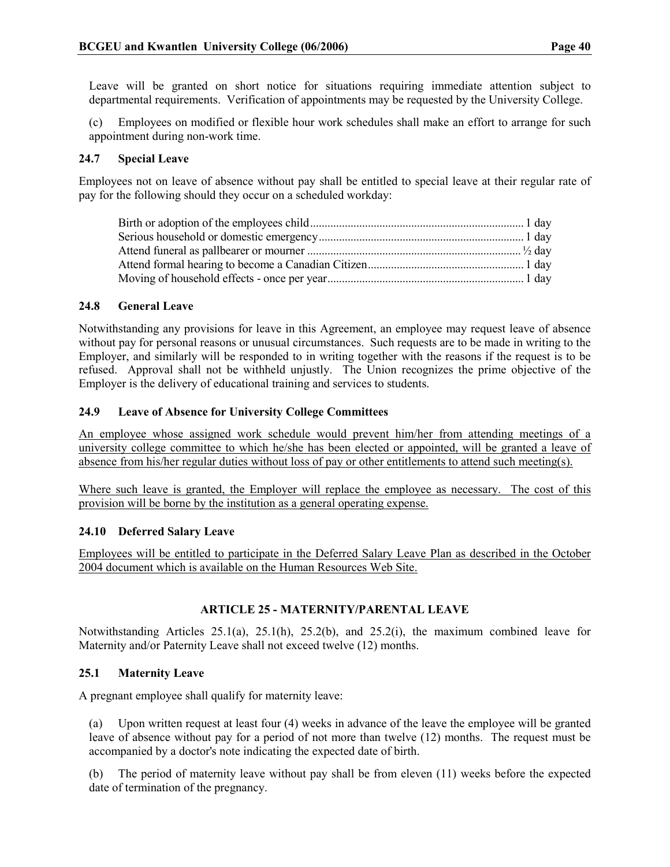Leave will be granted on short notice for situations requiring immediate attention subject to departmental requirements. Verification of appointments may be requested by the University College.

(c) Employees on modified or flexible hour work schedules shall make an effort to arrange for such appointment during non-work time.

#### 24.7 Special Leave

Employees not on leave of absence without pay shall be entitled to special leave at their regular rate of pay for the following should they occur on a scheduled workday:

#### 24.8 General Leave

Notwithstanding any provisions for leave in this Agreement, an employee may request leave of absence without pay for personal reasons or unusual circumstances. Such requests are to be made in writing to the Employer, and similarly will be responded to in writing together with the reasons if the request is to be refused. Approval shall not be withheld unjustly. The Union recognizes the prime objective of the Employer is the delivery of educational training and services to students.

#### 24.9 Leave of Absence for University College Committees

An employee whose assigned work schedule would prevent him/her from attending meetings of a university college committee to which he/she has been elected or appointed, will be granted a leave of absence from his/her regular duties without loss of pay or other entitlements to attend such meeting(s).

Where such leave is granted, the Employer will replace the employee as necessary. The cost of this provision will be borne by the institution as a general operating expense.

## 24.10 Deferred Salary Leave

Employees will be entitled to participate in the Deferred Salary Leave Plan as described in the October 2004 document which is available on the Human Resources Web Site.

## ARTICLE 25 - MATERNITY/PARENTAL LEAVE

Notwithstanding Articles 25.1(a), 25.1(h), 25.2(b), and 25.2(i), the maximum combined leave for Maternity and/or Paternity Leave shall not exceed twelve (12) months.

## 25.1 Maternity Leave

A pregnant employee shall qualify for maternity leave:

(a) Upon written request at least four (4) weeks in advance of the leave the employee will be granted leave of absence without pay for a period of not more than twelve (12) months. The request must be accompanied by a doctor's note indicating the expected date of birth.

(b) The period of maternity leave without pay shall be from eleven (11) weeks before the expected date of termination of the pregnancy.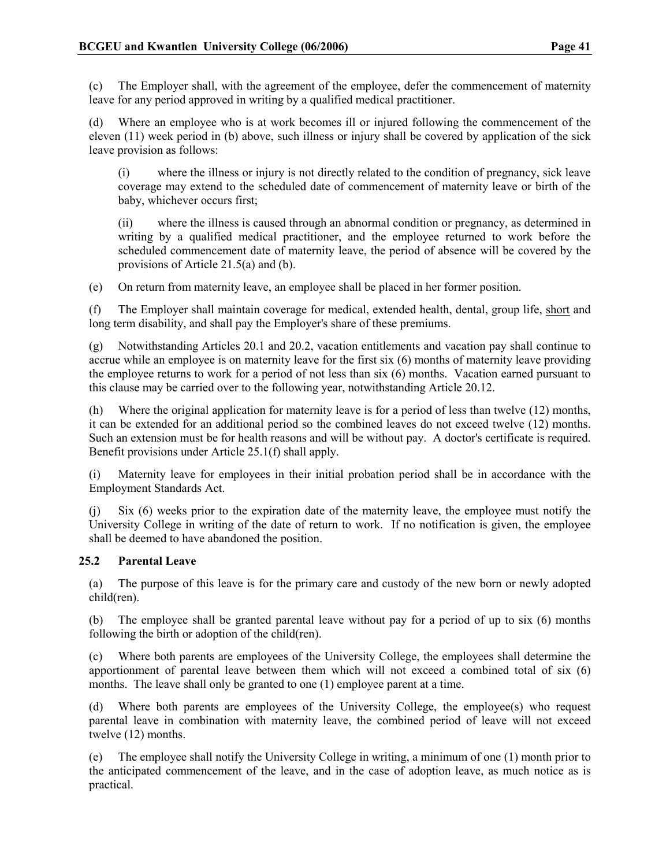(c) The Employer shall, with the agreement of the employee, defer the commencement of maternity leave for any period approved in writing by a qualified medical practitioner.

(d) Where an employee who is at work becomes ill or injured following the commencement of the eleven (11) week period in (b) above, such illness or injury shall be covered by application of the sick leave provision as follows:

(i) where the illness or injury is not directly related to the condition of pregnancy, sick leave coverage may extend to the scheduled date of commencement of maternity leave or birth of the baby, whichever occurs first;

(ii) where the illness is caused through an abnormal condition or pregnancy, as determined in writing by a qualified medical practitioner, and the employee returned to work before the scheduled commencement date of maternity leave, the period of absence will be covered by the provisions of Article 21.5(a) and (b).

(e) On return from maternity leave, an employee shall be placed in her former position.

(f) The Employer shall maintain coverage for medical, extended health, dental, group life, short and long term disability, and shall pay the Employer's share of these premiums.

(g) Notwithstanding Articles 20.1 and 20.2, vacation entitlements and vacation pay shall continue to accrue while an employee is on maternity leave for the first six (6) months of maternity leave providing the employee returns to work for a period of not less than six (6) months. Vacation earned pursuant to this clause may be carried over to the following year, notwithstanding Article 20.12.

Where the original application for maternity leave is for a period of less than twelve  $(12)$  months, it can be extended for an additional period so the combined leaves do not exceed twelve (12) months. Such an extension must be for health reasons and will be without pay. A doctor's certificate is required. Benefit provisions under Article 25.1(f) shall apply.

(i) Maternity leave for employees in their initial probation period shall be in accordance with the Employment Standards Act.

(j) Six (6) weeks prior to the expiration date of the maternity leave, the employee must notify the University College in writing of the date of return to work. If no notification is given, the employee shall be deemed to have abandoned the position.

## 25.2 Parental Leave

(a) The purpose of this leave is for the primary care and custody of the new born or newly adopted child(ren).

(b) The employee shall be granted parental leave without pay for a period of up to six (6) months following the birth or adoption of the child(ren).

(c) Where both parents are employees of the University College, the employees shall determine the apportionment of parental leave between them which will not exceed a combined total of six (6) months. The leave shall only be granted to one (1) employee parent at a time.

(d) Where both parents are employees of the University College, the employee(s) who request parental leave in combination with maternity leave, the combined period of leave will not exceed twelve (12) months.

(e) The employee shall notify the University College in writing, a minimum of one (1) month prior to the anticipated commencement of the leave, and in the case of adoption leave, as much notice as is practical.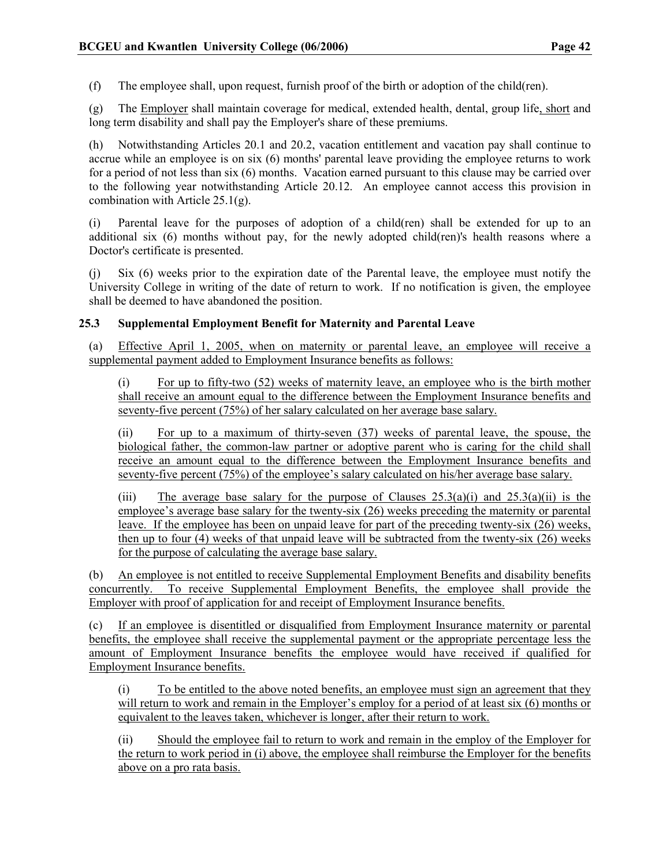(f) The employee shall, upon request, furnish proof of the birth or adoption of the child(ren).

(g) The Employer shall maintain coverage for medical, extended health, dental, group life, short and long term disability and shall pay the Employer's share of these premiums.

(h) Notwithstanding Articles 20.1 and 20.2, vacation entitlement and vacation pay shall continue to accrue while an employee is on six (6) months' parental leave providing the employee returns to work for a period of not less than six (6) months. Vacation earned pursuant to this clause may be carried over to the following year notwithstanding Article 20.12. An employee cannot access this provision in combination with Article 25.1(g).

(i) Parental leave for the purposes of adoption of a child(ren) shall be extended for up to an additional six (6) months without pay, for the newly adopted child(ren)'s health reasons where a Doctor's certificate is presented.

(j) Six (6) weeks prior to the expiration date of the Parental leave, the employee must notify the University College in writing of the date of return to work. If no notification is given, the employee shall be deemed to have abandoned the position.

## 25.3 Supplemental Employment Benefit for Maternity and Parental Leave

(a) Effective April 1, 2005, when on maternity or parental leave, an employee will receive a supplemental payment added to Employment Insurance benefits as follows:

(i) For up to fifty-two (52) weeks of maternity leave, an employee who is the birth mother shall receive an amount equal to the difference between the Employment Insurance benefits and seventy-five percent (75%) of her salary calculated on her average base salary.

(ii) For up to a maximum of thirty-seven (37) weeks of parental leave, the spouse, the biological father, the common-law partner or adoptive parent who is caring for the child shall receive an amount equal to the difference between the Employment Insurance benefits and seventy-five percent (75%) of the employee's salary calculated on his/her average base salary.

(iii) The average base salary for the purpose of Clauses  $25.3(a)(i)$  and  $25.3(a)(ii)$  is the employee's average base salary for the twenty-six (26) weeks preceding the maternity or parental leave. If the employee has been on unpaid leave for part of the preceding twenty-six (26) weeks, then up to four (4) weeks of that unpaid leave will be subtracted from the twenty-six (26) weeks for the purpose of calculating the average base salary.

(b) An employee is not entitled to receive Supplemental Employment Benefits and disability benefits concurrently. To receive Supplemental Employment Benefits, the employee shall provide the Employer with proof of application for and receipt of Employment Insurance benefits.

(c) If an employee is disentitled or disqualified from Employment Insurance maternity or parental benefits, the employee shall receive the supplemental payment or the appropriate percentage less the amount of Employment Insurance benefits the employee would have received if qualified for Employment Insurance benefits.

(i) To be entitled to the above noted benefits, an employee must sign an agreement that they will return to work and remain in the Employer's employ for a period of at least six (6) months or equivalent to the leaves taken, whichever is longer, after their return to work.

(ii) Should the employee fail to return to work and remain in the employ of the Employer for the return to work period in (i) above, the employee shall reimburse the Employer for the benefits above on a pro rata basis.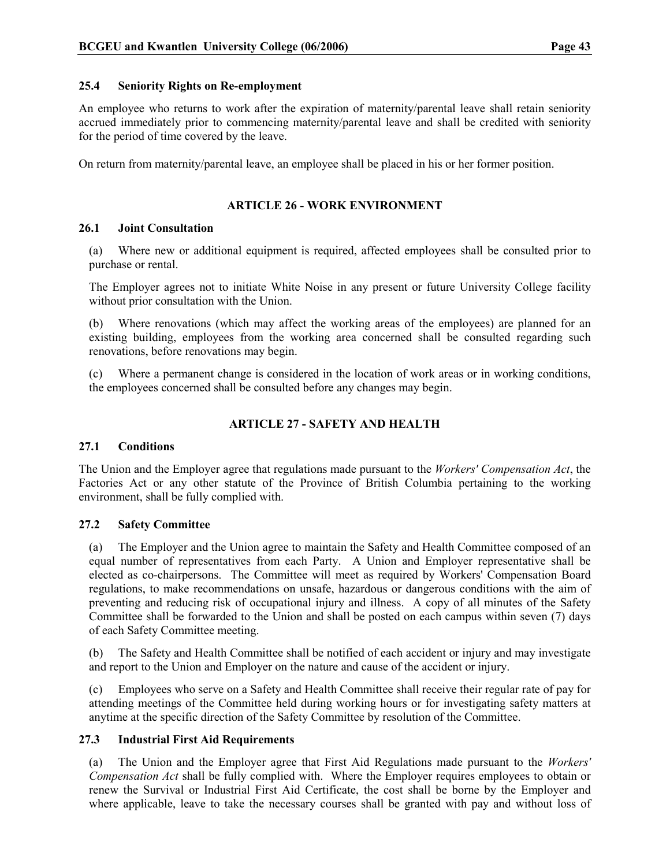## 25.4 Seniority Rights on Re-employment

An employee who returns to work after the expiration of maternity/parental leave shall retain seniority accrued immediately prior to commencing maternity/parental leave and shall be credited with seniority for the period of time covered by the leave.

On return from maternity/parental leave, an employee shall be placed in his or her former position.

## ARTICLE 26 - WORK ENVIRONMENT

## 26.1 Joint Consultation

(a) Where new or additional equipment is required, affected employees shall be consulted prior to purchase or rental.

The Employer agrees not to initiate White Noise in any present or future University College facility without prior consultation with the Union.

(b) Where renovations (which may affect the working areas of the employees) are planned for an existing building, employees from the working area concerned shall be consulted regarding such renovations, before renovations may begin.

(c) Where a permanent change is considered in the location of work areas or in working conditions, the employees concerned shall be consulted before any changes may begin.

## ARTICLE 27 - SAFETY AND HEALTH

## 27.1 Conditions

The Union and the Employer agree that regulations made pursuant to the Workers' Compensation Act, the Factories Act or any other statute of the Province of British Columbia pertaining to the working environment, shall be fully complied with.

## 27.2 Safety Committee

(a) The Employer and the Union agree to maintain the Safety and Health Committee composed of an equal number of representatives from each Party. A Union and Employer representative shall be elected as co-chairpersons. The Committee will meet as required by Workers' Compensation Board regulations, to make recommendations on unsafe, hazardous or dangerous conditions with the aim of preventing and reducing risk of occupational injury and illness. A copy of all minutes of the Safety Committee shall be forwarded to the Union and shall be posted on each campus within seven (7) days of each Safety Committee meeting.

(b) The Safety and Health Committee shall be notified of each accident or injury and may investigate and report to the Union and Employer on the nature and cause of the accident or injury.

(c) Employees who serve on a Safety and Health Committee shall receive their regular rate of pay for attending meetings of the Committee held during working hours or for investigating safety matters at anytime at the specific direction of the Safety Committee by resolution of the Committee.

## 27.3 Industrial First Aid Requirements

(a) The Union and the Employer agree that First Aid Regulations made pursuant to the Workers' Compensation Act shall be fully complied with. Where the Employer requires employees to obtain or renew the Survival or Industrial First Aid Certificate, the cost shall be borne by the Employer and where applicable, leave to take the necessary courses shall be granted with pay and without loss of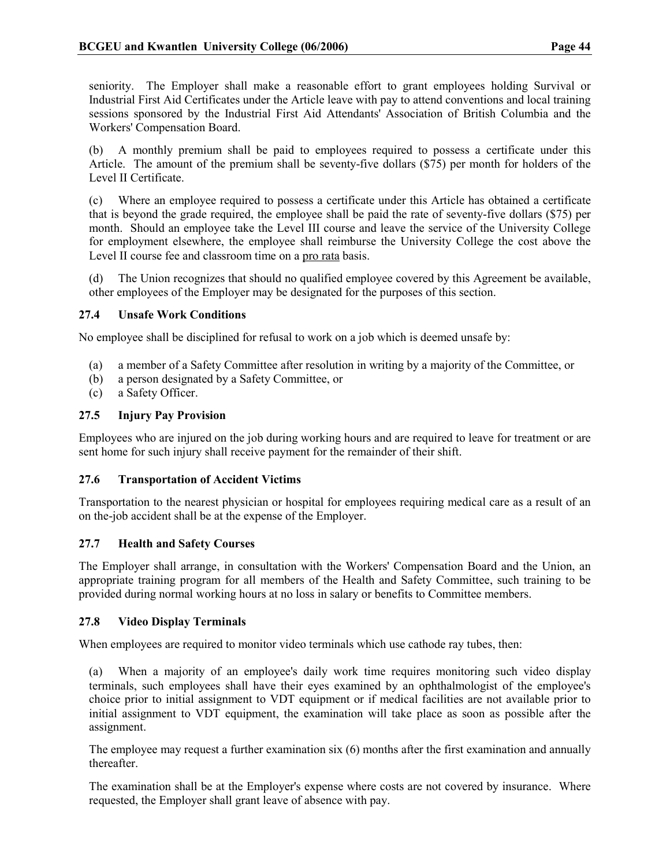seniority. The Employer shall make a reasonable effort to grant employees holding Survival or Industrial First Aid Certificates under the Article leave with pay to attend conventions and local training sessions sponsored by the Industrial First Aid Attendants' Association of British Columbia and the Workers' Compensation Board.

(b) A monthly premium shall be paid to employees required to possess a certificate under this Article. The amount of the premium shall be seventy-five dollars (\$75) per month for holders of the Level II Certificate.

(c) Where an employee required to possess a certificate under this Article has obtained a certificate that is beyond the grade required, the employee shall be paid the rate of seventy-five dollars (\$75) per month. Should an employee take the Level III course and leave the service of the University College for employment elsewhere, the employee shall reimburse the University College the cost above the Level II course fee and classroom time on a pro rata basis.

(d) The Union recognizes that should no qualified employee covered by this Agreement be available, other employees of the Employer may be designated for the purposes of this section.

## 27.4 Unsafe Work Conditions

No employee shall be disciplined for refusal to work on a job which is deemed unsafe by:

- (a) a member of a Safety Committee after resolution in writing by a majority of the Committee, or
- (b) a person designated by a Safety Committee, or
- (c) a Safety Officer.

## 27.5 Injury Pay Provision

Employees who are injured on the job during working hours and are required to leave for treatment or are sent home for such injury shall receive payment for the remainder of their shift.

## 27.6 Transportation of Accident Victims

Transportation to the nearest physician or hospital for employees requiring medical care as a result of an on the-job accident shall be at the expense of the Employer.

## 27.7 Health and Safety Courses

The Employer shall arrange, in consultation with the Workers' Compensation Board and the Union, an appropriate training program for all members of the Health and Safety Committee, such training to be provided during normal working hours at no loss in salary or benefits to Committee members.

## 27.8 Video Display Terminals

When employees are required to monitor video terminals which use cathode ray tubes, then:

(a) When a majority of an employee's daily work time requires monitoring such video display terminals, such employees shall have their eyes examined by an ophthalmologist of the employee's choice prior to initial assignment to VDT equipment or if medical facilities are not available prior to initial assignment to VDT equipment, the examination will take place as soon as possible after the assignment.

The employee may request a further examination six (6) months after the first examination and annually thereafter.

The examination shall be at the Employer's expense where costs are not covered by insurance. Where requested, the Employer shall grant leave of absence with pay.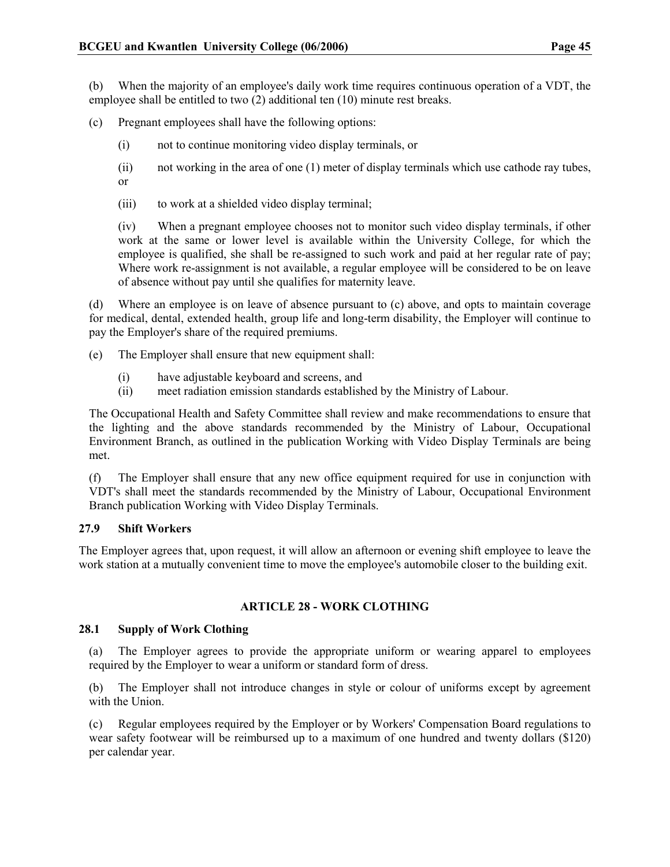(b) When the majority of an employee's daily work time requires continuous operation of a VDT, the employee shall be entitled to two (2) additional ten (10) minute rest breaks.

(c) Pregnant employees shall have the following options:

- (i) not to continue monitoring video display terminals, or
- (ii) not working in the area of one (1) meter of display terminals which use cathode ray tubes, or
- (iii) to work at a shielded video display terminal;

(iv) When a pregnant employee chooses not to monitor such video display terminals, if other work at the same or lower level is available within the University College, for which the employee is qualified, she shall be re-assigned to such work and paid at her regular rate of pay; Where work re-assignment is not available, a regular employee will be considered to be on leave of absence without pay until she qualifies for maternity leave.

(d) Where an employee is on leave of absence pursuant to (c) above, and opts to maintain coverage for medical, dental, extended health, group life and long-term disability, the Employer will continue to pay the Employer's share of the required premiums.

(e) The Employer shall ensure that new equipment shall:

- (i) have adjustable keyboard and screens, and
- (ii) meet radiation emission standards established by the Ministry of Labour.

The Occupational Health and Safety Committee shall review and make recommendations to ensure that the lighting and the above standards recommended by the Ministry of Labour, Occupational Environment Branch, as outlined in the publication Working with Video Display Terminals are being met.

(f) The Employer shall ensure that any new office equipment required for use in conjunction with VDT's shall meet the standards recommended by the Ministry of Labour, Occupational Environment Branch publication Working with Video Display Terminals.

## 27.9 Shift Workers

The Employer agrees that, upon request, it will allow an afternoon or evening shift employee to leave the work station at a mutually convenient time to move the employee's automobile closer to the building exit.

## ARTICLE 28 - WORK CLOTHING

## 28.1 Supply of Work Clothing

(a) The Employer agrees to provide the appropriate uniform or wearing apparel to employees required by the Employer to wear a uniform or standard form of dress.

(b) The Employer shall not introduce changes in style or colour of uniforms except by agreement with the Union.

(c) Regular employees required by the Employer or by Workers' Compensation Board regulations to wear safety footwear will be reimbursed up to a maximum of one hundred and twenty dollars (\$120) per calendar year.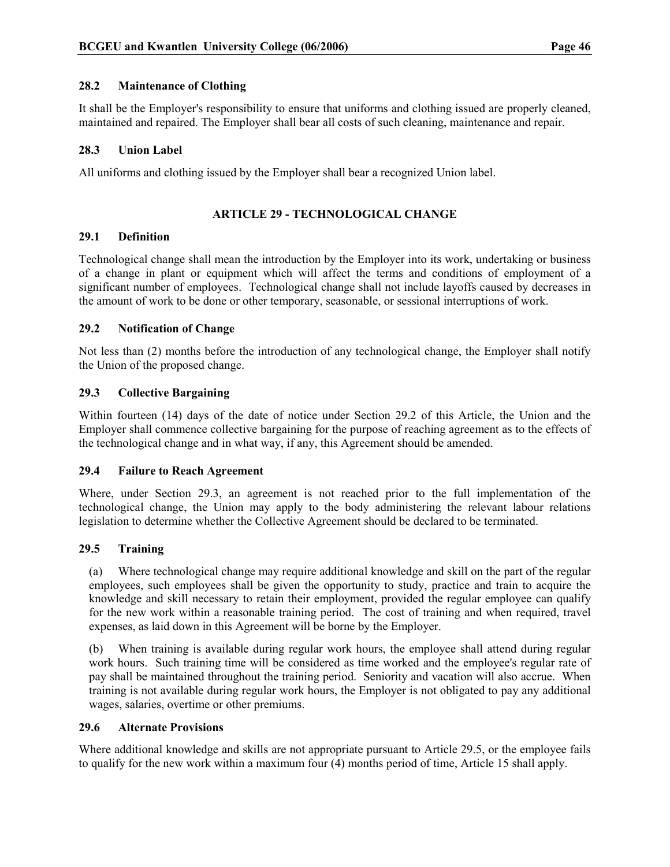## 28.2 Maintenance of Clothing

It shall be the Employer's responsibility to ensure that uniforms and clothing issued are properly cleaned, maintained and repaired. The Employer shall bear all costs of such cleaning, maintenance and repair.

## 28.3 Union Label

All uniforms and clothing issued by the Employer shall bear a recognized Union label.

## ARTICLE 29 - TECHNOLOGICAL CHANGE

#### 29.1 Definition

Technological change shall mean the introduction by the Employer into its work, undertaking or business of a change in plant or equipment which will affect the terms and conditions of employment of a significant number of employees. Technological change shall not include layoffs caused by decreases in the amount of work to be done or other temporary, seasonable, or sessional interruptions of work.

#### 29.2 Notification of Change

Not less than (2) months before the introduction of any technological change, the Employer shall notify the Union of the proposed change.

## 29.3 Collective Bargaining

Within fourteen (14) days of the date of notice under Section 29.2 of this Article, the Union and the Employer shall commence collective bargaining for the purpose of reaching agreement as to the effects of the technological change and in what way, if any, this Agreement should be amended.

#### 29.4 Failure to Reach Agreement

Where, under Section 29.3, an agreement is not reached prior to the full implementation of the technological change, the Union may apply to the body administering the relevant labour relations legislation to determine whether the Collective Agreement should be declared to be terminated.

## 29.5 Training

(a) Where technological change may require additional knowledge and skill on the part of the regular employees, such employees shall be given the opportunity to study, practice and train to acquire the knowledge and skill necessary to retain their employment, provided the regular employee can qualify for the new work within a reasonable training period. The cost of training and when required, travel expenses, as laid down in this Agreement will be borne by the Employer.

(b) When training is available during regular work hours, the employee shall attend during regular work hours. Such training time will be considered as time worked and the employee's regular rate of pay shall be maintained throughout the training period. Seniority and vacation will also accrue. When training is not available during regular work hours, the Employer is not obligated to pay any additional wages, salaries, overtime or other premiums.

#### 29.6 Alternate Provisions

Where additional knowledge and skills are not appropriate pursuant to Article 29.5, or the employee fails to qualify for the new work within a maximum four (4) months period of time, Article 15 shall apply.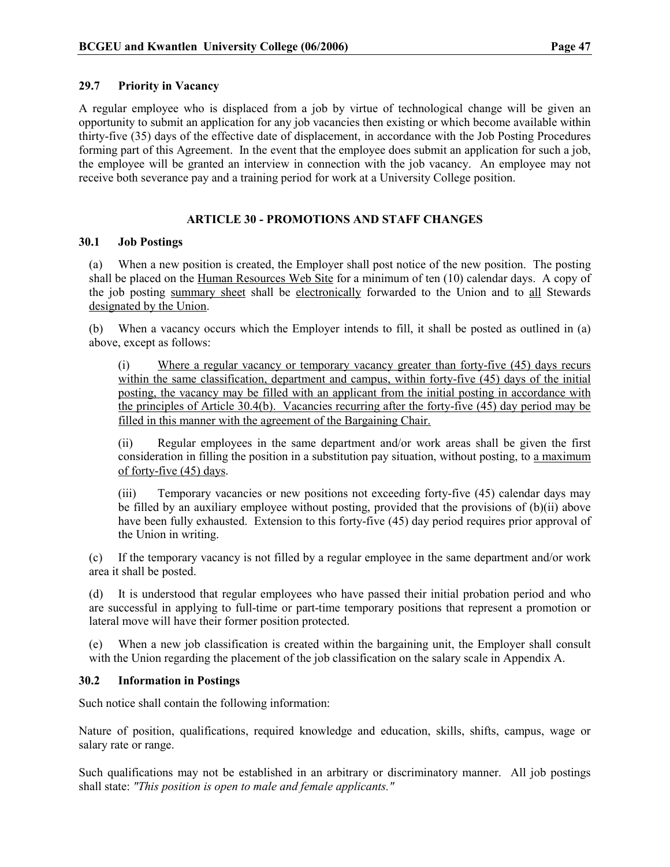## 29.7 Priority in Vacancy

A regular employee who is displaced from a job by virtue of technological change will be given an opportunity to submit an application for any job vacancies then existing or which become available within thirty-five (35) days of the effective date of displacement, in accordance with the Job Posting Procedures forming part of this Agreement. In the event that the employee does submit an application for such a job, the employee will be granted an interview in connection with the job vacancy. An employee may not receive both severance pay and a training period for work at a University College position.

## ARTICLE 30 - PROMOTIONS AND STAFF CHANGES

## 30.1 Job Postings

(a) When a new position is created, the Employer shall post notice of the new position. The posting shall be placed on the Human Resources Web Site for a minimum of ten (10) calendar days. A copy of the job posting summary sheet shall be electronically forwarded to the Union and to all Stewards designated by the Union.

(b) When a vacancy occurs which the Employer intends to fill, it shall be posted as outlined in (a) above, except as follows:

(i) Where a regular vacancy or temporary vacancy greater than forty-five (45) days recurs within the same classification, department and campus, within forty-five (45) days of the initial posting, the vacancy may be filled with an applicant from the initial posting in accordance with the principles of Article 30.4(b). Vacancies recurring after the forty-five (45) day period may be filled in this manner with the agreement of the Bargaining Chair.

(ii) Regular employees in the same department and/or work areas shall be given the first consideration in filling the position in a substitution pay situation, without posting, to a maximum of forty-five (45) days.

(iii) Temporary vacancies or new positions not exceeding forty-five (45) calendar days may be filled by an auxiliary employee without posting, provided that the provisions of (b)(ii) above have been fully exhausted. Extension to this forty-five (45) day period requires prior approval of the Union in writing.

(c) If the temporary vacancy is not filled by a regular employee in the same department and/or work area it shall be posted.

(d) It is understood that regular employees who have passed their initial probation period and who are successful in applying to full-time or part-time temporary positions that represent a promotion or lateral move will have their former position protected.

(e) When a new job classification is created within the bargaining unit, the Employer shall consult with the Union regarding the placement of the job classification on the salary scale in Appendix A.

## 30.2 Information in Postings

Such notice shall contain the following information:

Nature of position, qualifications, required knowledge and education, skills, shifts, campus, wage or salary rate or range.

Such qualifications may not be established in an arbitrary or discriminatory manner. All job postings shall state: "This position is open to male and female applicants."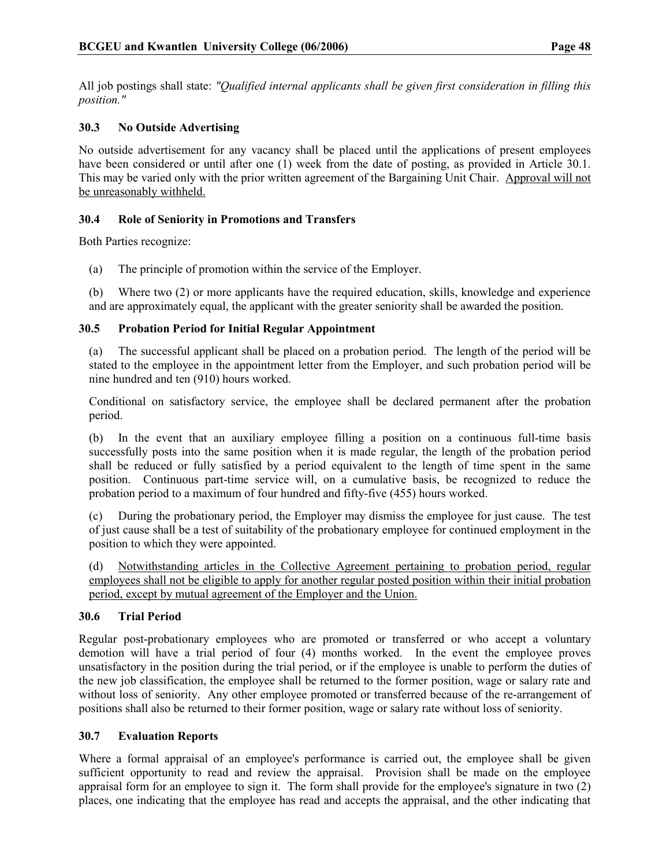All job postings shall state: "Qualified internal applicants shall be given first consideration in filling this position."

## 30.3 No Outside Advertising

No outside advertisement for any vacancy shall be placed until the applications of present employees have been considered or until after one (1) week from the date of posting, as provided in Article 30.1. This may be varied only with the prior written agreement of the Bargaining Unit Chair. Approval will not be unreasonably withheld.

## 30.4 Role of Seniority in Promotions and Transfers

Both Parties recognize:

(a) The principle of promotion within the service of the Employer.

(b) Where two (2) or more applicants have the required education, skills, knowledge and experience and are approximately equal, the applicant with the greater seniority shall be awarded the position.

## 30.5 Probation Period for Initial Regular Appointment

(a) The successful applicant shall be placed on a probation period. The length of the period will be stated to the employee in the appointment letter from the Employer, and such probation period will be nine hundred and ten (910) hours worked.

Conditional on satisfactory service, the employee shall be declared permanent after the probation period.

(b) In the event that an auxiliary employee filling a position on a continuous full-time basis successfully posts into the same position when it is made regular, the length of the probation period shall be reduced or fully satisfied by a period equivalent to the length of time spent in the same position. Continuous part-time service will, on a cumulative basis, be recognized to reduce the probation period to a maximum of four hundred and fifty-five (455) hours worked.

(c) During the probationary period, the Employer may dismiss the employee for just cause. The test of just cause shall be a test of suitability of the probationary employee for continued employment in the position to which they were appointed.

(d) Notwithstanding articles in the Collective Agreement pertaining to probation period, regular employees shall not be eligible to apply for another regular posted position within their initial probation period, except by mutual agreement of the Employer and the Union.

## 30.6 Trial Period

Regular post-probationary employees who are promoted or transferred or who accept a voluntary demotion will have a trial period of four (4) months worked. In the event the employee proves unsatisfactory in the position during the trial period, or if the employee is unable to perform the duties of the new job classification, the employee shall be returned to the former position, wage or salary rate and without loss of seniority. Any other employee promoted or transferred because of the re-arrangement of positions shall also be returned to their former position, wage or salary rate without loss of seniority.

## 30.7 Evaluation Reports

Where a formal appraisal of an employee's performance is carried out, the employee shall be given sufficient opportunity to read and review the appraisal. Provision shall be made on the employee appraisal form for an employee to sign it. The form shall provide for the employee's signature in two (2) places, one indicating that the employee has read and accepts the appraisal, and the other indicating that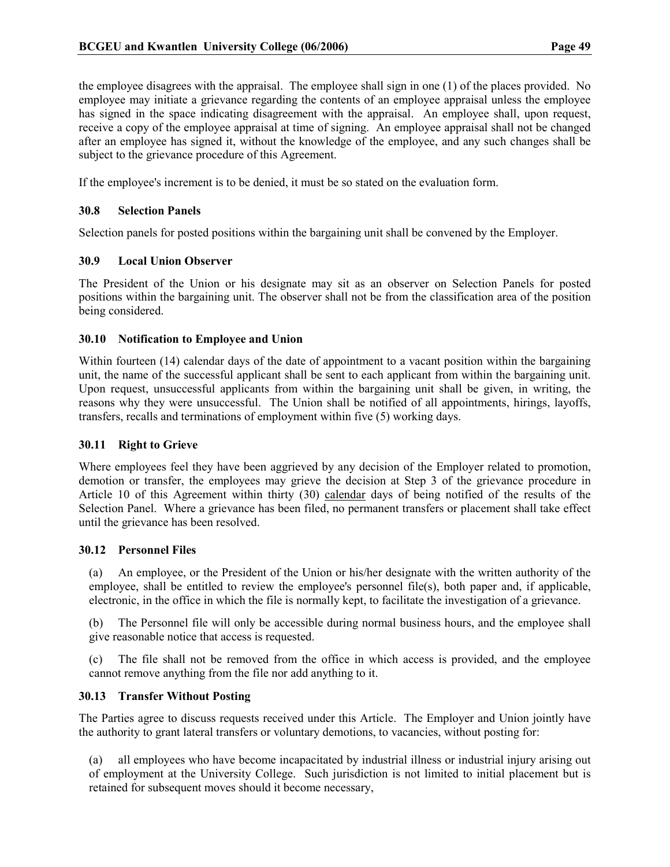the employee disagrees with the appraisal. The employee shall sign in one (1) of the places provided. No employee may initiate a grievance regarding the contents of an employee appraisal unless the employee has signed in the space indicating disagreement with the appraisal. An employee shall, upon request, receive a copy of the employee appraisal at time of signing. An employee appraisal shall not be changed after an employee has signed it, without the knowledge of the employee, and any such changes shall be subject to the grievance procedure of this Agreement.

If the employee's increment is to be denied, it must be so stated on the evaluation form.

#### 30.8 Selection Panels

Selection panels for posted positions within the bargaining unit shall be convened by the Employer.

#### 30.9 Local Union Observer

The President of the Union or his designate may sit as an observer on Selection Panels for posted positions within the bargaining unit. The observer shall not be from the classification area of the position being considered.

#### 30.10 Notification to Employee and Union

Within fourteen (14) calendar days of the date of appointment to a vacant position within the bargaining unit, the name of the successful applicant shall be sent to each applicant from within the bargaining unit. Upon request, unsuccessful applicants from within the bargaining unit shall be given, in writing, the reasons why they were unsuccessful. The Union shall be notified of all appointments, hirings, layoffs, transfers, recalls and terminations of employment within five (5) working days.

#### 30.11 Right to Grieve

Where employees feel they have been aggrieved by any decision of the Employer related to promotion, demotion or transfer, the employees may grieve the decision at Step 3 of the grievance procedure in Article 10 of this Agreement within thirty (30) calendar days of being notified of the results of the Selection Panel. Where a grievance has been filed, no permanent transfers or placement shall take effect until the grievance has been resolved.

#### 30.12 Personnel Files

(a) An employee, or the President of the Union or his/her designate with the written authority of the employee, shall be entitled to review the employee's personnel file(s), both paper and, if applicable, electronic, in the office in which the file is normally kept, to facilitate the investigation of a grievance.

(b) The Personnel file will only be accessible during normal business hours, and the employee shall give reasonable notice that access is requested.

(c) The file shall not be removed from the office in which access is provided, and the employee cannot remove anything from the file nor add anything to it.

## 30.13 Transfer Without Posting

The Parties agree to discuss requests received under this Article. The Employer and Union jointly have the authority to grant lateral transfers or voluntary demotions, to vacancies, without posting for:

all employees who have become incapacitated by industrial illness or industrial injury arising out of employment at the University College. Such jurisdiction is not limited to initial placement but is retained for subsequent moves should it become necessary,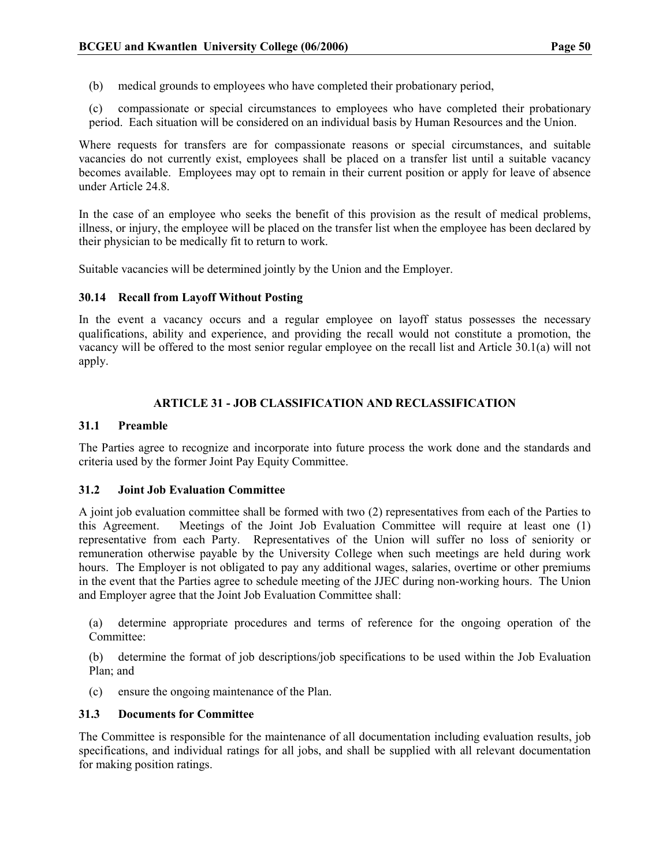- (b) medical grounds to employees who have completed their probationary period,
- (c) compassionate or special circumstances to employees who have completed their probationary period. Each situation will be considered on an individual basis by Human Resources and the Union.

Where requests for transfers are for compassionate reasons or special circumstances, and suitable vacancies do not currently exist, employees shall be placed on a transfer list until a suitable vacancy becomes available. Employees may opt to remain in their current position or apply for leave of absence under Article 24.8.

In the case of an employee who seeks the benefit of this provision as the result of medical problems, illness, or injury, the employee will be placed on the transfer list when the employee has been declared by their physician to be medically fit to return to work.

Suitable vacancies will be determined jointly by the Union and the Employer.

#### 30.14 Recall from Layoff Without Posting

In the event a vacancy occurs and a regular employee on layoff status possesses the necessary qualifications, ability and experience, and providing the recall would not constitute a promotion, the vacancy will be offered to the most senior regular employee on the recall list and Article 30.1(a) will not apply.

## ARTICLE 31 - JOB CLASSIFICATION AND RECLASSIFICATION

#### 31.1 Preamble

The Parties agree to recognize and incorporate into future process the work done and the standards and criteria used by the former Joint Pay Equity Committee.

#### 31.2 Joint Job Evaluation Committee

A joint job evaluation committee shall be formed with two (2) representatives from each of the Parties to this Agreement. Meetings of the Joint Job Evaluation Committee will require at least one (1) representative from each Party. Representatives of the Union will suffer no loss of seniority or remuneration otherwise payable by the University College when such meetings are held during work hours. The Employer is not obligated to pay any additional wages, salaries, overtime or other premiums in the event that the Parties agree to schedule meeting of the JJEC during non-working hours. The Union and Employer agree that the Joint Job Evaluation Committee shall:

(a) determine appropriate procedures and terms of reference for the ongoing operation of the Committee:

(b) determine the format of job descriptions/job specifications to be used within the Job Evaluation Plan; and

(c) ensure the ongoing maintenance of the Plan.

## 31.3 Documents for Committee

The Committee is responsible for the maintenance of all documentation including evaluation results, job specifications, and individual ratings for all jobs, and shall be supplied with all relevant documentation for making position ratings.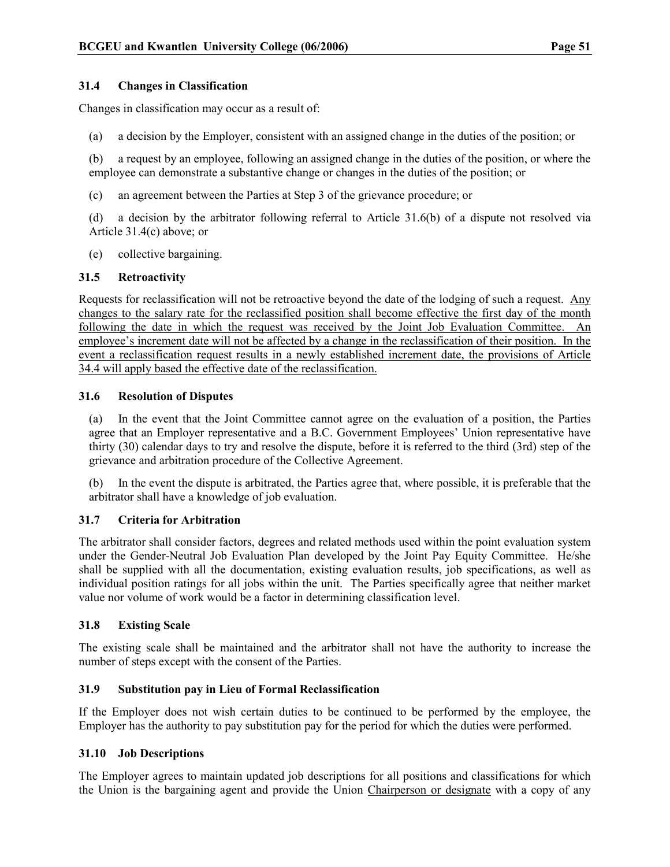## 31.4 Changes in Classification

Changes in classification may occur as a result of:

(a) a decision by the Employer, consistent with an assigned change in the duties of the position; or

(b) a request by an employee, following an assigned change in the duties of the position, or where the employee can demonstrate a substantive change or changes in the duties of the position; or

(c) an agreement between the Parties at Step 3 of the grievance procedure; or

(d) a decision by the arbitrator following referral to Article 31.6(b) of a dispute not resolved via Article 31.4(c) above; or

(e) collective bargaining.

## 31.5 Retroactivity

Requests for reclassification will not be retroactive beyond the date of the lodging of such a request. Any changes to the salary rate for the reclassified position shall become effective the first day of the month following the date in which the request was received by the Joint Job Evaluation Committee. An employee's increment date will not be affected by a change in the reclassification of their position. In the event a reclassification request results in a newly established increment date, the provisions of Article 34.4 will apply based the effective date of the reclassification.

#### 31.6 Resolution of Disputes

(a) In the event that the Joint Committee cannot agree on the evaluation of a position, the Parties agree that an Employer representative and a B.C. Government Employees' Union representative have thirty (30) calendar days to try and resolve the dispute, before it is referred to the third (3rd) step of the grievance and arbitration procedure of the Collective Agreement.

(b) In the event the dispute is arbitrated, the Parties agree that, where possible, it is preferable that the arbitrator shall have a knowledge of job evaluation.

#### 31.7 Criteria for Arbitration

The arbitrator shall consider factors, degrees and related methods used within the point evaluation system under the Gender-Neutral Job Evaluation Plan developed by the Joint Pay Equity Committee. He/she shall be supplied with all the documentation, existing evaluation results, job specifications, as well as individual position ratings for all jobs within the unit. The Parties specifically agree that neither market value nor volume of work would be a factor in determining classification level.

## 31.8 Existing Scale

The existing scale shall be maintained and the arbitrator shall not have the authority to increase the number of steps except with the consent of the Parties.

## 31.9 Substitution pay in Lieu of Formal Reclassification

If the Employer does not wish certain duties to be continued to be performed by the employee, the Employer has the authority to pay substitution pay for the period for which the duties were performed.

#### 31.10 Job Descriptions

The Employer agrees to maintain updated job descriptions for all positions and classifications for which the Union is the bargaining agent and provide the Union Chairperson or designate with a copy of any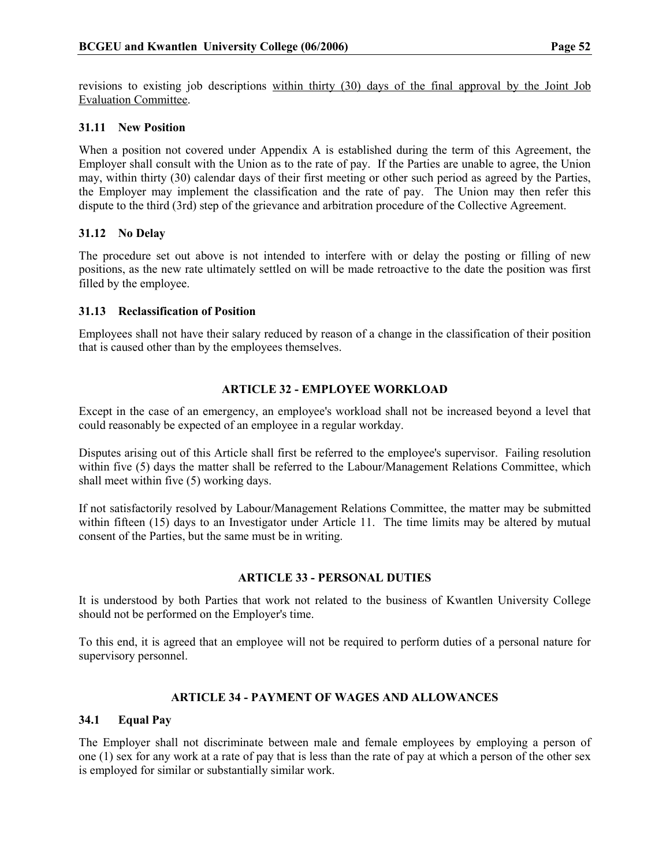revisions to existing job descriptions within thirty (30) days of the final approval by the Joint Job Evaluation Committee.

## 31.11 New Position

When a position not covered under Appendix A is established during the term of this Agreement, the Employer shall consult with the Union as to the rate of pay. If the Parties are unable to agree, the Union may, within thirty (30) calendar days of their first meeting or other such period as agreed by the Parties, the Employer may implement the classification and the rate of pay. The Union may then refer this dispute to the third (3rd) step of the grievance and arbitration procedure of the Collective Agreement.

## 31.12 No Delay

The procedure set out above is not intended to interfere with or delay the posting or filling of new positions, as the new rate ultimately settled on will be made retroactive to the date the position was first filled by the employee.

## 31.13 Reclassification of Position

Employees shall not have their salary reduced by reason of a change in the classification of their position that is caused other than by the employees themselves.

## ARTICLE 32 - EMPLOYEE WORKLOAD

Except in the case of an emergency, an employee's workload shall not be increased beyond a level that could reasonably be expected of an employee in a regular workday.

Disputes arising out of this Article shall first be referred to the employee's supervisor. Failing resolution within five (5) days the matter shall be referred to the Labour/Management Relations Committee, which shall meet within five (5) working days.

If not satisfactorily resolved by Labour/Management Relations Committee, the matter may be submitted within fifteen (15) days to an Investigator under Article 11. The time limits may be altered by mutual consent of the Parties, but the same must be in writing.

## ARTICLE 33 - PERSONAL DUTIES

It is understood by both Parties that work not related to the business of Kwantlen University College should not be performed on the Employer's time.

To this end, it is agreed that an employee will not be required to perform duties of a personal nature for supervisory personnel.

## ARTICLE 34 - PAYMENT OF WAGES AND ALLOWANCES

## 34.1 Equal Pay

The Employer shall not discriminate between male and female employees by employing a person of one (1) sex for any work at a rate of pay that is less than the rate of pay at which a person of the other sex is employed for similar or substantially similar work.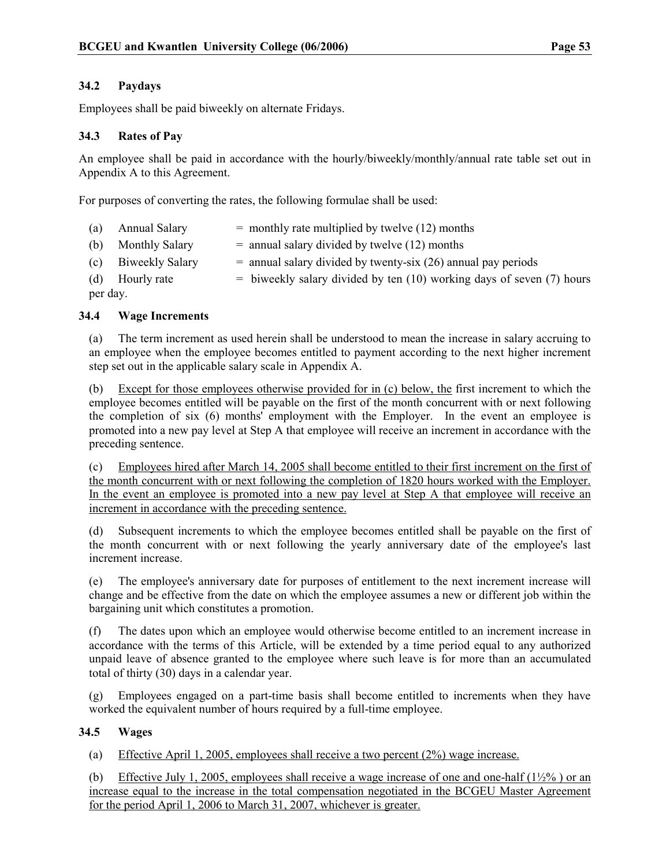## 34.2 Paydays

Employees shall be paid biweekly on alternate Fridays.

## 34.3 Rates of Pay

An employee shall be paid in accordance with the hourly/biweekly/monthly/annual rate table set out in Appendix A to this Agreement.

For purposes of converting the rates, the following formulae shall be used:

|          | (a) Annual Salary   | $=$ monthly rate multiplied by twelve (12) months                       |  |
|----------|---------------------|-------------------------------------------------------------------------|--|
|          | (b) Monthly Salary  | $=$ annual salary divided by twelve (12) months                         |  |
|          | (c) Biweekly Salary | $=$ annual salary divided by twenty-six (26) annual pay periods         |  |
|          | (d) Hourly rate     | $=$ biweekly salary divided by ten (10) working days of seven (7) hours |  |
| per day. |                     |                                                                         |  |

## 34.4 Wage Increments

(a) The term increment as used herein shall be understood to mean the increase in salary accruing to an employee when the employee becomes entitled to payment according to the next higher increment step set out in the applicable salary scale in Appendix A.

(b) Except for those employees otherwise provided for in (c) below, the first increment to which the employee becomes entitled will be payable on the first of the month concurrent with or next following the completion of six (6) months' employment with the Employer. In the event an employee is promoted into a new pay level at Step A that employee will receive an increment in accordance with the preceding sentence.

(c) Employees hired after March 14, 2005 shall become entitled to their first increment on the first of the month concurrent with or next following the completion of 1820 hours worked with the Employer. In the event an employee is promoted into a new pay level at Step A that employee will receive an increment in accordance with the preceding sentence.

(d) Subsequent increments to which the employee becomes entitled shall be payable on the first of the month concurrent with or next following the yearly anniversary date of the employee's last increment increase.

(e) The employee's anniversary date for purposes of entitlement to the next increment increase will change and be effective from the date on which the employee assumes a new or different job within the bargaining unit which constitutes a promotion.

(f) The dates upon which an employee would otherwise become entitled to an increment increase in accordance with the terms of this Article, will be extended by a time period equal to any authorized unpaid leave of absence granted to the employee where such leave is for more than an accumulated total of thirty (30) days in a calendar year.

(g) Employees engaged on a part-time basis shall become entitled to increments when they have worked the equivalent number of hours required by a full-time employee.

## 34.5 Wages

(a) Effective April 1, 2005, employees shall receive a two percent (2%) wage increase.

(b) Effective July 1, 2005, employees shall receive a wage increase of one and one-half  $(1\frac{1}{2}\%)$  or an increase equal to the increase in the total compensation negotiated in the BCGEU Master Agreement for the period April 1, 2006 to March 31, 2007, whichever is greater.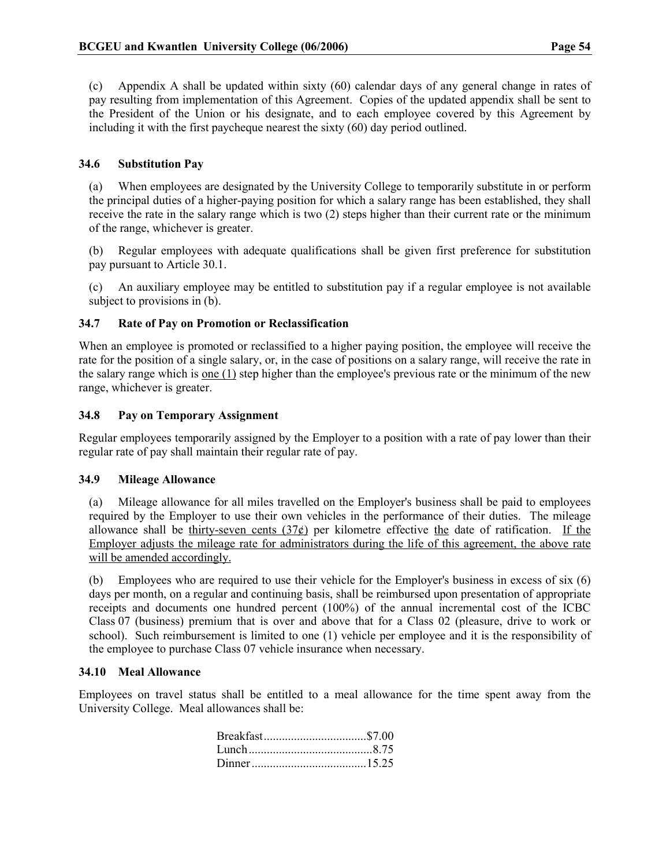(c) Appendix A shall be updated within sixty (60) calendar days of any general change in rates of pay resulting from implementation of this Agreement. Copies of the updated appendix shall be sent to the President of the Union or his designate, and to each employee covered by this Agreement by including it with the first paycheque nearest the sixty (60) day period outlined.

## 34.6 Substitution Pay

(a) When employees are designated by the University College to temporarily substitute in or perform the principal duties of a higher-paying position for which a salary range has been established, they shall receive the rate in the salary range which is two (2) steps higher than their current rate or the minimum of the range, whichever is greater.

(b) Regular employees with adequate qualifications shall be given first preference for substitution pay pursuant to Article 30.1.

(c) An auxiliary employee may be entitled to substitution pay if a regular employee is not available subject to provisions in (b).

## 34.7 Rate of Pay on Promotion or Reclassification

When an employee is promoted or reclassified to a higher paying position, the employee will receive the rate for the position of a single salary, or, in the case of positions on a salary range, will receive the rate in the salary range which is <u>one  $(1)$ </u> step higher than the employee's previous rate or the minimum of the new range, whichever is greater.

## 34.8 Pay on Temporary Assignment

Regular employees temporarily assigned by the Employer to a position with a rate of pay lower than their regular rate of pay shall maintain their regular rate of pay.

## 34.9 Mileage Allowance

(a) Mileage allowance for all miles travelled on the Employer's business shall be paid to employees required by the Employer to use their own vehicles in the performance of their duties. The mileage allowance shall be thirty-seven cents  $(37¢)$  per kilometre effective the date of ratification. If the Employer adjusts the mileage rate for administrators during the life of this agreement, the above rate will be amended accordingly.

(b) Employees who are required to use their vehicle for the Employer's business in excess of six (6) days per month, on a regular and continuing basis, shall be reimbursed upon presentation of appropriate receipts and documents one hundred percent (100%) of the annual incremental cost of the ICBC Class 07 (business) premium that is over and above that for a Class 02 (pleasure, drive to work or school). Such reimbursement is limited to one (1) vehicle per employee and it is the responsibility of the employee to purchase Class 07 vehicle insurance when necessary.

## 34.10 Meal Allowance

Employees on travel status shall be entitled to a meal allowance for the time spent away from the University College. Meal allowances shall be: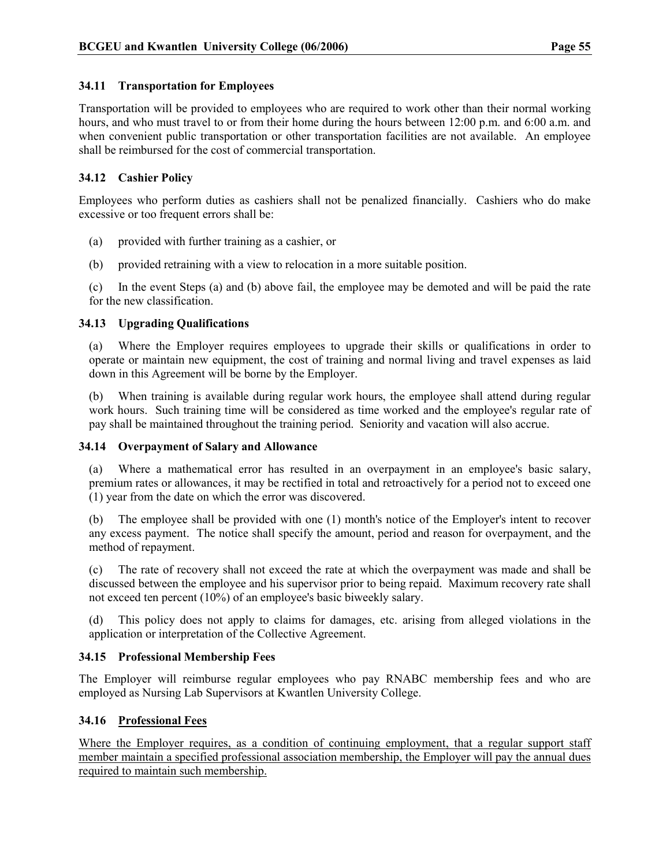## 34.11 Transportation for Employees

Transportation will be provided to employees who are required to work other than their normal working hours, and who must travel to or from their home during the hours between 12:00 p.m. and 6:00 a.m. and when convenient public transportation or other transportation facilities are not available. An employee shall be reimbursed for the cost of commercial transportation.

## 34.12 Cashier Policy

Employees who perform duties as cashiers shall not be penalized financially. Cashiers who do make excessive or too frequent errors shall be:

- (a) provided with further training as a cashier, or
- (b) provided retraining with a view to relocation in a more suitable position.

(c) In the event Steps (a) and (b) above fail, the employee may be demoted and will be paid the rate for the new classification.

## 34.13 Upgrading Qualifications

(a) Where the Employer requires employees to upgrade their skills or qualifications in order to operate or maintain new equipment, the cost of training and normal living and travel expenses as laid down in this Agreement will be borne by the Employer.

(b) When training is available during regular work hours, the employee shall attend during regular work hours. Such training time will be considered as time worked and the employee's regular rate of pay shall be maintained throughout the training period. Seniority and vacation will also accrue.

## 34.14 Overpayment of Salary and Allowance

(a) Where a mathematical error has resulted in an overpayment in an employee's basic salary, premium rates or allowances, it may be rectified in total and retroactively for a period not to exceed one (1) year from the date on which the error was discovered.

(b) The employee shall be provided with one (1) month's notice of the Employer's intent to recover any excess payment. The notice shall specify the amount, period and reason for overpayment, and the method of repayment.

(c) The rate of recovery shall not exceed the rate at which the overpayment was made and shall be discussed between the employee and his supervisor prior to being repaid. Maximum recovery rate shall not exceed ten percent (10%) of an employee's basic biweekly salary.

(d) This policy does not apply to claims for damages, etc. arising from alleged violations in the application or interpretation of the Collective Agreement.

## 34.15 Professional Membership Fees

The Employer will reimburse regular employees who pay RNABC membership fees and who are employed as Nursing Lab Supervisors at Kwantlen University College.

## 34.16 Professional Fees

Where the Employer requires, as a condition of continuing employment, that a regular support staff member maintain a specified professional association membership, the Employer will pay the annual dues required to maintain such membership.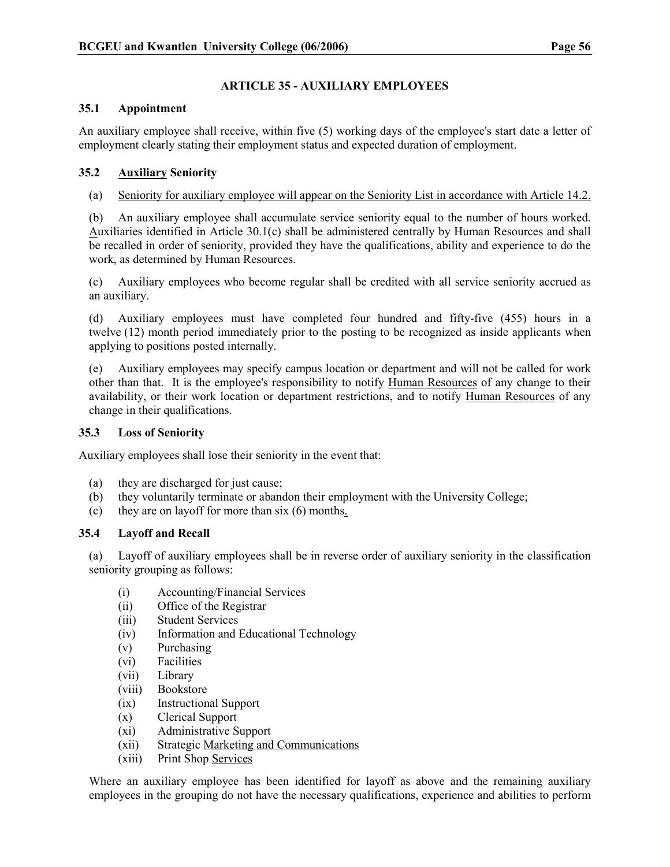## ARTICLE 35 - AUXILIARY EMPLOYEES

## 35.1 Appointment

An auxiliary employee shall receive, within five (5) working days of the employee's start date a letter of employment clearly stating their employment status and expected duration of employment.

## 35.2 Auxiliary Seniority

## (a) Seniority for auxiliary employee will appear on the Seniority List in accordance with Article 14.2.

(b) An auxiliary employee shall accumulate service seniority equal to the number of hours worked. Auxiliaries identified in Article 30.1(c) shall be administered centrally by Human Resources and shall be recalled in order of seniority, provided they have the qualifications, ability and experience to do the work, as determined by Human Resources.

(c) Auxiliary employees who become regular shall be credited with all service seniority accrued as an auxiliary.

(d) Auxiliary employees must have completed four hundred and fifty-five (455) hours in a twelve (12) month period immediately prior to the posting to be recognized as inside applicants when applying to positions posted internally.

(e) Auxiliary employees may specify campus location or department and will not be called for work other than that. It is the employee's responsibility to notify Human Resources of any change to their availability, or their work location or department restrictions, and to notify Human Resources of any change in their qualifications.

## 35.3 Loss of Seniority

Auxiliary employees shall lose their seniority in the event that:

- (a) they are discharged for just cause;
- (b) they voluntarily terminate or abandon their employment with the University College;
- (c) they are on layoff for more than six (6) months.

## 35.4 Layoff and Recall

(a) Layoff of auxiliary employees shall be in reverse order of auxiliary seniority in the classification seniority grouping as follows:

- (i) Accounting/Financial Services
- (ii) Office of the Registrar
- (iii) Student Services
- (iv) Information and Educational Technology
- (v) Purchasing
- (vi) Facilities
- (vii) Library
- (viii) Bookstore
- (ix) Instructional Support
- (x) Clerical Support
- (xi) Administrative Support
- (xii) Strategic Marketing and Communications
- (xiii) Print Shop Services

Where an auxiliary employee has been identified for layoff as above and the remaining auxiliary employees in the grouping do not have the necessary qualifications, experience and abilities to perform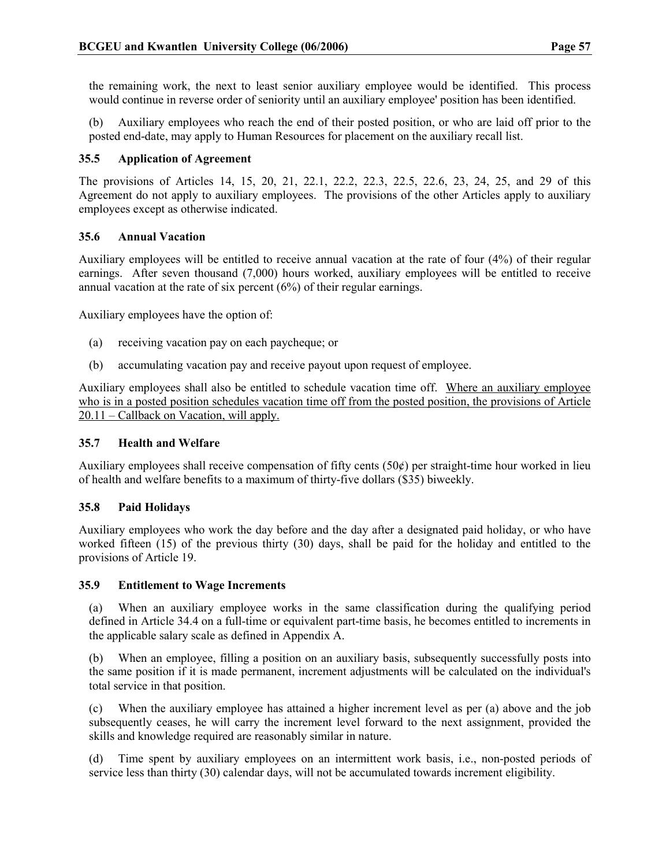the remaining work, the next to least senior auxiliary employee would be identified. This process would continue in reverse order of seniority until an auxiliary employee' position has been identified.

(b) Auxiliary employees who reach the end of their posted position, or who are laid off prior to the posted end-date, may apply to Human Resources for placement on the auxiliary recall list.

## 35.5 Application of Agreement

The provisions of Articles 14, 15, 20, 21, 22.1, 22.2, 22.3, 22.5, 22.6, 23, 24, 25, and 29 of this Agreement do not apply to auxiliary employees. The provisions of the other Articles apply to auxiliary employees except as otherwise indicated.

## 35.6 Annual Vacation

Auxiliary employees will be entitled to receive annual vacation at the rate of four (4%) of their regular earnings. After seven thousand (7,000) hours worked, auxiliary employees will be entitled to receive annual vacation at the rate of six percent (6%) of their regular earnings.

Auxiliary employees have the option of:

- (a) receiving vacation pay on each paycheque; or
- (b) accumulating vacation pay and receive payout upon request of employee.

Auxiliary employees shall also be entitled to schedule vacation time off. Where an auxiliary employee who is in a posted position schedules vacation time off from the posted position, the provisions of Article 20.11 – Callback on Vacation, will apply.

## 35.7 Health and Welfare

Auxiliary employees shall receive compensation of fifty cents (50¢) per straight-time hour worked in lieu of health and welfare benefits to a maximum of thirty-five dollars (\$35) biweekly.

## 35.8 Paid Holidays

Auxiliary employees who work the day before and the day after a designated paid holiday, or who have worked fifteen (15) of the previous thirty (30) days, shall be paid for the holiday and entitled to the provisions of Article 19.

## 35.9 Entitlement to Wage Increments

(a) When an auxiliary employee works in the same classification during the qualifying period defined in Article 34.4 on a full-time or equivalent part-time basis, he becomes entitled to increments in the applicable salary scale as defined in Appendix A.

(b) When an employee, filling a position on an auxiliary basis, subsequently successfully posts into the same position if it is made permanent, increment adjustments will be calculated on the individual's total service in that position.

(c) When the auxiliary employee has attained a higher increment level as per (a) above and the job subsequently ceases, he will carry the increment level forward to the next assignment, provided the skills and knowledge required are reasonably similar in nature.

(d) Time spent by auxiliary employees on an intermittent work basis, i.e., non-posted periods of service less than thirty (30) calendar days, will not be accumulated towards increment eligibility.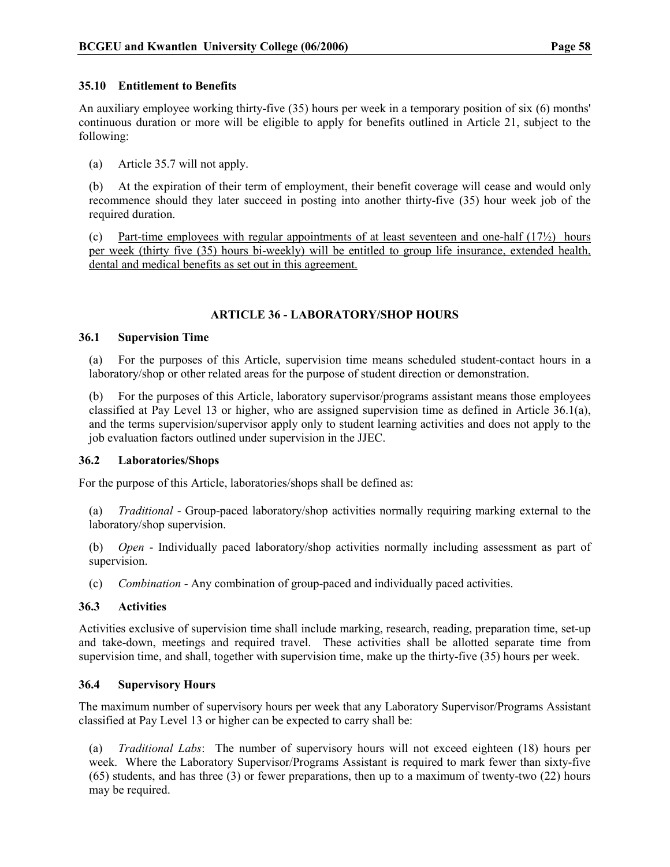## 35.10 Entitlement to Benefits

An auxiliary employee working thirty-five (35) hours per week in a temporary position of six (6) months' continuous duration or more will be eligible to apply for benefits outlined in Article 21, subject to the following:

(a) Article 35.7 will not apply.

(b) At the expiration of their term of employment, their benefit coverage will cease and would only recommence should they later succeed in posting into another thirty-five (35) hour week job of the required duration.

(c) Part-time employees with regular appointments of at least seventeen and one-half  $(17/2)$  hours per week (thirty five (35) hours bi-weekly) will be entitled to group life insurance, extended health, dental and medical benefits as set out in this agreement.

## ARTICLE 36 - LABORATORY/SHOP HOURS

#### 36.1 Supervision Time

(a) For the purposes of this Article, supervision time means scheduled student-contact hours in a laboratory/shop or other related areas for the purpose of student direction or demonstration.

(b) For the purposes of this Article, laboratory supervisor/programs assistant means those employees classified at Pay Level 13 or higher, who are assigned supervision time as defined in Article 36.1(a), and the terms supervision/supervisor apply only to student learning activities and does not apply to the job evaluation factors outlined under supervision in the JJEC.

## 36.2 Laboratories/Shops

For the purpose of this Article, laboratories/shops shall be defined as:

(a) Traditional - Group-paced laboratory/shop activities normally requiring marking external to the laboratory/shop supervision.

(b) Open - Individually paced laboratory/shop activities normally including assessment as part of supervision.

(c) Combination - Any combination of group-paced and individually paced activities.

## 36.3 Activities

Activities exclusive of supervision time shall include marking, research, reading, preparation time, set-up and take-down, meetings and required travel. These activities shall be allotted separate time from supervision time, and shall, together with supervision time, make up the thirty-five (35) hours per week.

## 36.4 Supervisory Hours

The maximum number of supervisory hours per week that any Laboratory Supervisor/Programs Assistant classified at Pay Level 13 or higher can be expected to carry shall be:

(a) Traditional Labs: The number of supervisory hours will not exceed eighteen (18) hours per week. Where the Laboratory Supervisor/Programs Assistant is required to mark fewer than sixty-five (65) students, and has three (3) or fewer preparations, then up to a maximum of twenty-two (22) hours may be required.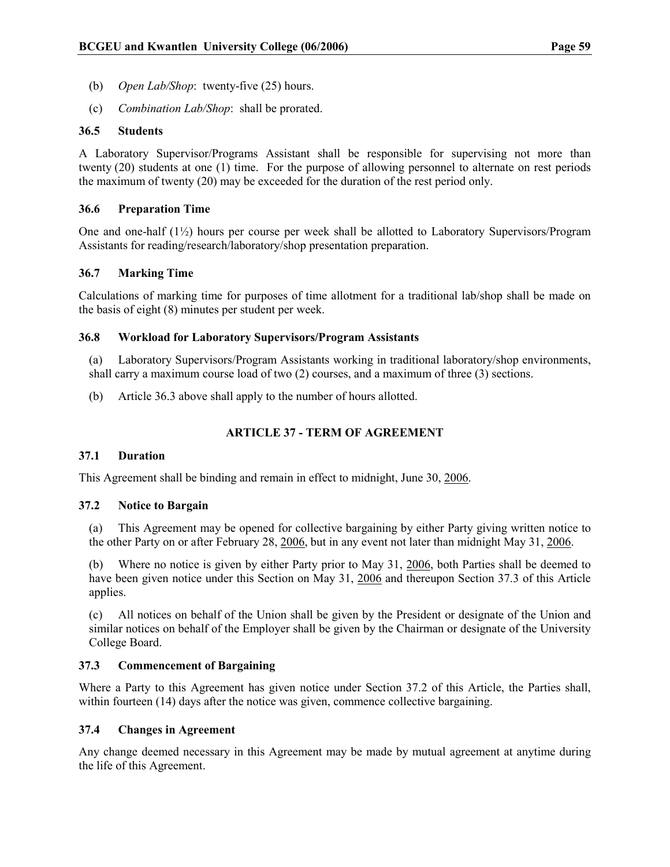- (b) Open Lab/Shop: twenty-five (25) hours.
- (c) Combination Lab/Shop: shall be prorated.

#### 36.5 Students

A Laboratory Supervisor/Programs Assistant shall be responsible for supervising not more than twenty (20) students at one (1) time. For the purpose of allowing personnel to alternate on rest periods the maximum of twenty (20) may be exceeded for the duration of the rest period only.

## 36.6 Preparation Time

One and one-half (1½) hours per course per week shall be allotted to Laboratory Supervisors/Program Assistants for reading/research/laboratory/shop presentation preparation.

#### 36.7 Marking Time

Calculations of marking time for purposes of time allotment for a traditional lab/shop shall be made on the basis of eight (8) minutes per student per week.

#### 36.8 Workload for Laboratory Supervisors/Program Assistants

(a) Laboratory Supervisors/Program Assistants working in traditional laboratory/shop environments, shall carry a maximum course load of two (2) courses, and a maximum of three (3) sections.

(b) Article 36.3 above shall apply to the number of hours allotted.

## ARTICLE 37 - TERM OF AGREEMENT

#### 37.1 Duration

This Agreement shall be binding and remain in effect to midnight, June 30, 2006.

#### 37.2 Notice to Bargain

(a) This Agreement may be opened for collective bargaining by either Party giving written notice to the other Party on or after February 28, 2006, but in any event not later than midnight May 31, 2006.

(b) Where no notice is given by either Party prior to May 31, 2006, both Parties shall be deemed to have been given notice under this Section on May 31, 2006 and thereupon Section 37.3 of this Article applies.

(c) All notices on behalf of the Union shall be given by the President or designate of the Union and similar notices on behalf of the Employer shall be given by the Chairman or designate of the University College Board.

## 37.3 Commencement of Bargaining

Where a Party to this Agreement has given notice under Section 37.2 of this Article, the Parties shall, within fourteen (14) days after the notice was given, commence collective bargaining.

#### 37.4 Changes in Agreement

Any change deemed necessary in this Agreement may be made by mutual agreement at anytime during the life of this Agreement.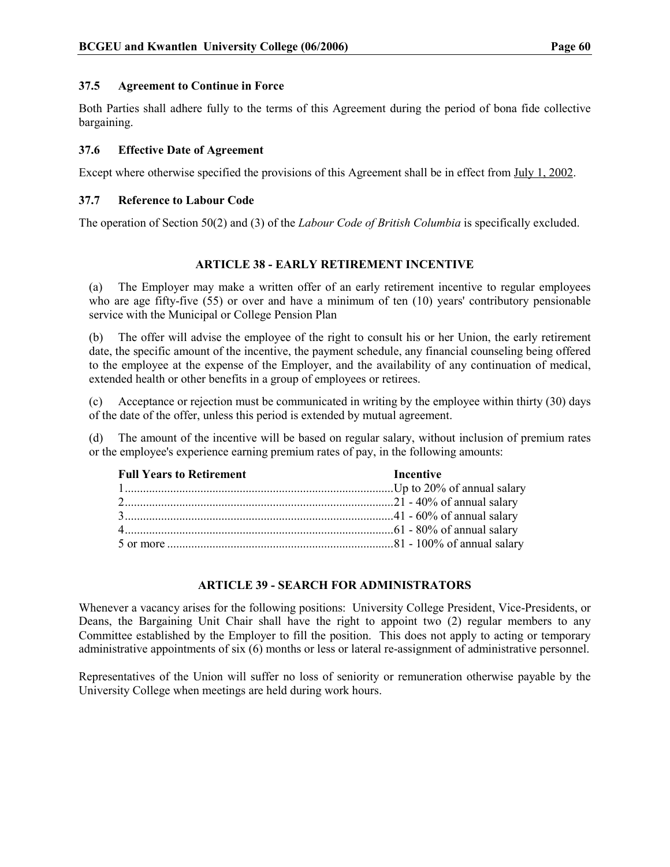#### 37.5 Agreement to Continue in Force

Both Parties shall adhere fully to the terms of this Agreement during the period of bona fide collective bargaining.

## 37.6 Effective Date of Agreement

Except where otherwise specified the provisions of this Agreement shall be in effect from July 1, 2002.

#### 37.7 Reference to Labour Code

The operation of Section 50(2) and (3) of the Labour Code of British Columbia is specifically excluded.

## ARTICLE 38 - EARLY RETIREMENT INCENTIVE

(a) The Employer may make a written offer of an early retirement incentive to regular employees who are age fifty-five (55) or over and have a minimum of ten (10) years' contributory pensionable service with the Municipal or College Pension Plan

(b) The offer will advise the employee of the right to consult his or her Union, the early retirement date, the specific amount of the incentive, the payment schedule, any financial counseling being offered to the employee at the expense of the Employer, and the availability of any continuation of medical, extended health or other benefits in a group of employees or retirees.

(c) Acceptance or rejection must be communicated in writing by the employee within thirty (30) days of the date of the offer, unless this period is extended by mutual agreement.

(d) The amount of the incentive will be based on regular salary, without inclusion of premium rates or the employee's experience earning premium rates of pay, in the following amounts:

| <b>Full Years to Retirement</b> | Incentive |
|---------------------------------|-----------|
|                                 |           |
|                                 |           |
|                                 |           |
|                                 |           |
|                                 |           |

#### ARTICLE 39 - SEARCH FOR ADMINISTRATORS

Whenever a vacancy arises for the following positions: University College President, Vice-Presidents, or Deans, the Bargaining Unit Chair shall have the right to appoint two (2) regular members to any Committee established by the Employer to fill the position. This does not apply to acting or temporary administrative appointments of six (6) months or less or lateral re-assignment of administrative personnel.

Representatives of the Union will suffer no loss of seniority or remuneration otherwise payable by the University College when meetings are held during work hours.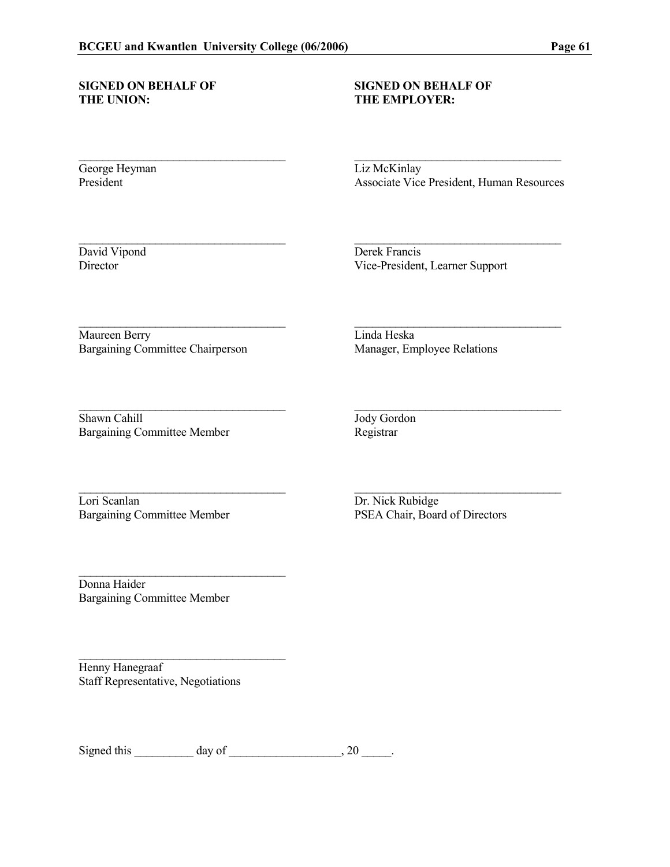# SIGNED ON BEHALF OF SIGNED ON BEHALF OF THE UNION: THE EMPLOYER:

## THE EMPLOYER:

\_\_\_\_\_\_\_\_\_\_\_\_\_\_\_\_\_\_\_\_\_\_\_\_\_\_\_\_\_\_\_\_\_\_\_ \_\_\_\_\_\_\_\_\_\_\_\_\_\_\_\_\_\_\_\_\_\_\_\_\_\_\_\_\_\_\_\_\_\_\_

\_\_\_\_\_\_\_\_\_\_\_\_\_\_\_\_\_\_\_\_\_\_\_\_\_\_\_\_\_\_\_\_\_\_\_ \_\_\_\_\_\_\_\_\_\_\_\_\_\_\_\_\_\_\_\_\_\_\_\_\_\_\_\_\_\_\_\_\_\_\_

\_\_\_\_\_\_\_\_\_\_\_\_\_\_\_\_\_\_\_\_\_\_\_\_\_\_\_\_\_\_\_\_\_\_\_ \_\_\_\_\_\_\_\_\_\_\_\_\_\_\_\_\_\_\_\_\_\_\_\_\_\_\_\_\_\_\_\_\_\_\_

\_\_\_\_\_\_\_\_\_\_\_\_\_\_\_\_\_\_\_\_\_\_\_\_\_\_\_\_\_\_\_\_\_\_\_ \_\_\_\_\_\_\_\_\_\_\_\_\_\_\_\_\_\_\_\_\_\_\_\_\_\_\_\_\_\_\_\_\_\_\_

George Heyman Liz McKinlay<br>President Associate Vice

Associate Vice President, Human Resources

David Vipond Derek Francis<br>Director Vice-President, 1 Vice-President, Learner Support

Maureen Berry Linda Heska Bargaining Committee Chairperson Manager, Employee Relations

\_\_\_\_\_\_\_\_\_\_\_\_\_\_\_\_\_\_\_\_\_\_\_\_\_\_\_\_\_\_\_\_\_\_\_ \_\_\_\_\_\_\_\_\_\_\_\_\_\_\_\_\_\_\_\_\_\_\_\_\_\_\_\_\_\_\_\_\_\_\_ Shawn Cahill Jody Gordon Bargaining Committee Member Registrar

Lori Scanlan Dr. Nick Rubidge

Bargaining Committee Member PSEA Chair, Board of Directors

Donna Haider Bargaining Committee Member

 $\mathcal{L}_\text{max}$  , where  $\mathcal{L}_\text{max}$  and  $\mathcal{L}_\text{max}$ 

\_\_\_\_\_\_\_\_\_\_\_\_\_\_\_\_\_\_\_\_\_\_\_\_\_\_\_\_\_\_\_\_\_\_\_

Henny Hanegraaf Staff Representative, Negotiations

Signed this  $\_\_\_\_\_\_\$  day of  $\_\_\_\_\_\_\_\_\_\_\_\_$ , 20  $\_\_\_\_\_\_\_\_\_$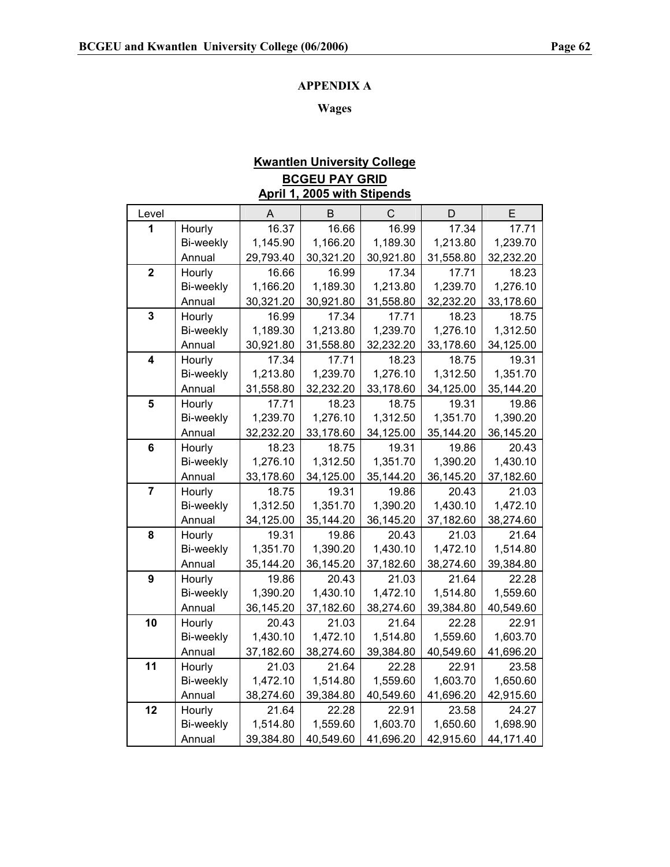## APPENDIX A

## Wages

## Kwantlen University College BCGEU PAY GRID April 1, 2005 with Stipends

| Level                   |           | A         | B         | $\mathsf{C}$ | D         | E         |
|-------------------------|-----------|-----------|-----------|--------------|-----------|-----------|
| 1                       | Hourly    | 16.37     | 16.66     | 16.99        | 17.34     | 17.71     |
|                         | Bi-weekly | 1,145.90  | 1,166.20  | 1,189.30     | 1,213.80  | 1,239.70  |
|                         | Annual    | 29,793.40 | 30,321.20 | 30,921.80    | 31,558.80 | 32,232.20 |
| $\mathbf{2}$            | Hourly    | 16.66     | 16.99     | 17.34        | 17.71     | 18.23     |
|                         | Bi-weekly | 1,166.20  | 1,189.30  | 1,213.80     | 1,239.70  | 1,276.10  |
|                         | Annual    | 30,321.20 | 30,921.80 | 31,558.80    | 32,232.20 | 33,178.60 |
| $\overline{\mathbf{3}}$ | Hourly    | 16.99     | 17.34     | 17.71        | 18.23     | 18.75     |
|                         | Bi-weekly | 1,189.30  | 1,213.80  | 1,239.70     | 1,276.10  | 1,312.50  |
|                         | Annual    | 30,921.80 | 31,558.80 | 32,232.20    | 33,178.60 | 34,125.00 |
| $\overline{\mathbf{4}}$ | Hourly    | 17.34     | 17.71     | 18.23        | 18.75     | 19.31     |
|                         | Bi-weekly | 1,213.80  | 1,239.70  | 1,276.10     | 1,312.50  | 1,351.70  |
|                         | Annual    | 31,558.80 | 32,232.20 | 33,178.60    | 34,125.00 | 35,144.20 |
| 5                       | Hourly    | 17.71     | 18.23     | 18.75        | 19.31     | 19.86     |
|                         | Bi-weekly | 1,239.70  | 1,276.10  | 1,312.50     | 1,351.70  | 1,390.20  |
|                         | Annual    | 32,232.20 | 33,178.60 | 34,125.00    | 35,144.20 | 36,145.20 |
| $\bf 6$                 | Hourly    | 18.23     | 18.75     | 19.31        | 19.86     | 20.43     |
|                         | Bi-weekly | 1,276.10  | 1,312.50  | 1,351.70     | 1,390.20  | 1,430.10  |
|                         | Annual    | 33,178.60 | 34,125.00 | 35,144.20    | 36,145.20 | 37,182.60 |
| $\overline{7}$          | Hourly    | 18.75     | 19.31     | 19.86        | 20.43     | 21.03     |
|                         | Bi-weekly | 1,312.50  | 1,351.70  | 1,390.20     | 1,430.10  | 1,472.10  |
|                         | Annual    | 34,125.00 | 35,144.20 | 36,145.20    | 37,182.60 | 38,274.60 |
| 8                       | Hourly    | 19.31     | 19.86     | 20.43        | 21.03     | 21.64     |
|                         | Bi-weekly | 1,351.70  | 1,390.20  | 1,430.10     | 1,472.10  | 1,514.80  |
|                         | Annual    | 35,144.20 | 36,145.20 | 37,182.60    | 38,274.60 | 39,384.80 |
| 9                       | Hourly    | 19.86     | 20.43     | 21.03        | 21.64     | 22.28     |
|                         | Bi-weekly | 1,390.20  | 1,430.10  | 1,472.10     | 1,514.80  | 1,559.60  |
|                         | Annual    | 36,145.20 | 37,182.60 | 38,274.60    | 39,384.80 | 40,549.60 |
| 10                      | Hourly    | 20.43     | 21.03     | 21.64        | 22.28     | 22.91     |
|                         | Bi-weekly | 1,430.10  | 1,472.10  | 1,514.80     | 1,559.60  | 1,603.70  |
|                         | Annual    | 37,182.60 | 38,274.60 | 39,384.80    | 40,549.60 | 41,696.20 |
| 11                      | Hourly    | 21.03     | 21.64     | 22.28        | 22.91     | 23.58     |
|                         | Bi-weekly | 1,472.10  | 1,514.80  | 1,559.60     | 1,603.70  | 1,650.60  |
|                         | Annual    | 38,274.60 | 39,384.80 | 40,549.60    | 41,696.20 | 42,915.60 |
| 12                      | Hourly    | 21.64     | 22.28     | 22.91        | 23.58     | 24.27     |
|                         | Bi-weekly | 1,514.80  | 1,559.60  | 1,603.70     | 1,650.60  | 1,698.90  |
|                         | Annual    | 39,384.80 | 40,549.60 | 41,696.20    | 42,915.60 | 44,171.40 |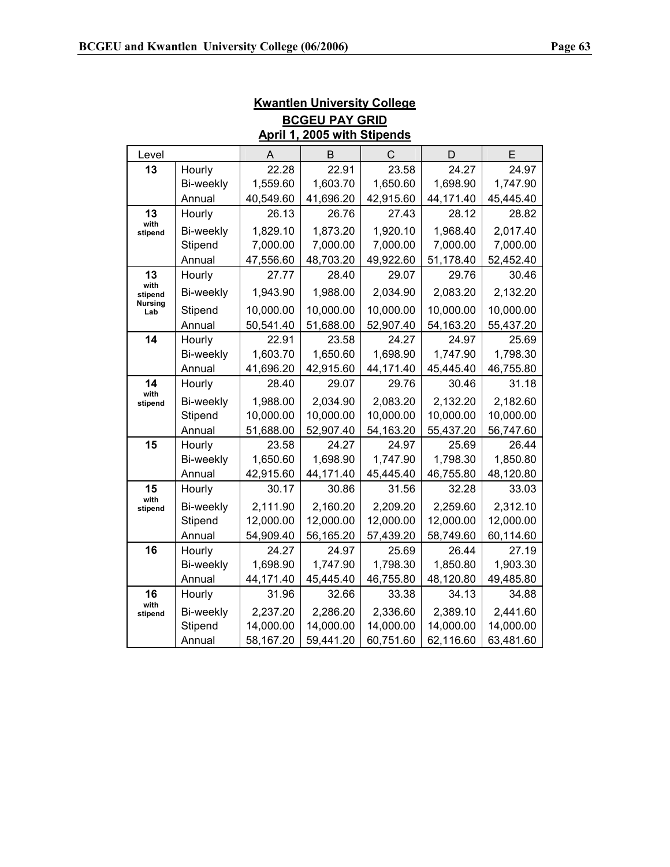| <b>BCGEU PAY GRID</b>       |           |           |           |           |           |           |
|-----------------------------|-----------|-----------|-----------|-----------|-----------|-----------|
| April 1, 2005 with Stipends |           |           |           |           |           |           |
| Level                       |           | A         | B         | C         | D         | E         |
| 13                          | Hourly    | 22.28     | 22.91     | 23.58     | 24.27     | 24.97     |
|                             | Bi-weekly | 1,559.60  | 1,603.70  | 1,650.60  | 1,698.90  | 1,747.90  |
|                             | Annual    | 40,549.60 | 41,696.20 | 42,915.60 | 44,171.40 | 45,445.40 |
| 13                          | Hourly    | 26.13     | 26.76     | 27.43     | 28.12     | 28.82     |
| with<br>stipend             | Bi-weekly | 1,829.10  | 1,873.20  | 1,920.10  | 1,968.40  | 2,017.40  |
|                             | Stipend   | 7,000.00  | 7,000.00  | 7,000.00  | 7,000.00  | 7,000.00  |
|                             | Annual    | 47,556.60 | 48,703.20 | 49,922.60 | 51,178.40 | 52,452.40 |
| 13                          | Hourly    | 27.77     | 28.40     | 29.07     | 29.76     | 30.46     |
| with<br>stipend             | Bi-weekly | 1,943.90  | 1,988.00  | 2,034.90  | 2,083.20  | 2,132.20  |
| <b>Nursing</b><br>Lab       | Stipend   | 10,000.00 | 10,000.00 | 10,000.00 | 10,000.00 | 10,000.00 |
|                             | Annual    | 50,541.40 | 51,688.00 | 52,907.40 | 54,163.20 | 55,437.20 |
| 14                          | Hourly    | 22.91     | 23.58     | 24.27     | 24.97     | 25.69     |
|                             | Bi-weekly | 1,603.70  | 1,650.60  | 1,698.90  | 1,747.90  | 1,798.30  |
|                             | Annual    | 41,696.20 | 42,915.60 | 44,171.40 | 45,445.40 | 46,755.80 |
| 14<br>with                  | Hourly    | 28.40     | 29.07     | 29.76     | 30.46     | 31.18     |
| stipend                     | Bi-weekly | 1,988.00  | 2,034.90  | 2,083.20  | 2,132.20  | 2,182.60  |
|                             | Stipend   | 10,000.00 | 10,000.00 | 10,000.00 | 10,000.00 | 10,000.00 |
|                             | Annual    | 51,688.00 | 52,907.40 | 54,163.20 | 55,437.20 | 56,747.60 |
| 15                          | Hourly    | 23.58     | 24.27     | 24.97     | 25.69     | 26.44     |
|                             | Bi-weekly | 1,650.60  | 1,698.90  | 1,747.90  | 1,798.30  | 1,850.80  |
|                             | Annual    | 42,915.60 | 44,171.40 | 45,445.40 | 46,755.80 | 48,120.80 |
| 15                          | Hourly    | 30.17     | 30.86     | 31.56     | 32.28     | 33.03     |
| with<br>stipend             | Bi-weekly | 2,111.90  | 2,160.20  | 2,209.20  | 2,259.60  | 2,312.10  |
|                             | Stipend   | 12,000.00 | 12,000.00 | 12,000.00 | 12,000.00 | 12,000.00 |
|                             | Annual    | 54,909.40 | 56,165.20 | 57,439.20 | 58,749.60 | 60,114.60 |
| 16                          | Hourly    | 24.27     | 24.97     | 25.69     | 26.44     | 27.19     |
|                             | Bi-weekly | 1,698.90  | 1,747.90  | 1,798.30  | 1,850.80  | 1,903.30  |
|                             | Annual    | 44,171.40 | 45,445.40 | 46,755.80 | 48,120.80 | 49,485.80 |
| 16<br>with                  | Hourly    | 31.96     | 32.66     | 33.38     | 34.13     | 34.88     |
| stipend                     | Bi-weekly | 2,237.20  | 2,286.20  | 2,336.60  | 2,389.10  | 2,441.60  |
|                             | Stipend   | 14,000.00 | 14,000.00 | 14,000.00 | 14,000.00 | 14,000.00 |
|                             | Annual    | 58,167.20 | 59,441.20 | 60,751.60 | 62,116.60 | 63,481.60 |

## Kwantlen University College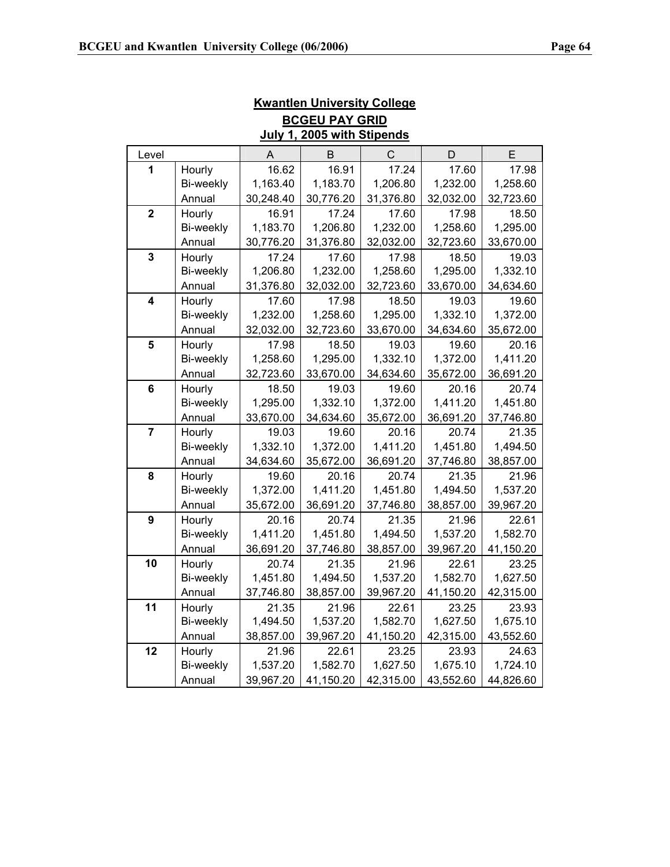| <b>BCGEU PAY GRID</b>      |           |           |           |             |           |           |
|----------------------------|-----------|-----------|-----------|-------------|-----------|-----------|
| July 1, 2005 with Stipends |           |           |           |             |           |           |
| Level                      |           | A         | B         | С           | D         | Е         |
| 1                          | Hourly    | 16.62     | 16.91     | 17.24       | 17.60     | 17.98     |
|                            | Bi-weekly | 1,163.40  | 1,183.70  | 1,206.80    | 1,232.00  | 1,258.60  |
|                            | Annual    | 30,248.40 | 30,776.20 | 31,376.80   | 32,032.00 | 32,723.60 |
| $\overline{2}$             | Hourly    | 16.91     | 17.24     | 17.60       | 17.98     | 18.50     |
|                            | Bi-weekly | 1,183.70  | 1,206.80  | 1,232.00    | 1,258.60  | 1,295.00  |
|                            | Annual    | 30,776.20 | 31,376.80 | 32,032.00   | 32,723.60 | 33,670.00 |
| $\overline{\mathbf{3}}$    | Hourly    | 17.24     | 17.60     | 17.98       | 18.50     | 19.03     |
|                            | Bi-weekly | 1,206.80  | 1,232.00  | 1,258.60    | 1,295.00  | 1,332.10  |
|                            | Annual    | 31,376.80 | 32,032.00 | 32,723.60   | 33,670.00 | 34,634.60 |
| 4                          | Hourly    | 17.60     | 17.98     | 18.50       | 19.03     | 19.60     |
|                            | Bi-weekly | 1,232.00  | 1,258.60  | 1,295.00    | 1,332.10  | 1,372.00  |
|                            | Annual    | 32,032.00 | 32,723.60 | 33,670.00   | 34,634.60 | 35,672.00 |
| 5                          | Hourly    | 17.98     | 18.50     | 19.03       | 19.60     | 20.16     |
|                            | Bi-weekly | 1,258.60  | 1,295.00  | 1,332.10    | 1,372.00  | 1,411.20  |
|                            | Annual    | 32,723.60 | 33,670.00 | 34,634.60   | 35,672.00 | 36,691.20 |
| 6                          | Hourly    | 18.50     | 19.03     | 19.60       | 20.16     | 20.74     |
|                            | Bi-weekly | 1,295.00  | 1,332.10  | 1,372.00    | 1,411.20  | 1,451.80  |
|                            | Annual    | 33,670.00 | 34,634.60 | 35,672.00   | 36,691.20 | 37,746.80 |
| $\overline{7}$             | Hourly    | 19.03     | 19.60     | 20.16       | 20.74     | 21.35     |
|                            | Bi-weekly | 1,332.10  | 1,372.00  | 1,411.20    | 1,451.80  | 1,494.50  |
|                            | Annual    | 34,634.60 | 35,672.00 | 36,691.20   | 37,746.80 | 38,857.00 |
| 8                          | Hourly    | 19.60     | 20.16     | 20.74       | 21.35     | 21.96     |
|                            | Bi-weekly | 1,372.00  | 1,411.20  | 1,451.80    | 1,494.50  | 1,537.20  |
|                            | Annual    | 35,672.00 | 36,691.20 | 37,746.80   | 38,857.00 | 39,967.20 |
| 9                          | Hourly    | 20.16     | 20.74     | 21.35       | 21.96     | 22.61     |
|                            | Bi-weekly | 1,411.20  | 1,451.80  | 1,494.50    | 1,537.20  | 1,582.70  |
|                            | Annual    | 36,691.20 | 37,746.80 | 38,857.00   | 39,967.20 | 41,150.20 |
| 10                         | Hourly    | 20.74     | 21.35     | 21.96       | 22.61     | 23.25     |
|                            | Bi-weekly | 1,451.80  | 1,494.50  | 1,537.20    | 1,582.70  | 1,627.50  |
|                            | Annual    | 37,746.80 | 38,857.00 | 39,967.20   | 41,150.20 | 42,315.00 |
| 11                         | Hourly    | 21.35     | 21.96     | 22.61       | 23.25     | 23.93     |
|                            | Bi-weekly | 1,494.50  | 1,537.20  | 1,582.70    | 1,627.50  | 1,675.10  |
|                            | Annual    | 38,857.00 | 39,967.20 | 41, 150. 20 | 42,315.00 | 43,552.60 |
| 12                         | Hourly    | 21.96     | 22.61     | 23.25       | 23.93     | 24.63     |
|                            | Bi-weekly | 1,537.20  | 1,582.70  | 1,627.50    | 1,675.10  | 1,724.10  |
|                            | Annual    | 39,967.20 | 41,150.20 | 42,315.00   | 43,552.60 | 44,826.60 |

Kwantlen University College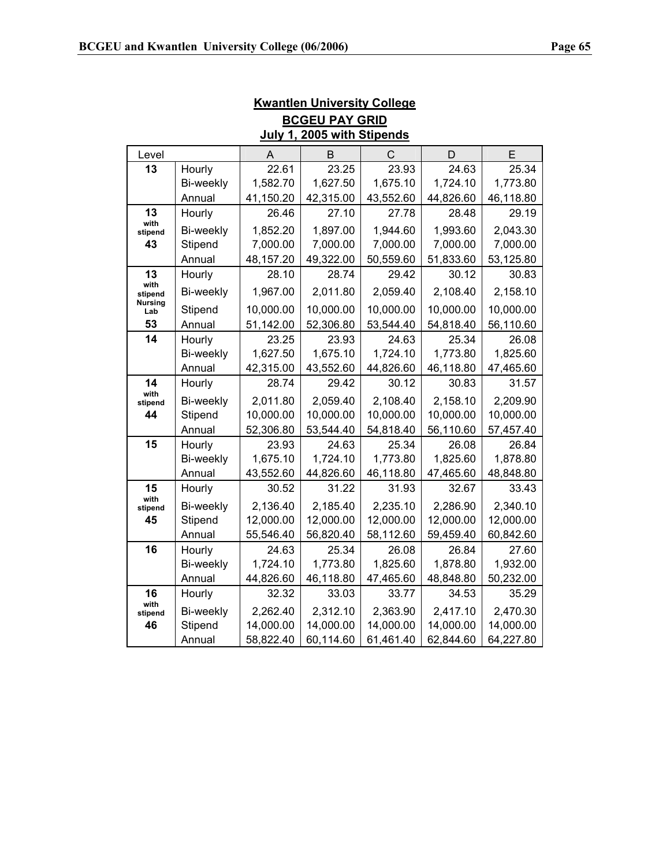| <b>BCGEU PAY GRID</b>             |           |           |           |           |           |           |  |
|-----------------------------------|-----------|-----------|-----------|-----------|-----------|-----------|--|
| July 1, 2005 with Stipends        |           |           |           |           |           |           |  |
| Level                             |           | A         | В         | C         | D         | Е         |  |
| 13                                | Hourly    | 22.61     | 23.25     | 23.93     | 24.63     | 25.34     |  |
|                                   | Bi-weekly | 1,582.70  | 1,627.50  | 1,675.10  | 1,724.10  | 1,773.80  |  |
|                                   | Annual    | 41,150.20 | 42,315.00 | 43,552.60 | 44,826.60 | 46,118.80 |  |
| 13                                | Hourly    | 26.46     | 27.10     | 27.78     | 28.48     | 29.19     |  |
| with<br>stipend                   | Bi-weekly | 1,852.20  | 1,897.00  | 1,944.60  | 1,993.60  | 2,043.30  |  |
| 43                                | Stipend   | 7,000.00  | 7,000.00  | 7,000.00  | 7,000.00  | 7,000.00  |  |
|                                   | Annual    | 48,157.20 | 49,322.00 | 50,559.60 | 51,833.60 | 53,125.80 |  |
| 13                                | Hourly    | 28.10     | 28.74     | 29.42     | 30.12     | 30.83     |  |
| with<br>stipend<br><b>Nursing</b> | Bi-weekly | 1,967.00  | 2,011.80  | 2,059.40  | 2,108.40  | 2,158.10  |  |
| Lab                               | Stipend   | 10,000.00 | 10,000.00 | 10,000.00 | 10,000.00 | 10,000.00 |  |
| 53                                | Annual    | 51,142.00 | 52,306.80 | 53,544.40 | 54,818.40 | 56,110.60 |  |
| 14                                | Hourly    | 23.25     | 23.93     | 24.63     | 25.34     | 26.08     |  |
|                                   | Bi-weekly | 1,627.50  | 1,675.10  | 1,724.10  | 1,773.80  | 1,825.60  |  |
|                                   | Annual    | 42,315.00 | 43,552.60 | 44,826.60 | 46,118.80 | 47,465.60 |  |
| 14<br>with                        | Hourly    | 28.74     | 29.42     | 30.12     | 30.83     | 31.57     |  |
| stipend                           | Bi-weekly | 2,011.80  | 2,059.40  | 2,108.40  | 2,158.10  | 2,209.90  |  |
| 44                                | Stipend   | 10,000.00 | 10,000.00 | 10,000.00 | 10,000.00 | 10,000.00 |  |
|                                   | Annual    | 52,306.80 | 53,544.40 | 54,818.40 | 56,110.60 | 57,457.40 |  |
| 15                                | Hourly    | 23.93     | 24.63     | 25.34     | 26.08     | 26.84     |  |
|                                   | Bi-weekly | 1,675.10  | 1,724.10  | 1,773.80  | 1,825.60  | 1,878.80  |  |
|                                   | Annual    | 43,552.60 | 44,826.60 | 46,118.80 | 47,465.60 | 48,848.80 |  |
| 15<br>with                        | Hourly    | 30.52     | 31.22     | 31.93     | 32.67     | 33.43     |  |
| stipend                           | Bi-weekly | 2,136.40  | 2,185.40  | 2,235.10  | 2,286.90  | 2,340.10  |  |
| 45                                | Stipend   | 12,000.00 | 12,000.00 | 12,000.00 | 12,000.00 | 12,000.00 |  |
|                                   | Annual    | 55,546.40 | 56,820.40 | 58,112.60 | 59,459.40 | 60,842.60 |  |
| 16                                | Hourly    | 24.63     | 25.34     | 26.08     | 26.84     | 27.60     |  |
|                                   | Bi-weekly | 1,724.10  | 1,773.80  | 1,825.60  | 1,878.80  | 1,932.00  |  |
|                                   | Annual    | 44,826.60 | 46,118.80 | 47,465.60 | 48,848.80 | 50,232.00 |  |
| 16                                | Hourly    | 32.32     | 33.03     | 33.77     | 34.53     | 35.29     |  |
| with<br>stipend                   | Bi-weekly | 2,262.40  | 2,312.10  | 2,363.90  | 2,417.10  | 2,470.30  |  |
| 46                                | Stipend   | 14,000.00 | 14,000.00 | 14,000.00 | 14,000.00 | 14,000.00 |  |
|                                   | Annual    | 58,822.40 | 60,114.60 | 61,461.40 | 62,844.60 | 64,227.80 |  |

Kwantlen University College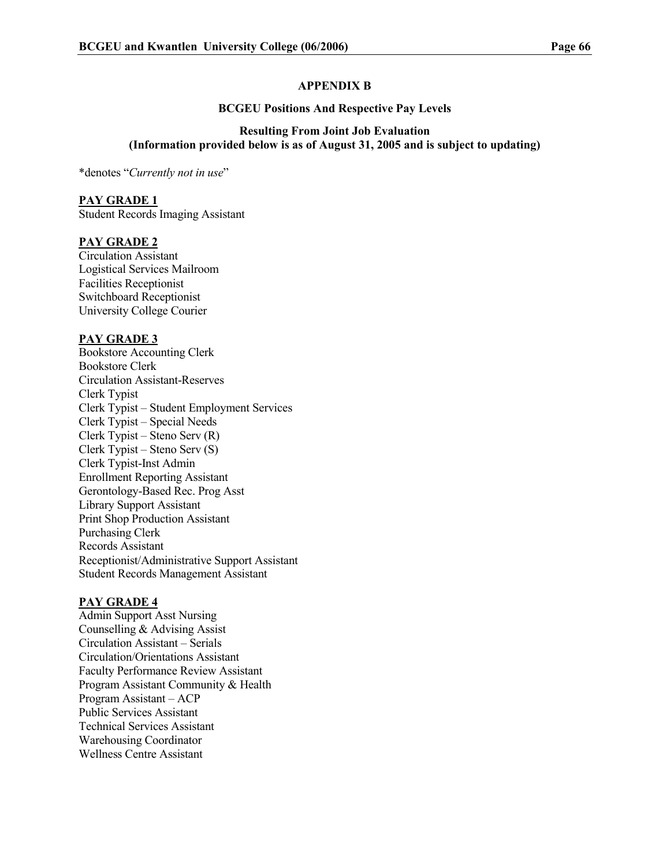#### APPENDIX B

#### BCGEU Positions And Respective Pay Levels

#### Resulting From Joint Job Evaluation (Information provided below is as of August 31, 2005 and is subject to updating)

\*denotes "Currently not in use"

#### PAY GRADE 1

Student Records Imaging Assistant

#### PAY GRADE 2

Circulation Assistant Logistical Services Mailroom Facilities Receptionist Switchboard Receptionist University College Courier

#### PAY GRADE 3

Bookstore Accounting Clerk Bookstore Clerk Circulation Assistant-Reserves Clerk Typist Clerk Typist – Student Employment Services Clerk Typist – Special Needs Clerk Typist – Steno Serv (R) Clerk Typist – Steno Serv (S) Clerk Typist-Inst Admin Enrollment Reporting Assistant Gerontology-Based Rec. Prog Asst Library Support Assistant Print Shop Production Assistant Purchasing Clerk Records Assistant Receptionist/Administrative Support Assistant Student Records Management Assistant

#### PAY GRADE 4

Admin Support Asst Nursing Counselling & Advising Assist Circulation Assistant – Serials Circulation/Orientations Assistant Faculty Performance Review Assistant Program Assistant Community & Health Program Assistant – ACP Public Services Assistant Technical Services Assistant Warehousing Coordinator Wellness Centre Assistant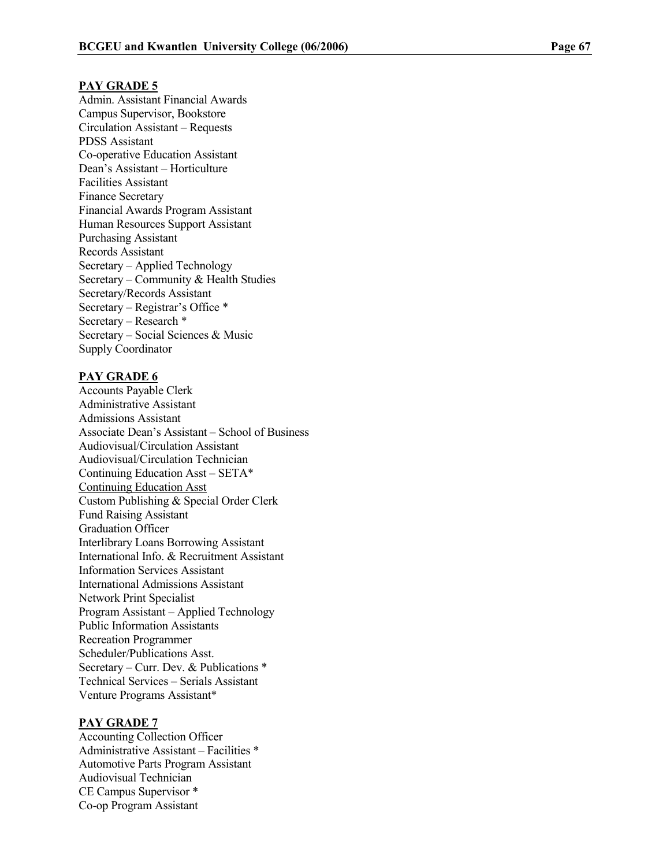#### PAY GRADE 5

Admin. Assistant Financial Awards Campus Supervisor, Bookstore Circulation Assistant – Requests PDSS Assistant Co-operative Education Assistant Dean's Assistant – Horticulture Facilities Assistant Finance Secretary Financial Awards Program Assistant Human Resources Support Assistant Purchasing Assistant Records Assistant Secretary – Applied Technology Secretary – Community & Health Studies Secretary/Records Assistant Secretary – Registrar's Office \* Secretary – Research \* Secretary – Social Sciences & Music Supply Coordinator

#### PAY GRADE 6

Accounts Payable Clerk Administrative Assistant Admissions Assistant Associate Dean's Assistant – School of Business Audiovisual/Circulation Assistant Audiovisual/Circulation Technician Continuing Education Asst – SETA\* Continuing Education Asst Custom Publishing & Special Order Clerk Fund Raising Assistant Graduation Officer Interlibrary Loans Borrowing Assistant International Info. & Recruitment Assistant Information Services Assistant International Admissions Assistant Network Print Specialist Program Assistant – Applied Technology Public Information Assistants Recreation Programmer Scheduler/Publications Asst. Secretary – Curr. Dev. & Publications \* Technical Services – Serials Assistant Venture Programs Assistant\*

#### PAY GRADE 7

Accounting Collection Officer Administrative Assistant – Facilities \* Automotive Parts Program Assistant Audiovisual Technician CE Campus Supervisor \* Co-op Program Assistant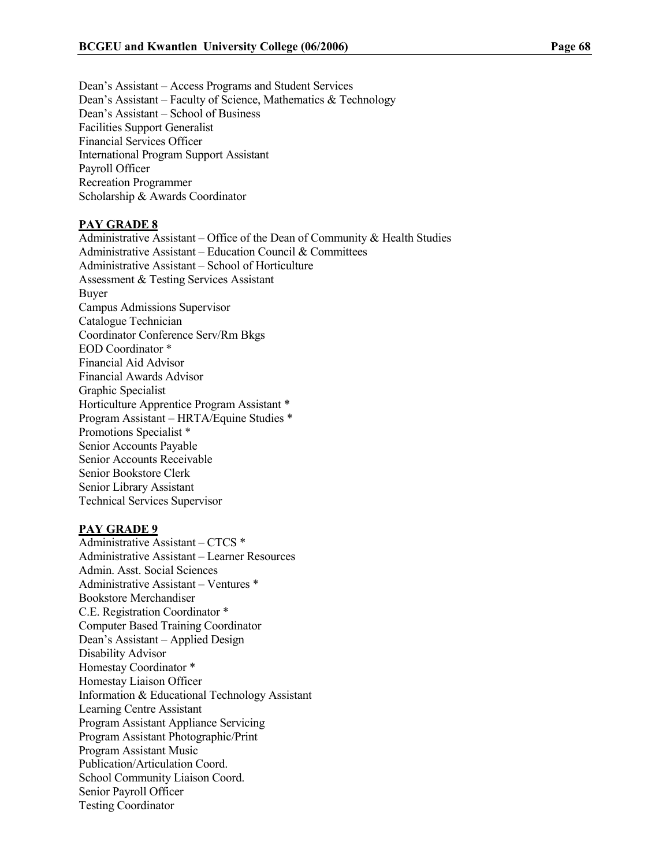Dean's Assistant – Access Programs and Student Services Dean's Assistant – Faculty of Science, Mathematics & Technology Dean's Assistant – School of Business Facilities Support Generalist Financial Services Officer International Program Support Assistant Payroll Officer Recreation Programmer Scholarship & Awards Coordinator

#### PAY GRADE 8

Administrative Assistant – Office of the Dean of Community  $\&$  Health Studies Administrative Assistant – Education Council & Committees Administrative Assistant – School of Horticulture Assessment & Testing Services Assistant Buyer Campus Admissions Supervisor Catalogue Technician Coordinator Conference Serv/Rm Bkgs EOD Coordinator \* Financial Aid Advisor Financial Awards Advisor Graphic Specialist Horticulture Apprentice Program Assistant \* Program Assistant – HRTA/Equine Studies \* Promotions Specialist \* Senior Accounts Payable Senior Accounts Receivable Senior Bookstore Clerk Senior Library Assistant Technical Services Supervisor

#### PAY GRADE 9

Administrative Assistant – CTCS \* Administrative Assistant – Learner Resources Admin. Asst. Social Sciences Administrative Assistant – Ventures \* Bookstore Merchandiser C.E. Registration Coordinator \* Computer Based Training Coordinator Dean's Assistant – Applied Design Disability Advisor Homestay Coordinator \* Homestay Liaison Officer Information & Educational Technology Assistant Learning Centre Assistant Program Assistant Appliance Servicing Program Assistant Photographic/Print Program Assistant Music Publication/Articulation Coord. School Community Liaison Coord. Senior Payroll Officer Testing Coordinator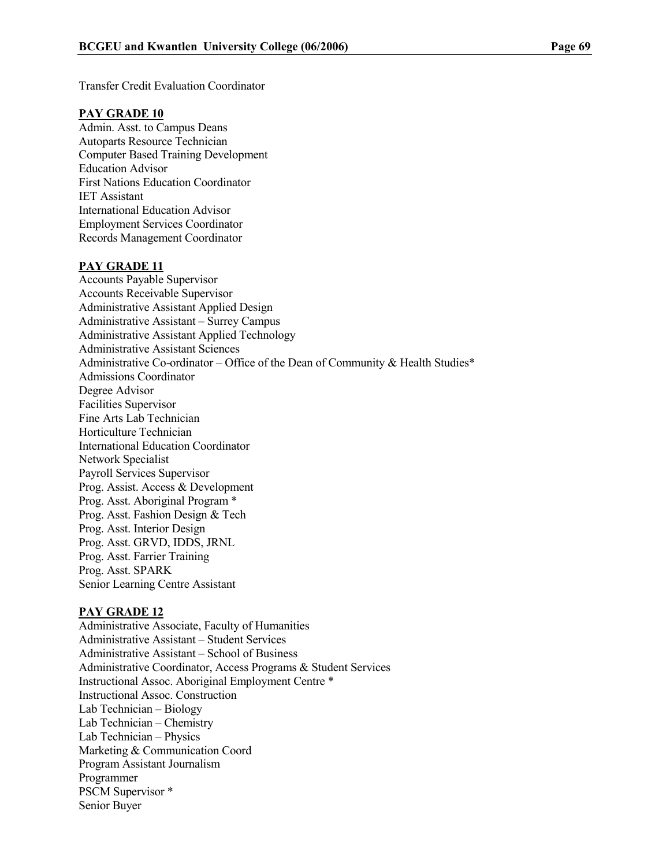#### PAY GRADE 10

Admin. Asst. to Campus Deans Autoparts Resource Technician Computer Based Training Development Education Advisor First Nations Education Coordinator IET Assistant International Education Advisor Employment Services Coordinator Records Management Coordinator

#### PAY GRADE 11

Accounts Payable Supervisor Accounts Receivable Supervisor Administrative Assistant Applied Design Administrative Assistant – Surrey Campus Administrative Assistant Applied Technology Administrative Assistant Sciences Administrative Co-ordinator – Office of the Dean of Community & Health Studies\* Admissions Coordinator Degree Advisor Facilities Supervisor Fine Arts Lab Technician Horticulture Technician International Education Coordinator Network Specialist Payroll Services Supervisor Prog. Assist. Access & Development Prog. Asst. Aboriginal Program \* Prog. Asst. Fashion Design & Tech Prog. Asst. Interior Design Prog. Asst. GRVD, IDDS, JRNL Prog. Asst. Farrier Training Prog. Asst. SPARK Senior Learning Centre Assistant

#### PAY GRADE 12

Administrative Associate, Faculty of Humanities Administrative Assistant – Student Services Administrative Assistant – School of Business Administrative Coordinator, Access Programs & Student Services Instructional Assoc. Aboriginal Employment Centre \* Instructional Assoc. Construction Lab Technician – Biology Lab Technician – Chemistry Lab Technician – Physics Marketing & Communication Coord Program Assistant Journalism Programmer PSCM Supervisor \* Senior Buyer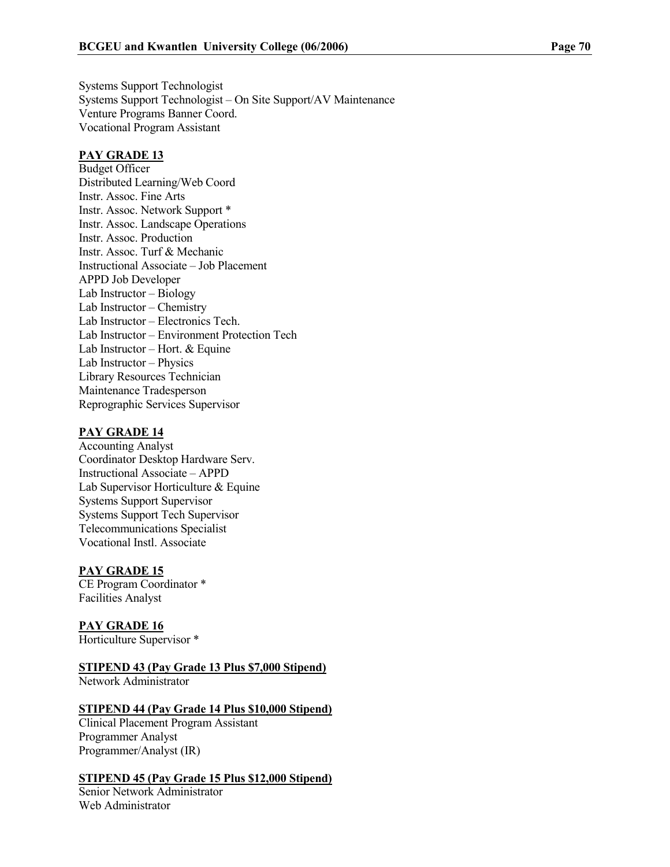Systems Support Technologist Systems Support Technologist – On Site Support/AV Maintenance Venture Programs Banner Coord. Vocational Program Assistant

#### PAY GRADE 13

Budget Officer Distributed Learning/Web Coord Instr. Assoc. Fine Arts Instr. Assoc. Network Support \* Instr. Assoc. Landscape Operations Instr. Assoc. Production Instr. Assoc. Turf & Mechanic Instructional Associate – Job Placement APPD Job Developer Lab Instructor – Biology Lab Instructor – Chemistry Lab Instructor – Electronics Tech. Lab Instructor – Environment Protection Tech Lab Instructor – Hort. & Equine Lab Instructor – Physics Library Resources Technician Maintenance Tradesperson Reprographic Services Supervisor

#### PAY GRADE 14

Accounting Analyst Coordinator Desktop Hardware Serv. Instructional Associate – APPD Lab Supervisor Horticulture & Equine Systems Support Supervisor Systems Support Tech Supervisor Telecommunications Specialist Vocational Instl. Associate

#### PAY GRADE 15

CE Program Coordinator \* Facilities Analyst

PAY GRADE 16 Horticulture Supervisor \*

STIPEND 43 (Pay Grade 13 Plus \$7,000 Stipend)

Network Administrator

#### STIPEND 44 (Pay Grade 14 Plus \$10,000 Stipend)

Clinical Placement Program Assistant Programmer Analyst Programmer/Analyst (IR)

#### STIPEND 45 (Pay Grade 15 Plus \$12,000 Stipend)

Senior Network Administrator Web Administrator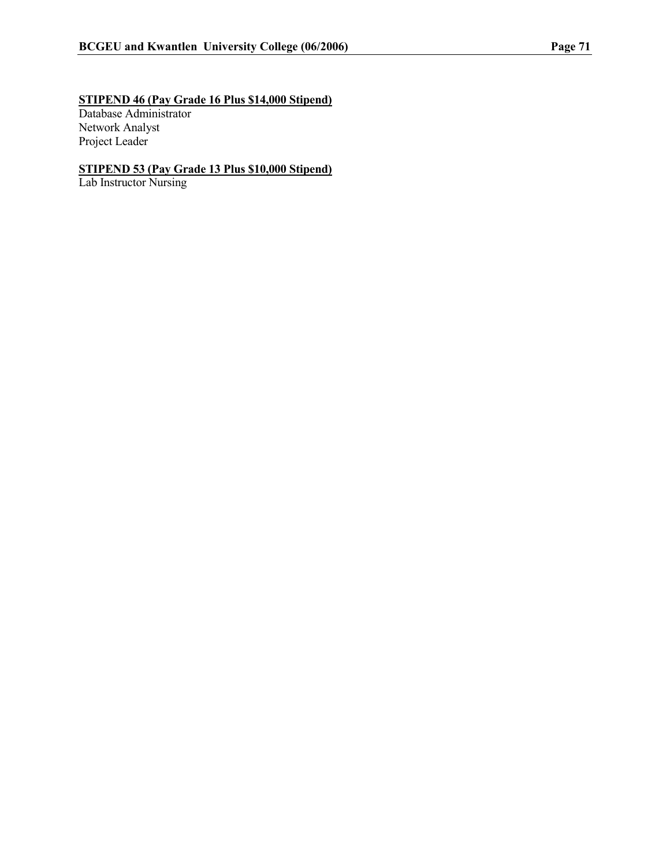# STIPEND 46 (Pay Grade 16 Plus \$14,000 Stipend)

Database Administrator Network Analyst Project Leader

#### STIPEND 53 (Pay Grade 13 Plus \$10,000 Stipend)

Lab Instructor Nursing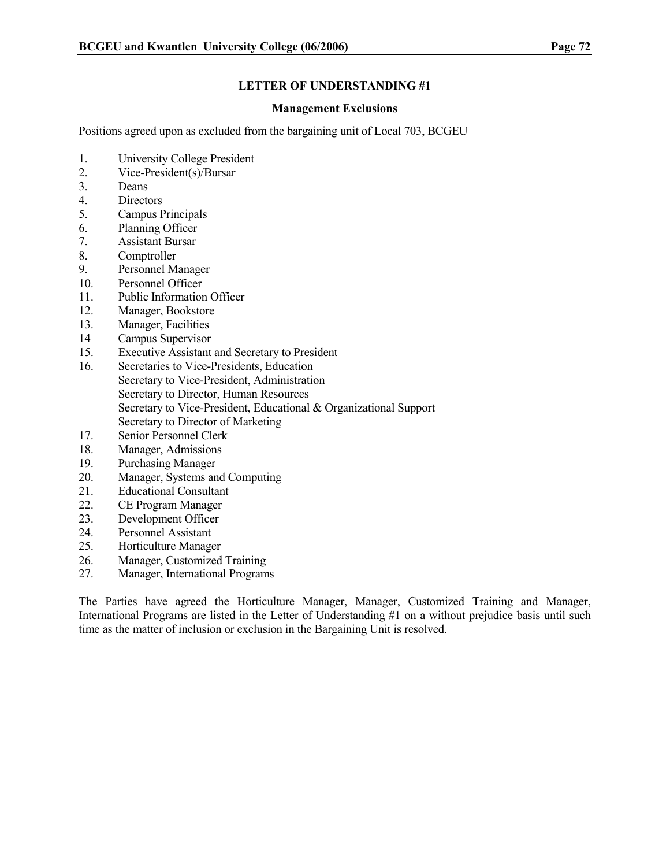#### Management Exclusions

Positions agreed upon as excluded from the bargaining unit of Local 703, BCGEU

- 1. University College President
- 2. Vice-President(s)/Bursar
- 3. Deans
- 4. Directors
- 5. Campus Principals
- 6. Planning Officer
- 7. Assistant Bursar
- 8. Comptroller
- 9. Personnel Manager
- 10. Personnel Officer
- 11. Public Information Officer
- 12. Manager, Bookstore
- 13. Manager, Facilities
- 14 Campus Supervisor
- 15. Executive Assistant and Secretary to President
- 16. Secretaries to Vice-Presidents, Education Secretary to Vice-President, Administration Secretary to Director, Human Resources Secretary to Vice-President, Educational & Organizational Support Secretary to Director of Marketing
- 17. Senior Personnel Clerk
- 18. Manager, Admissions
- 19. Purchasing Manager
- 20. Manager, Systems and Computing
- 21. Educational Consultant
- 22. CE Program Manager
- 23. Development Officer
- 24. Personnel Assistant
- 25. Horticulture Manager
- 26. Manager, Customized Training
- 27. Manager, International Programs

The Parties have agreed the Horticulture Manager, Manager, Customized Training and Manager, International Programs are listed in the Letter of Understanding #1 on a without prejudice basis until such time as the matter of inclusion or exclusion in the Bargaining Unit is resolved.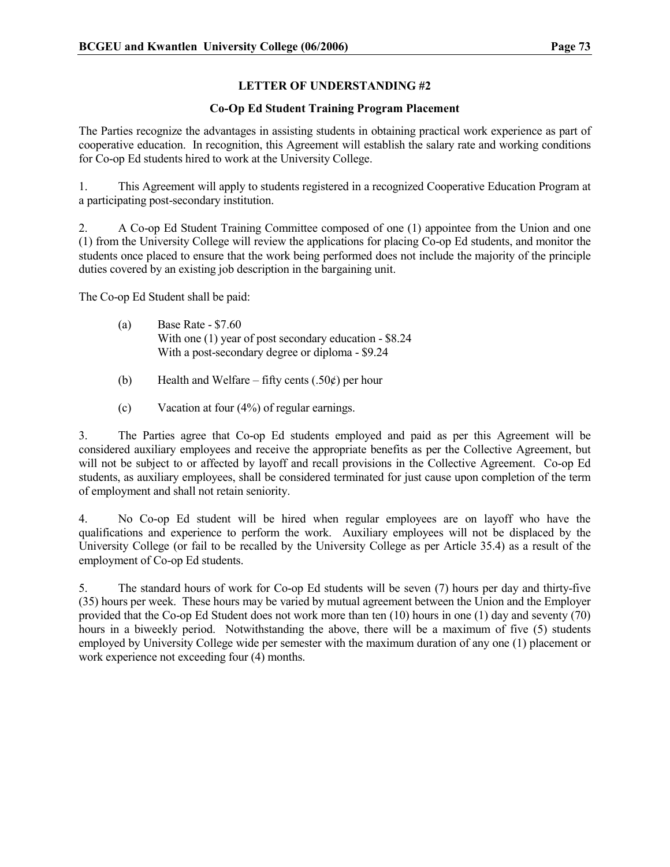#### Co-Op Ed Student Training Program Placement

The Parties recognize the advantages in assisting students in obtaining practical work experience as part of cooperative education. In recognition, this Agreement will establish the salary rate and working conditions for Co-op Ed students hired to work at the University College.

1. This Agreement will apply to students registered in a recognized Cooperative Education Program at a participating post-secondary institution.

2. A Co-op Ed Student Training Committee composed of one (1) appointee from the Union and one (1) from the University College will review the applications for placing Co-op Ed students, and monitor the students once placed to ensure that the work being performed does not include the majority of the principle duties covered by an existing job description in the bargaining unit.

The Co-op Ed Student shall be paid:

- (a) Base Rate \$7.60 With one (1) year of post secondary education - \$8.24 With a post-secondary degree or diploma - \$9.24
- (b) Health and Welfare fifty cents  $(.50¢)$  per hour
- (c) Vacation at four (4%) of regular earnings.

3. The Parties agree that Co-op Ed students employed and paid as per this Agreement will be considered auxiliary employees and receive the appropriate benefits as per the Collective Agreement, but will not be subject to or affected by layoff and recall provisions in the Collective Agreement. Co-op Ed students, as auxiliary employees, shall be considered terminated for just cause upon completion of the term of employment and shall not retain seniority.

4. No Co-op Ed student will be hired when regular employees are on layoff who have the qualifications and experience to perform the work. Auxiliary employees will not be displaced by the University College (or fail to be recalled by the University College as per Article 35.4) as a result of the employment of Co-op Ed students.

5. The standard hours of work for Co-op Ed students will be seven (7) hours per day and thirty-five (35) hours per week. These hours may be varied by mutual agreement between the Union and the Employer provided that the Co-op Ed Student does not work more than ten (10) hours in one (1) day and seventy (70) hours in a biweekly period. Notwithstanding the above, there will be a maximum of five (5) students employed by University College wide per semester with the maximum duration of any one (1) placement or work experience not exceeding four (4) months.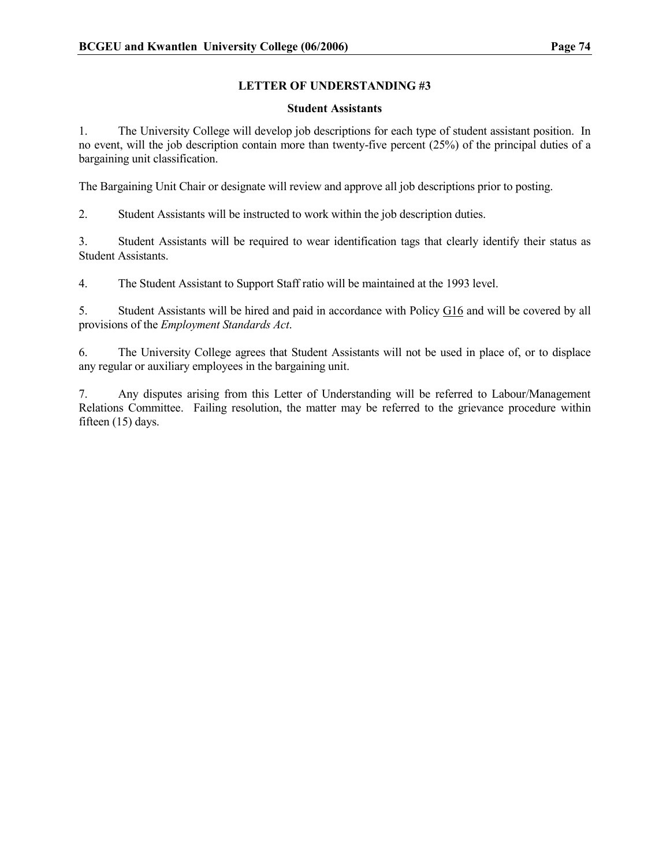#### Student Assistants

1. The University College will develop job descriptions for each type of student assistant position. In no event, will the job description contain more than twenty-five percent (25%) of the principal duties of a bargaining unit classification.

The Bargaining Unit Chair or designate will review and approve all job descriptions prior to posting.

2. Student Assistants will be instructed to work within the job description duties.

3. Student Assistants will be required to wear identification tags that clearly identify their status as Student Assistants.

4. The Student Assistant to Support Staff ratio will be maintained at the 1993 level.

5. Student Assistants will be hired and paid in accordance with Policy G16 and will be covered by all provisions of the Employment Standards Act.

6. The University College agrees that Student Assistants will not be used in place of, or to displace any regular or auxiliary employees in the bargaining unit.

7. Any disputes arising from this Letter of Understanding will be referred to Labour/Management Relations Committee. Failing resolution, the matter may be referred to the grievance procedure within fifteen (15) days.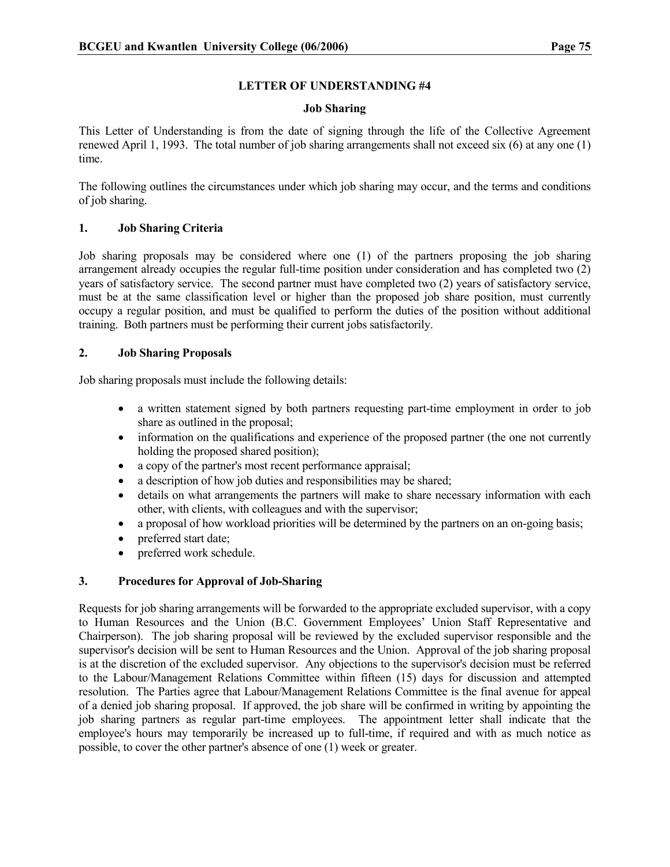#### Job Sharing

This Letter of Understanding is from the date of signing through the life of the Collective Agreement renewed April 1, 1993. The total number of job sharing arrangements shall not exceed six (6) at any one (1) time.

The following outlines the circumstances under which job sharing may occur, and the terms and conditions of job sharing.

#### 1. Job Sharing Criteria

Job sharing proposals may be considered where one (1) of the partners proposing the job sharing arrangement already occupies the regular full-time position under consideration and has completed two (2) years of satisfactory service. The second partner must have completed two (2) years of satisfactory service, must be at the same classification level or higher than the proposed job share position, must currently occupy a regular position, and must be qualified to perform the duties of the position without additional training. Both partners must be performing their current jobs satisfactorily.

#### 2. Job Sharing Proposals

Job sharing proposals must include the following details:

- a written statement signed by both partners requesting part-time employment in order to job share as outlined in the proposal;
- information on the qualifications and experience of the proposed partner (the one not currently holding the proposed shared position);
- a copy of the partner's most recent performance appraisal:
- a description of how job duties and responsibilities may be shared;
- details on what arrangements the partners will make to share necessary information with each other, with clients, with colleagues and with the supervisor;
- a proposal of how workload priorities will be determined by the partners on an on-going basis;
- preferred start date;
- preferred work schedule.

#### 3. Procedures for Approval of Job-Sharing

Requests for job sharing arrangements will be forwarded to the appropriate excluded supervisor, with a copy to Human Resources and the Union (B.C. Government Employees' Union Staff Representative and Chairperson). The job sharing proposal will be reviewed by the excluded supervisor responsible and the supervisor's decision will be sent to Human Resources and the Union. Approval of the job sharing proposal is at the discretion of the excluded supervisor. Any objections to the supervisor's decision must be referred to the Labour/Management Relations Committee within fifteen (15) days for discussion and attempted resolution. The Parties agree that Labour/Management Relations Committee is the final avenue for appeal of a denied job sharing proposal. If approved, the job share will be confirmed in writing by appointing the job sharing partners as regular part-time employees. The appointment letter shall indicate that the employee's hours may temporarily be increased up to full-time, if required and with as much notice as possible, to cover the other partner's absence of one (1) week or greater.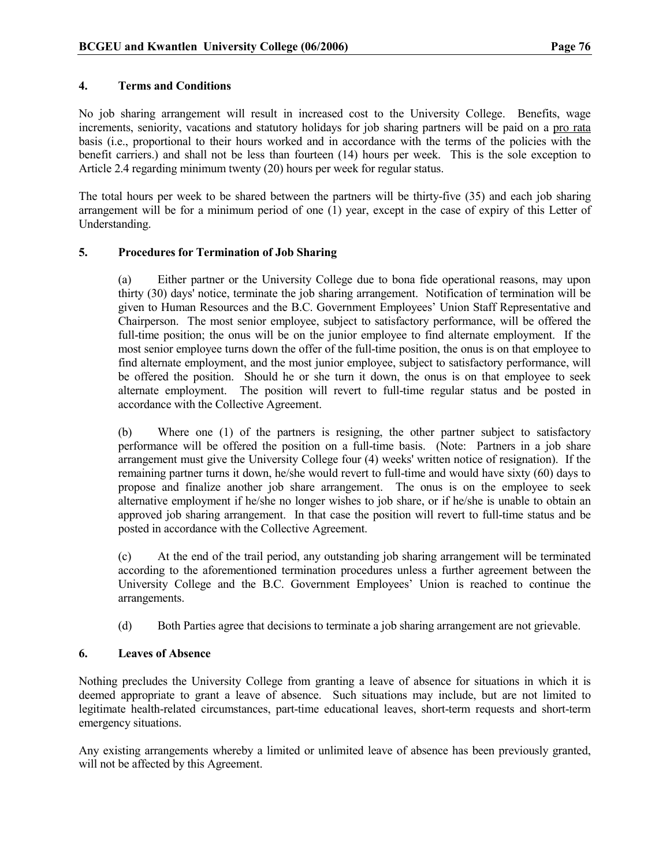#### 4. Terms and Conditions

No job sharing arrangement will result in increased cost to the University College. Benefits, wage increments, seniority, vacations and statutory holidays for job sharing partners will be paid on a pro rata basis (i.e., proportional to their hours worked and in accordance with the terms of the policies with the benefit carriers.) and shall not be less than fourteen (14) hours per week. This is the sole exception to Article 2.4 regarding minimum twenty (20) hours per week for regular status.

The total hours per week to be shared between the partners will be thirty-five (35) and each job sharing arrangement will be for a minimum period of one (1) year, except in the case of expiry of this Letter of Understanding.

#### 5. Procedures for Termination of Job Sharing

(a) Either partner or the University College due to bona fide operational reasons, may upon thirty (30) days' notice, terminate the job sharing arrangement. Notification of termination will be given to Human Resources and the B.C. Government Employees' Union Staff Representative and Chairperson. The most senior employee, subject to satisfactory performance, will be offered the full-time position; the onus will be on the junior employee to find alternate employment. If the most senior employee turns down the offer of the full-time position, the onus is on that employee to find alternate employment, and the most junior employee, subject to satisfactory performance, will be offered the position. Should he or she turn it down, the onus is on that employee to seek alternate employment. The position will revert to full-time regular status and be posted in accordance with the Collective Agreement.

(b) Where one (1) of the partners is resigning, the other partner subject to satisfactory performance will be offered the position on a full-time basis. (Note: Partners in a job share arrangement must give the University College four (4) weeks' written notice of resignation). If the remaining partner turns it down, he/she would revert to full-time and would have sixty (60) days to propose and finalize another job share arrangement. The onus is on the employee to seek alternative employment if he/she no longer wishes to job share, or if he/she is unable to obtain an approved job sharing arrangement. In that case the position will revert to full-time status and be posted in accordance with the Collective Agreement.

(c) At the end of the trail period, any outstanding job sharing arrangement will be terminated according to the aforementioned termination procedures unless a further agreement between the University College and the B.C. Government Employees' Union is reached to continue the arrangements.

(d) Both Parties agree that decisions to terminate a job sharing arrangement are not grievable.

#### 6. Leaves of Absence

Nothing precludes the University College from granting a leave of absence for situations in which it is deemed appropriate to grant a leave of absence. Such situations may include, but are not limited to legitimate health-related circumstances, part-time educational leaves, short-term requests and short-term emergency situations.

Any existing arrangements whereby a limited or unlimited leave of absence has been previously granted, will not be affected by this Agreement.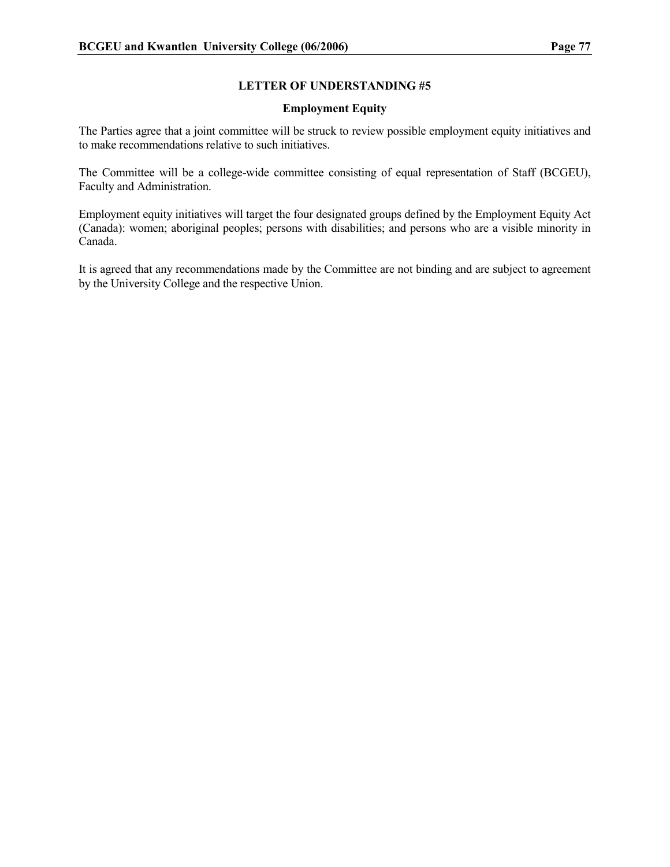#### Employment Equity

The Parties agree that a joint committee will be struck to review possible employment equity initiatives and to make recommendations relative to such initiatives.

The Committee will be a college-wide committee consisting of equal representation of Staff (BCGEU), Faculty and Administration.

Employment equity initiatives will target the four designated groups defined by the Employment Equity Act (Canada): women; aboriginal peoples; persons with disabilities; and persons who are a visible minority in Canada.

It is agreed that any recommendations made by the Committee are not binding and are subject to agreement by the University College and the respective Union.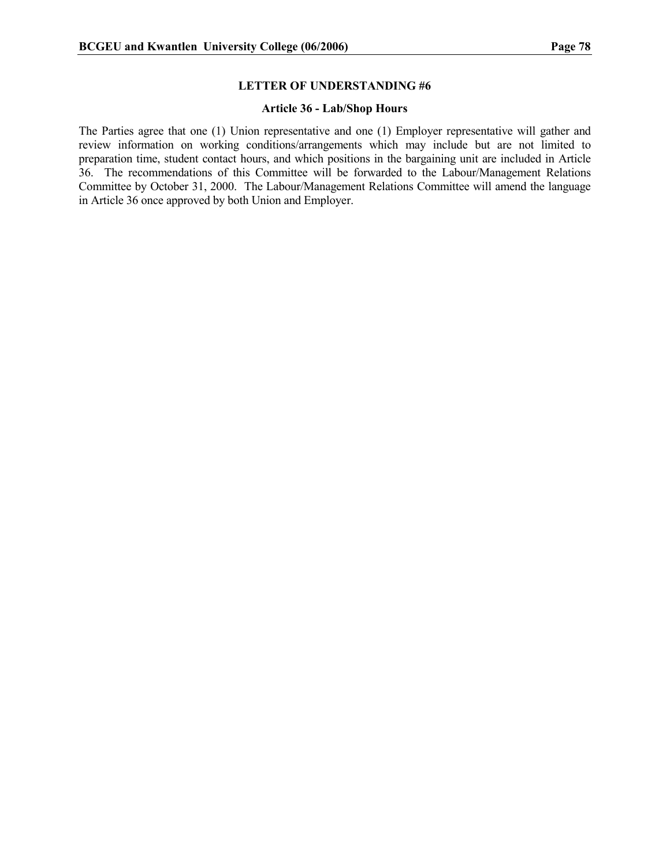#### Article 36 - Lab/Shop Hours

The Parties agree that one (1) Union representative and one (1) Employer representative will gather and review information on working conditions/arrangements which may include but are not limited to preparation time, student contact hours, and which positions in the bargaining unit are included in Article 36. The recommendations of this Committee will be forwarded to the Labour/Management Relations Committee by October 31, 2000. The Labour/Management Relations Committee will amend the language in Article 36 once approved by both Union and Employer.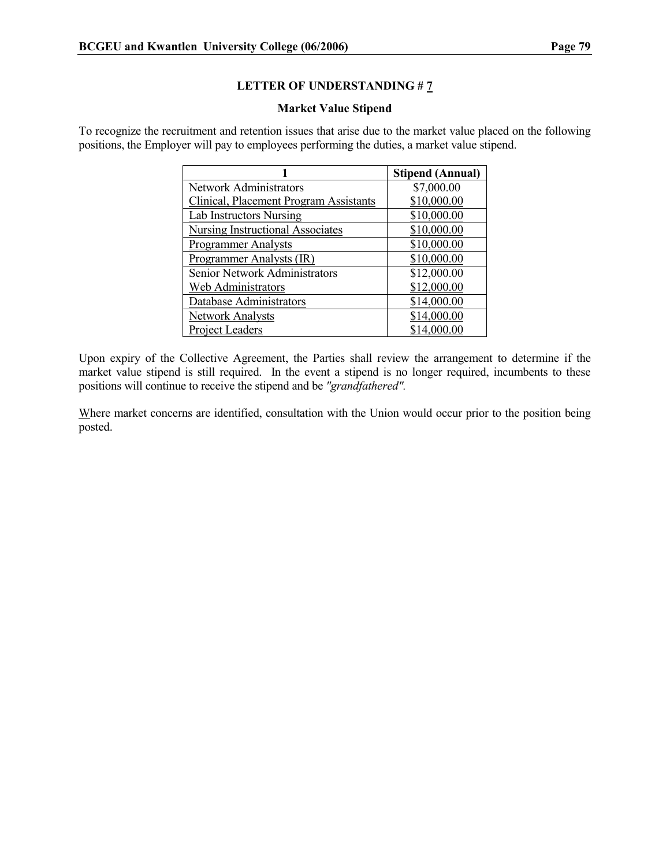#### Market Value Stipend

To recognize the recruitment and retention issues that arise due to the market value placed on the following positions, the Employer will pay to employees performing the duties, a market value stipend.

|                                         | <b>Stipend (Annual)</b> |
|-----------------------------------------|-------------------------|
| <b>Network Administrators</b>           | \$7,000.00              |
| Clinical, Placement Program Assistants  | \$10,000.00             |
| <b>Lab Instructors Nursing</b>          | \$10,000.00             |
| <b>Nursing Instructional Associates</b> | \$10,000.00             |
| <b>Programmer Analysts</b>              | \$10,000.00             |
| Programmer Analysts (IR)                | \$10,000.00             |
| Senior Network Administrators           | \$12,000.00             |
| Web Administrators                      | \$12,000.00             |
| Database Administrators                 | \$14,000.00             |
| <b>Network Analysts</b>                 | \$14,000.00             |
| <b>Project Leaders</b>                  | \$14,000.00             |

Upon expiry of the Collective Agreement, the Parties shall review the arrangement to determine if the market value stipend is still required. In the event a stipend is no longer required, incumbents to these positions will continue to receive the stipend and be "grandfathered".

Where market concerns are identified, consultation with the Union would occur prior to the position being posted.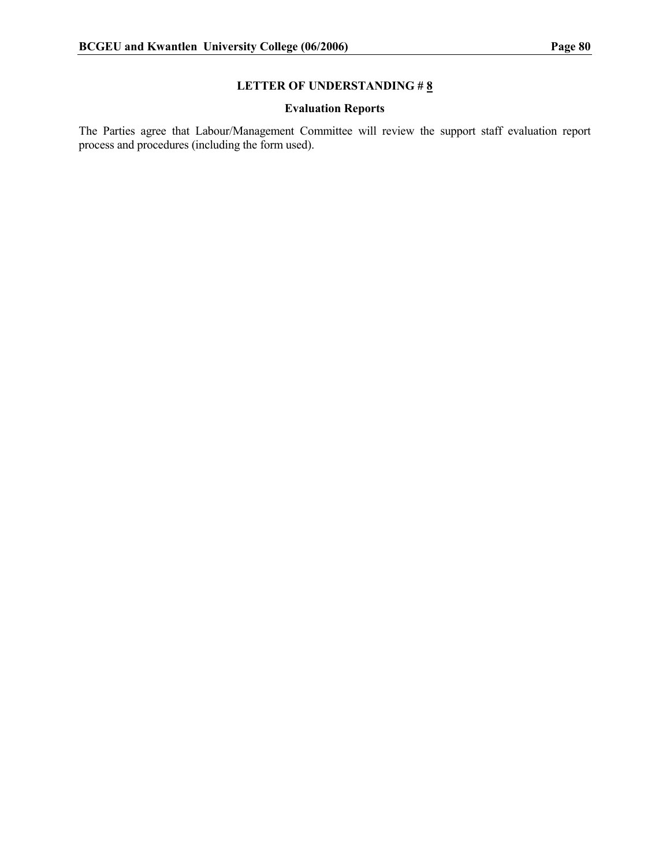### Evaluation Reports

The Parties agree that Labour/Management Committee will review the support staff evaluation report process and procedures (including the form used).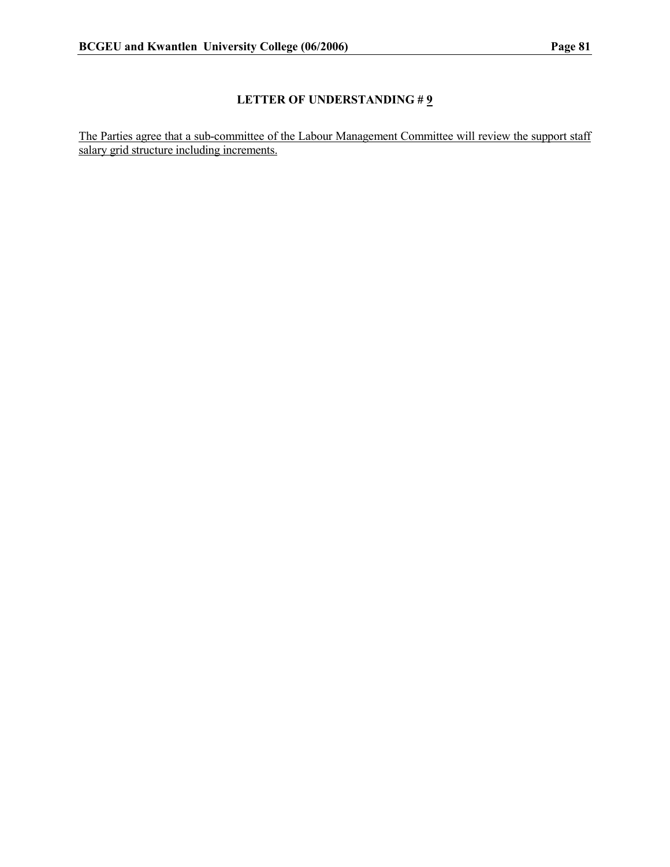The Parties agree that a sub-committee of the Labour Management Committee will review the support staff salary grid structure including increments.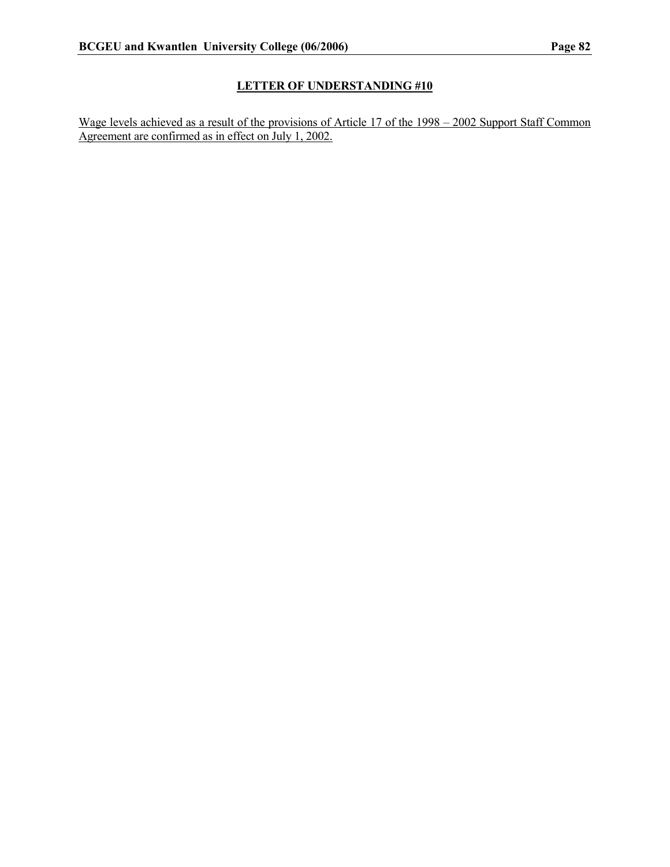Wage levels achieved as a result of the provisions of Article 17 of the 1998 – 2002 Support Staff Common Agreement are confirmed as in effect on July 1, 2002.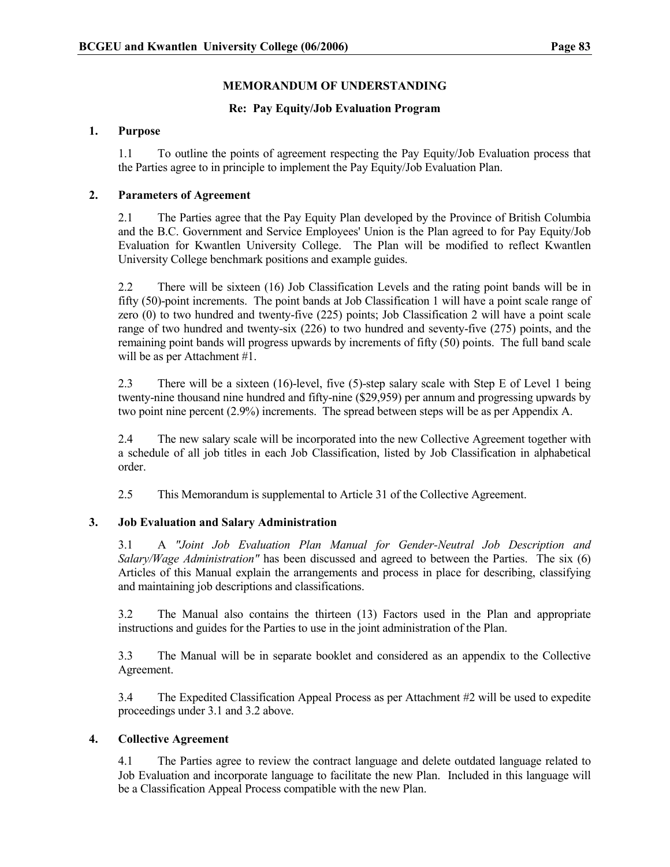#### MEMORANDUM OF UNDERSTANDING

#### Re: Pay Equity/Job Evaluation Program

#### 1. Purpose

1.1 To outline the points of agreement respecting the Pay Equity/Job Evaluation process that the Parties agree to in principle to implement the Pay Equity/Job Evaluation Plan.

#### 2. Parameters of Agreement

2.1 The Parties agree that the Pay Equity Plan developed by the Province of British Columbia and the B.C. Government and Service Employees' Union is the Plan agreed to for Pay Equity/Job Evaluation for Kwantlen University College. The Plan will be modified to reflect Kwantlen University College benchmark positions and example guides.

2.2 There will be sixteen (16) Job Classification Levels and the rating point bands will be in fifty (50)-point increments. The point bands at Job Classification 1 will have a point scale range of zero (0) to two hundred and twenty-five (225) points; Job Classification 2 will have a point scale range of two hundred and twenty-six (226) to two hundred and seventy-five (275) points, and the remaining point bands will progress upwards by increments of fifty (50) points. The full band scale will be as per Attachment #1.

2.3 There will be a sixteen (16)-level, five (5)-step salary scale with Step E of Level 1 being twenty-nine thousand nine hundred and fifty-nine (\$29,959) per annum and progressing upwards by two point nine percent (2.9%) increments. The spread between steps will be as per Appendix A.

2.4 The new salary scale will be incorporated into the new Collective Agreement together with a schedule of all job titles in each Job Classification, listed by Job Classification in alphabetical order.

2.5 This Memorandum is supplemental to Article 31 of the Collective Agreement.

#### 3. Job Evaluation and Salary Administration

3.1 A "Joint Job Evaluation Plan Manual for Gender-Neutral Job Description and Salary/Wage Administration" has been discussed and agreed to between the Parties. The six  $(6)$ Articles of this Manual explain the arrangements and process in place for describing, classifying and maintaining job descriptions and classifications.

3.2 The Manual also contains the thirteen (13) Factors used in the Plan and appropriate instructions and guides for the Parties to use in the joint administration of the Plan.

3.3 The Manual will be in separate booklet and considered as an appendix to the Collective Agreement.

3.4 The Expedited Classification Appeal Process as per Attachment #2 will be used to expedite proceedings under 3.1 and 3.2 above.

#### 4. Collective Agreement

4.1 The Parties agree to review the contract language and delete outdated language related to Job Evaluation and incorporate language to facilitate the new Plan. Included in this language will be a Classification Appeal Process compatible with the new Plan.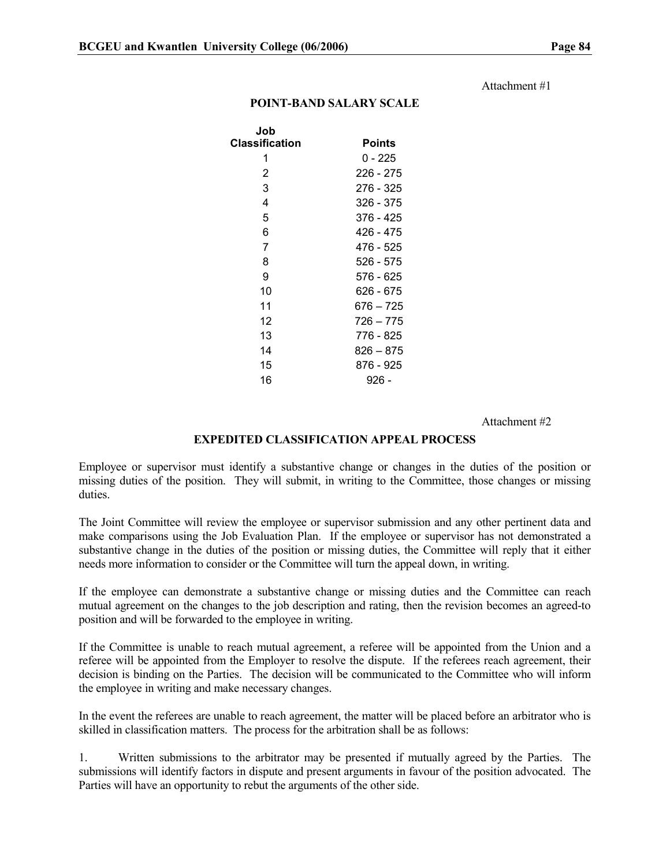#### Attachment #1

#### POINT-BAND SALARY SCALE

| <b>Points</b> |
|---------------|
| 0 - 225       |
| 226 - 275     |
| 276 - 325     |
| 326 - 375     |
| 376 - 425     |
| 426 - 475     |
| 476 - 525     |
| 526 - 575     |
| 576 - 625     |
| 626 - 675     |
| 676 – 725     |
| 726 – 775     |
| 776 - 825     |
| 826 – 875     |
| 876 - 925     |
| 926 -         |
|               |

#### Attachment #2

#### EXPEDITED CLASSIFICATION APPEAL PROCESS

Employee or supervisor must identify a substantive change or changes in the duties of the position or missing duties of the position. They will submit, in writing to the Committee, those changes or missing duties.

The Joint Committee will review the employee or supervisor submission and any other pertinent data and make comparisons using the Job Evaluation Plan. If the employee or supervisor has not demonstrated a substantive change in the duties of the position or missing duties, the Committee will reply that it either needs more information to consider or the Committee will turn the appeal down, in writing.

If the employee can demonstrate a substantive change or missing duties and the Committee can reach mutual agreement on the changes to the job description and rating, then the revision becomes an agreed-to position and will be forwarded to the employee in writing.

If the Committee is unable to reach mutual agreement, a referee will be appointed from the Union and a referee will be appointed from the Employer to resolve the dispute. If the referees reach agreement, their decision is binding on the Parties. The decision will be communicated to the Committee who will inform the employee in writing and make necessary changes.

In the event the referees are unable to reach agreement, the matter will be placed before an arbitrator who is skilled in classification matters. The process for the arbitration shall be as follows:

1. Written submissions to the arbitrator may be presented if mutually agreed by the Parties. The submissions will identify factors in dispute and present arguments in favour of the position advocated. The Parties will have an opportunity to rebut the arguments of the other side.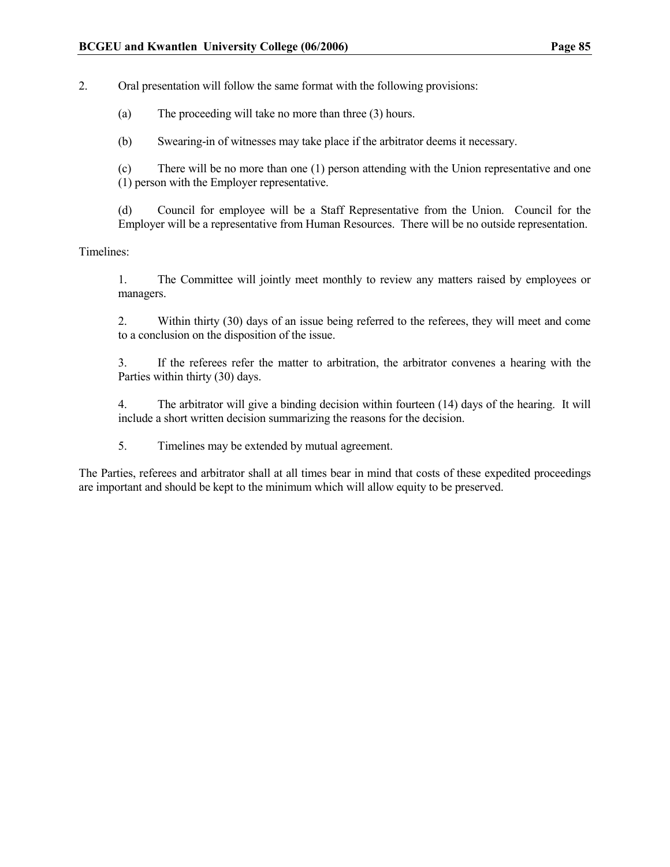2. Oral presentation will follow the same format with the following provisions:

(a) The proceeding will take no more than three (3) hours.

(b) Swearing-in of witnesses may take place if the arbitrator deems it necessary.

(c) There will be no more than one (1) person attending with the Union representative and one (1) person with the Employer representative.

(d) Council for employee will be a Staff Representative from the Union. Council for the Employer will be a representative from Human Resources. There will be no outside representation.

#### Timelines:

1. The Committee will jointly meet monthly to review any matters raised by employees or managers.

2. Within thirty (30) days of an issue being referred to the referees, they will meet and come to a conclusion on the disposition of the issue.

3. If the referees refer the matter to arbitration, the arbitrator convenes a hearing with the Parties within thirty (30) days.

4. The arbitrator will give a binding decision within fourteen (14) days of the hearing. It will include a short written decision summarizing the reasons for the decision.

5. Timelines may be extended by mutual agreement.

The Parties, referees and arbitrator shall at all times bear in mind that costs of these expedited proceedings are important and should be kept to the minimum which will allow equity to be preserved.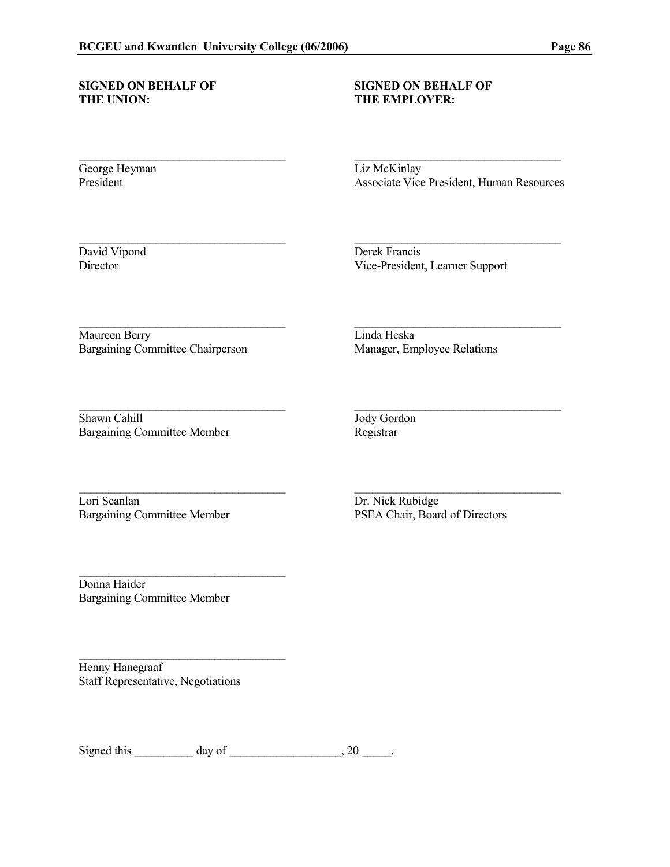# SIGNED ON BEHALF OF SIGNED ON BEHALF OF THE UNION: THE EMPLOYER:

# THE EMPLOYER:

\_\_\_\_\_\_\_\_\_\_\_\_\_\_\_\_\_\_\_\_\_\_\_\_\_\_\_\_\_\_\_\_\_\_\_ \_\_\_\_\_\_\_\_\_\_\_\_\_\_\_\_\_\_\_\_\_\_\_\_\_\_\_\_\_\_\_\_\_\_\_

\_\_\_\_\_\_\_\_\_\_\_\_\_\_\_\_\_\_\_\_\_\_\_\_\_\_\_\_\_\_\_\_\_\_\_ \_\_\_\_\_\_\_\_\_\_\_\_\_\_\_\_\_\_\_\_\_\_\_\_\_\_\_\_\_\_\_\_\_\_\_

\_\_\_\_\_\_\_\_\_\_\_\_\_\_\_\_\_\_\_\_\_\_\_\_\_\_\_\_\_\_\_\_\_\_\_ \_\_\_\_\_\_\_\_\_\_\_\_\_\_\_\_\_\_\_\_\_\_\_\_\_\_\_\_\_\_\_\_\_\_\_

\_\_\_\_\_\_\_\_\_\_\_\_\_\_\_\_\_\_\_\_\_\_\_\_\_\_\_\_\_\_\_\_\_\_\_ \_\_\_\_\_\_\_\_\_\_\_\_\_\_\_\_\_\_\_\_\_\_\_\_\_\_\_\_\_\_\_\_\_\_\_

George Heyman Liz McKinlay<br>President Associate Vice

Associate Vice President, Human Resources

David Vipond Derek Francis<br>Director Vice-President, 1 Vice-President, Learner Support

Maureen Berry Linda Heska Bargaining Committee Chairperson Manager, Employee Relations

\_\_\_\_\_\_\_\_\_\_\_\_\_\_\_\_\_\_\_\_\_\_\_\_\_\_\_\_\_\_\_\_\_\_\_ \_\_\_\_\_\_\_\_\_\_\_\_\_\_\_\_\_\_\_\_\_\_\_\_\_\_\_\_\_\_\_\_\_\_\_ Shawn Cahill Jody Gordon Bargaining Committee Member Registrar

Lori Scanlan Dr. Nick Rubidge

Bargaining Committee Member PSEA Chair, Board of Directors

Donna Haider Bargaining Committee Member

 $\mathcal{L}_\text{max}$  , where  $\mathcal{L}_\text{max}$  and  $\mathcal{L}_\text{max}$ 

\_\_\_\_\_\_\_\_\_\_\_\_\_\_\_\_\_\_\_\_\_\_\_\_\_\_\_\_\_\_\_\_\_\_\_

Henny Hanegraaf Staff Representative, Negotiations

Signed this  $\_\_\_\_\_\_\$  day of  $\_\_\_\_\_\_\_\_\_\_\_\_$ , 20  $\_\_\_\_\_\_\_\_\_$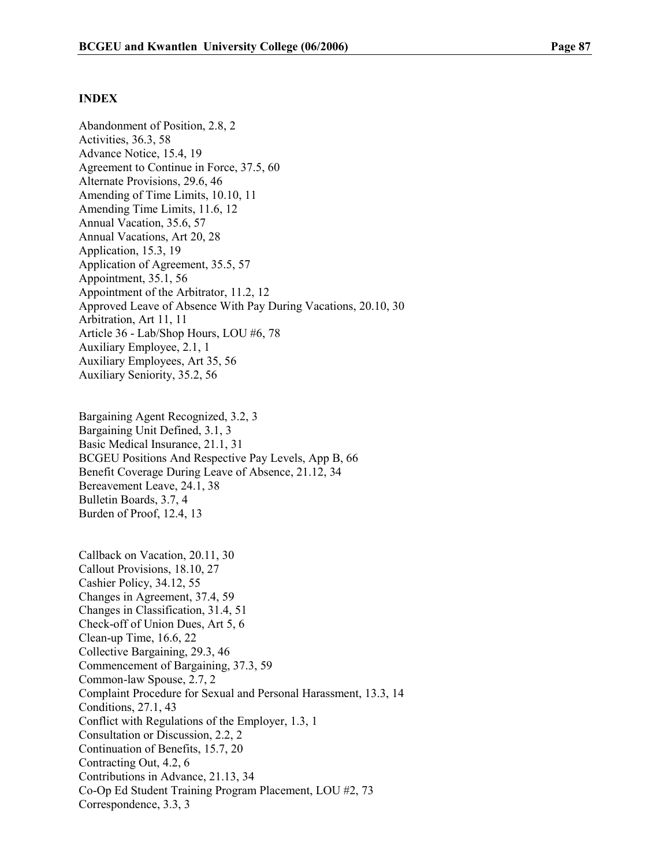#### INDEX

Abandonment of Position, 2.8, 2 Activities, 36.3, 58 Advance Notice, 15.4, 19 Agreement to Continue in Force, 37.5, 60 Alternate Provisions, 29.6, 46 Amending of Time Limits, 10.10, 11 Amending Time Limits, 11.6, 12 Annual Vacation, 35.6, 57 Annual Vacations, Art 20, 28 Application, 15.3, 19 Application of Agreement, 35.5, 57 Appointment, 35.1, 56 Appointment of the Arbitrator, 11.2, 12 Approved Leave of Absence With Pay During Vacations, 20.10, 30 Arbitration, Art 11, 11 Article 36 - Lab/Shop Hours, LOU #6, 78 Auxiliary Employee, 2.1, 1 Auxiliary Employees, Art 35, 56 Auxiliary Seniority, 35.2, 56

Bargaining Agent Recognized, 3.2, 3 Bargaining Unit Defined, 3.1, 3 Basic Medical Insurance, 21.1, 31 BCGEU Positions And Respective Pay Levels, App B, 66 Benefit Coverage During Leave of Absence, 21.12, 34 Bereavement Leave, 24.1, 38 Bulletin Boards, 3.7, 4 Burden of Proof, 12.4, 13

Callback on Vacation, 20.11, 30 Callout Provisions, 18.10, 27 Cashier Policy, 34.12, 55 Changes in Agreement, 37.4, 59 Changes in Classification, 31.4, 51 Check-off of Union Dues, Art 5, 6 Clean-up Time, 16.6, 22 Collective Bargaining, 29.3, 46 Commencement of Bargaining, 37.3, 59 Common-law Spouse, 2.7, 2 Complaint Procedure for Sexual and Personal Harassment, 13.3, 14 Conditions, 27.1, 43 Conflict with Regulations of the Employer, 1.3, 1 Consultation or Discussion, 2.2, 2 Continuation of Benefits, 15.7, 20 Contracting Out, 4.2, 6 Contributions in Advance, 21.13, 34 Co-Op Ed Student Training Program Placement, LOU #2, 73 Correspondence, 3.3, 3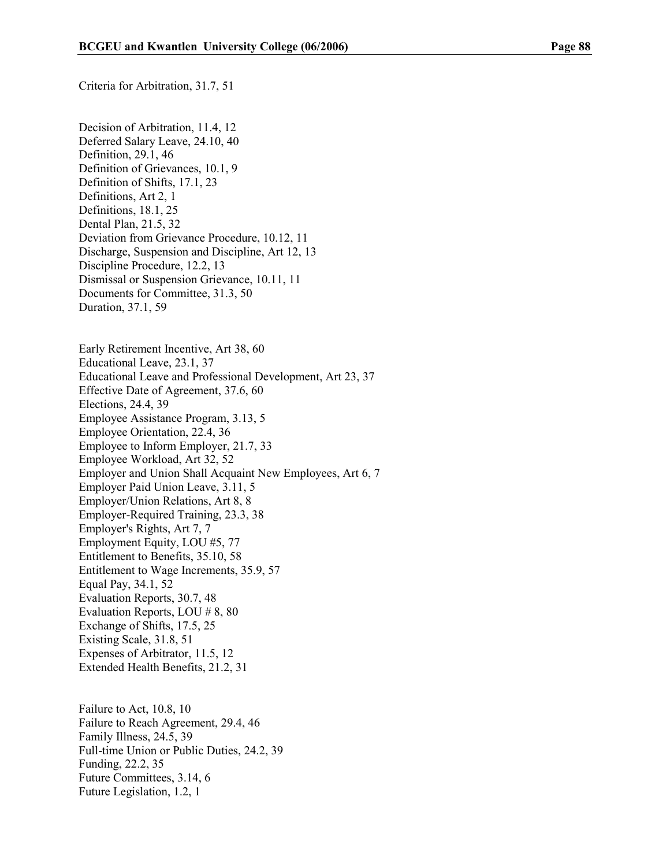Criteria for Arbitration, 31.7, 51

Decision of Arbitration, 11.4, 12 Deferred Salary Leave, 24.10, 40 Definition, 29.1, 46 Definition of Grievances, 10.1, 9 Definition of Shifts, 17.1, 23 Definitions, Art 2, 1 Definitions, 18.1, 25 Dental Plan, 21.5, 32 Deviation from Grievance Procedure, 10.12, 11 Discharge, Suspension and Discipline, Art 12, 13 Discipline Procedure, 12.2, 13 Dismissal or Suspension Grievance, 10.11, 11 Documents for Committee, 31.3, 50 Duration, 37.1, 59

Early Retirement Incentive, Art 38, 60 Educational Leave, 23.1, 37 Educational Leave and Professional Development, Art 23, 37 Effective Date of Agreement, 37.6, 60 Elections, 24.4, 39 Employee Assistance Program, 3.13, 5 Employee Orientation, 22.4, 36 Employee to Inform Employer, 21.7, 33 Employee Workload, Art 32, 52 Employer and Union Shall Acquaint New Employees, Art 6, 7 Employer Paid Union Leave, 3.11, 5 Employer/Union Relations, Art 8, 8 Employer-Required Training, 23.3, 38 Employer's Rights, Art 7, 7 Employment Equity, LOU #5, 77 Entitlement to Benefits, 35.10, 58 Entitlement to Wage Increments, 35.9, 57 Equal Pay, 34.1, 52 Evaluation Reports, 30.7, 48 Evaluation Reports, LOU # 8, 80 Exchange of Shifts, 17.5, 25 Existing Scale, 31.8, 51 Expenses of Arbitrator, 11.5, 12 Extended Health Benefits, 21.2, 31

Failure to Act, 10.8, 10 Failure to Reach Agreement, 29.4, 46 Family Illness, 24.5, 39 Full-time Union or Public Duties, 24.2, 39 Funding, 22.2, 35 Future Committees, 3.14, 6 Future Legislation, 1.2, 1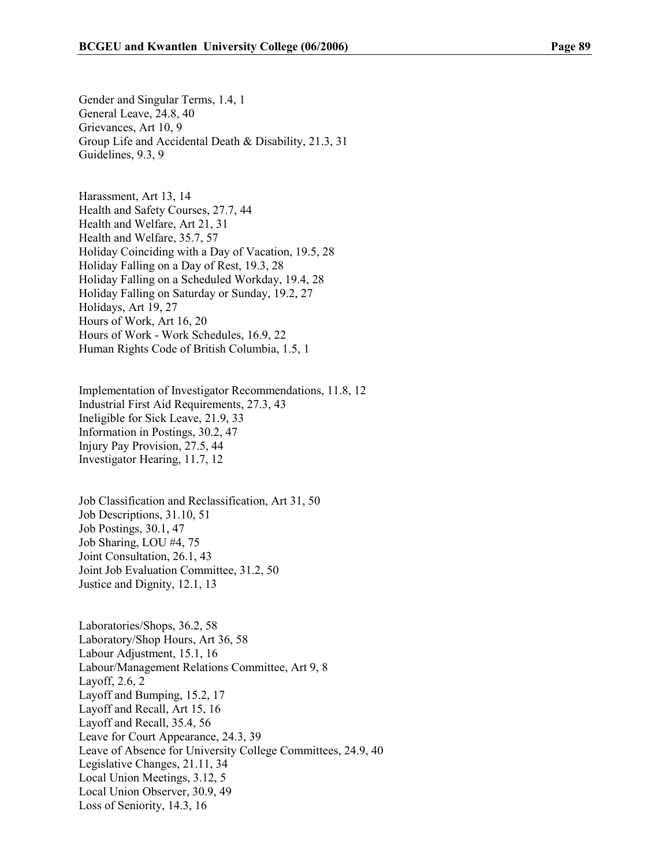Gender and Singular Terms, 1.4, 1 General Leave, 24.8, 40 Grievances, Art 10, 9 Group Life and Accidental Death & Disability, 21.3, 31 Guidelines, 9.3, 9

Harassment, Art 13, 14 Health and Safety Courses, 27.7, 44 Health and Welfare, Art 21, 31 Health and Welfare, 35.7, 57 Holiday Coinciding with a Day of Vacation, 19.5, 28 Holiday Falling on a Day of Rest, 19.3, 28 Holiday Falling on a Scheduled Workday, 19.4, 28 Holiday Falling on Saturday or Sunday, 19.2, 27 Holidays, Art 19, 27 Hours of Work, Art 16, 20 Hours of Work - Work Schedules, 16.9, 22 Human Rights Code of British Columbia, 1.5, 1

Implementation of Investigator Recommendations, 11.8, 12 Industrial First Aid Requirements, 27.3, 43 Ineligible for Sick Leave, 21.9, 33 Information in Postings, 30.2, 47 Injury Pay Provision, 27.5, 44 Investigator Hearing, 11.7, 12

Job Classification and Reclassification, Art 31, 50 Job Descriptions, 31.10, 51 Job Postings, 30.1, 47 Job Sharing, LOU #4, 75 Joint Consultation, 26.1, 43 Joint Job Evaluation Committee, 31.2, 50 Justice and Dignity, 12.1, 13

Laboratories/Shops, 36.2, 58 Laboratory/Shop Hours, Art 36, 58 Labour Adjustment, 15.1, 16 Labour/Management Relations Committee, Art 9, 8 Layoff, 2.6, 2 Layoff and Bumping, 15.2, 17 Layoff and Recall, Art 15, 16 Layoff and Recall, 35.4, 56 Leave for Court Appearance, 24.3, 39 Leave of Absence for University College Committees, 24.9, 40 Legislative Changes, 21.11, 34 Local Union Meetings, 3.12, 5 Local Union Observer, 30.9, 49 Loss of Seniority, 14.3, 16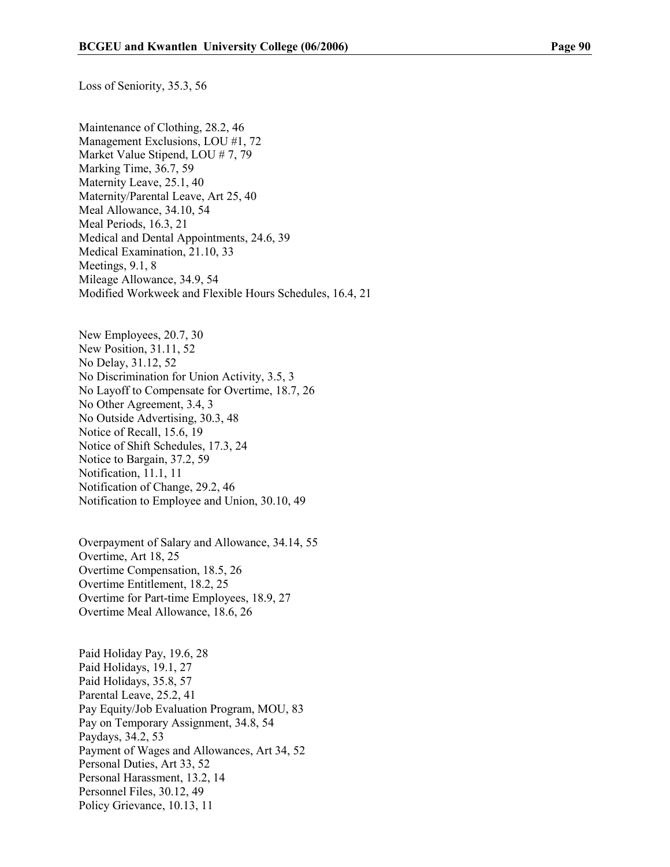Loss of Seniority, 35.3, 56

Maintenance of Clothing, 28.2, 46 Management Exclusions, LOU #1, 72 Market Value Stipend, LOU # 7, 79 Marking Time, 36.7, 59 Maternity Leave, 25.1, 40 Maternity/Parental Leave, Art 25, 40 Meal Allowance, 34.10, 54 Meal Periods, 16.3, 21 Medical and Dental Appointments, 24.6, 39 Medical Examination, 21.10, 33 Meetings, 9.1, 8 Mileage Allowance, 34.9, 54 Modified Workweek and Flexible Hours Schedules, 16.4, 21

New Employees, 20.7, 30 New Position, 31.11, 52 No Delay, 31.12, 52 No Discrimination for Union Activity, 3.5, 3 No Layoff to Compensate for Overtime, 18.7, 26 No Other Agreement, 3.4, 3 No Outside Advertising, 30.3, 48 Notice of Recall, 15.6, 19 Notice of Shift Schedules, 17.3, 24 Notice to Bargain, 37.2, 59 Notification, 11.1, 11 Notification of Change, 29.2, 46 Notification to Employee and Union, 30.10, 49

Overpayment of Salary and Allowance, 34.14, 55 Overtime, Art 18, 25 Overtime Compensation, 18.5, 26 Overtime Entitlement, 18.2, 25 Overtime for Part-time Employees, 18.9, 27 Overtime Meal Allowance, 18.6, 26

Paid Holiday Pay, 19.6, 28 Paid Holidays, 19.1, 27 Paid Holidays, 35.8, 57 Parental Leave, 25.2, 41 Pay Equity/Job Evaluation Program, MOU, 83 Pay on Temporary Assignment, 34.8, 54 Paydays, 34.2, 53 Payment of Wages and Allowances, Art 34, 52 Personal Duties, Art 33, 52 Personal Harassment, 13.2, 14 Personnel Files, 30.12, 49 Policy Grievance, 10.13, 11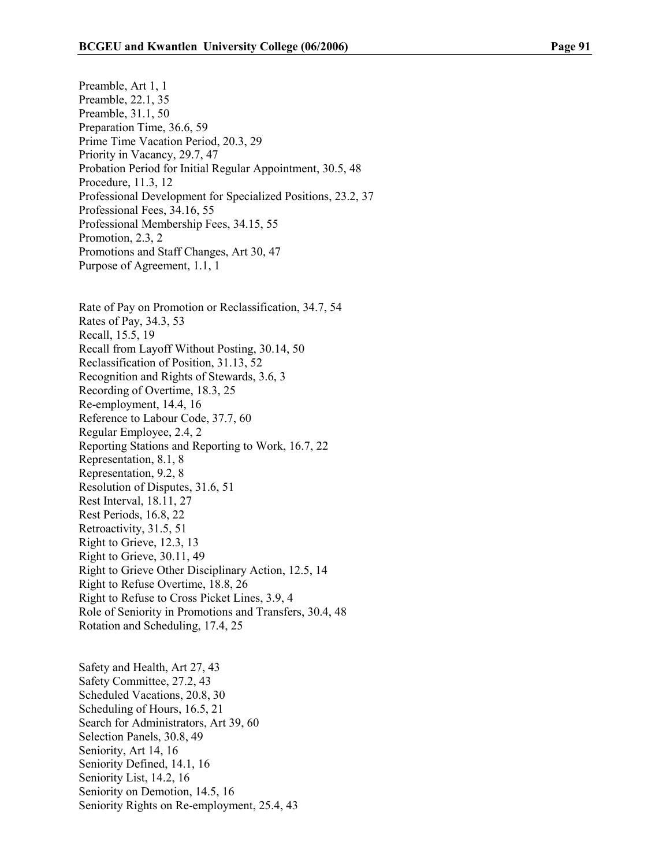Preamble, Art 1, 1 Preamble, 22.1, 35 Preamble, 31.1, 50 Preparation Time, 36.6, 59 Prime Time Vacation Period, 20.3, 29 Priority in Vacancy, 29.7, 47 Probation Period for Initial Regular Appointment, 30.5, 48 Procedure, 11.3, 12 Professional Development for Specialized Positions, 23.2, 37 Professional Fees, 34.16, 55 Professional Membership Fees, 34.15, 55 Promotion, 2.3, 2 Promotions and Staff Changes, Art 30, 47 Purpose of Agreement, 1.1, 1

Rate of Pay on Promotion or Reclassification, 34.7, 54 Rates of Pay, 34.3, 53 Recall, 15.5, 19 Recall from Layoff Without Posting, 30.14, 50 Reclassification of Position, 31.13, 52 Recognition and Rights of Stewards, 3.6, 3 Recording of Overtime, 18.3, 25 Re-employment, 14.4, 16 Reference to Labour Code, 37.7, 60 Regular Employee, 2.4, 2 Reporting Stations and Reporting to Work, 16.7, 22 Representation, 8.1, 8 Representation, 9.2, 8 Resolution of Disputes, 31.6, 51 Rest Interval, 18.11, 27 Rest Periods, 16.8, 22 Retroactivity, 31.5, 51 Right to Grieve, 12.3, 13 Right to Grieve, 30.11, 49 Right to Grieve Other Disciplinary Action, 12.5, 14 Right to Refuse Overtime, 18.8, 26 Right to Refuse to Cross Picket Lines, 3.9, 4 Role of Seniority in Promotions and Transfers, 30.4, 48 Rotation and Scheduling, 17.4, 25

Safety and Health, Art 27, 43 Safety Committee, 27.2, 43 Scheduled Vacations, 20.8, 30 Scheduling of Hours, 16.5, 21 Search for Administrators, Art 39, 60 Selection Panels, 30.8, 49 Seniority, Art 14, 16 Seniority Defined, 14.1, 16 Seniority List, 14.2, 16 Seniority on Demotion, 14.5, 16 Seniority Rights on Re-employment, 25.4, 43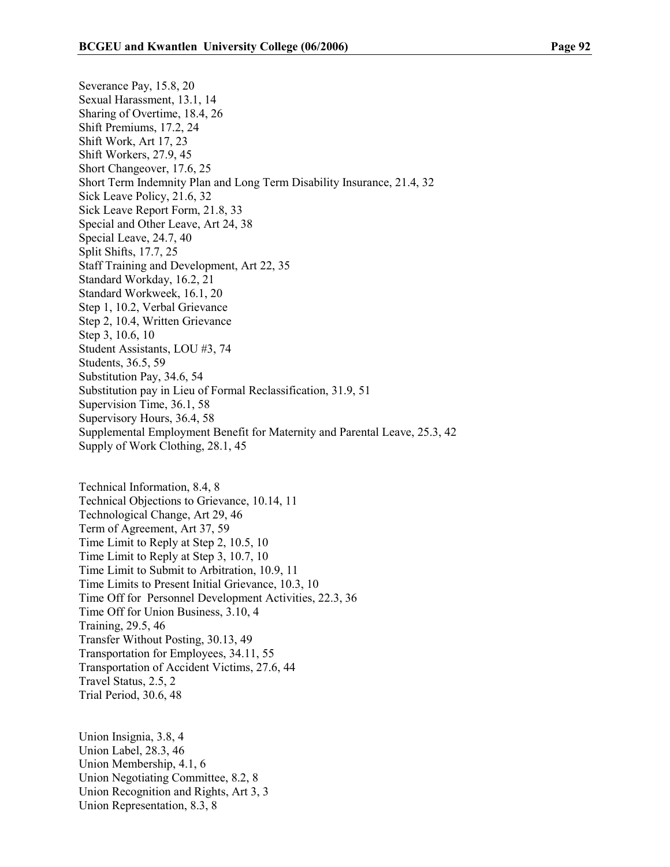Severance Pay, 15.8, 20 Sexual Harassment, 13.1, 14 Sharing of Overtime, 18.4, 26 Shift Premiums, 17.2, 24 Shift Work, Art 17, 23 Shift Workers, 27.9, 45 Short Changeover, 17.6, 25 Short Term Indemnity Plan and Long Term Disability Insurance, 21.4, 32 Sick Leave Policy, 21.6, 32 Sick Leave Report Form, 21.8, 33 Special and Other Leave, Art 24, 38 Special Leave, 24.7, 40 Split Shifts, 17.7, 25 Staff Training and Development, Art 22, 35 Standard Workday, 16.2, 21 Standard Workweek, 16.1, 20 Step 1, 10.2, Verbal Grievance Step 2, 10.4, Written Grievance Step 3, 10.6, 10 Student Assistants, LOU #3, 74 Students, 36.5, 59 Substitution Pay, 34.6, 54 Substitution pay in Lieu of Formal Reclassification, 31.9, 51 Supervision Time, 36.1, 58 Supervisory Hours, 36.4, 58 Supplemental Employment Benefit for Maternity and Parental Leave, 25.3, 42 Supply of Work Clothing, 28.1, 45

Technical Information, 8.4, 8 Technical Objections to Grievance, 10.14, 11 Technological Change, Art 29, 46 Term of Agreement, Art 37, 59 Time Limit to Reply at Step 2, 10.5, 10 Time Limit to Reply at Step 3, 10.7, 10 Time Limit to Submit to Arbitration, 10.9, 11 Time Limits to Present Initial Grievance, 10.3, 10 Time Off for Personnel Development Activities, 22.3, 36 Time Off for Union Business, 3.10, 4 Training, 29.5, 46 Transfer Without Posting, 30.13, 49 Transportation for Employees, 34.11, 55 Transportation of Accident Victims, 27.6, 44 Travel Status, 2.5, 2 Trial Period, 30.6, 48

Union Insignia, 3.8, 4 Union Label, 28.3, 46 Union Membership, 4.1, 6 Union Negotiating Committee, 8.2, 8 Union Recognition and Rights, Art 3, 3 Union Representation, 8.3, 8